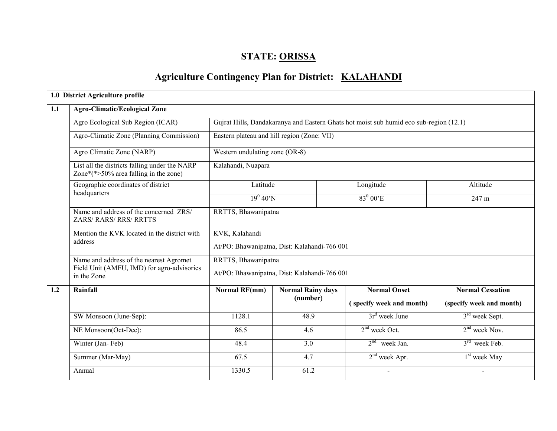# STATE: ORISSA

# Agriculture Contingency Plan for District: KALAHANDI

|     | 1.0 District Agriculture profile                                                                     |                                                                |                                              |                                                                                        |                            |  |  |  |  |  |  |  |  |
|-----|------------------------------------------------------------------------------------------------------|----------------------------------------------------------------|----------------------------------------------|----------------------------------------------------------------------------------------|----------------------------|--|--|--|--|--|--|--|--|
| 1.1 | <b>Agro-Climatic/Ecological Zone</b>                                                                 |                                                                |                                              |                                                                                        |                            |  |  |  |  |  |  |  |  |
|     | Agro Ecological Sub Region (ICAR)                                                                    |                                                                |                                              | Gujrat Hills, Dandakaranya and Eastern Ghats hot moist sub humid eco sub-region (12.1) |                            |  |  |  |  |  |  |  |  |
|     | Agro-Climatic Zone (Planning Commission)                                                             |                                                                | Eastern plateau and hill region (Zone: VII)  |                                                                                        |                            |  |  |  |  |  |  |  |  |
|     | Agro Climatic Zone (NARP)                                                                            | Western undulating zone (OR-8)                                 |                                              |                                                                                        |                            |  |  |  |  |  |  |  |  |
|     | List all the districts falling under the NARP<br>Zone*(*>50% area falling in the zone)               | Kalahandi, Nuapara                                             |                                              |                                                                                        |                            |  |  |  |  |  |  |  |  |
|     | Geographic coordinates of district                                                                   | Latitude                                                       |                                              | Longitude                                                                              | Altitude                   |  |  |  |  |  |  |  |  |
|     | headquarters                                                                                         | $19^0 40^7 N$                                                  |                                              | $83^0 00$ <sup>E</sup>                                                                 | 247 m                      |  |  |  |  |  |  |  |  |
|     | Name and address of the concerned ZRS/<br><b>ZARS/ RARS/ RRS/ RRTTS</b>                              | RRTTS, Bhawanipatna                                            |                                              |                                                                                        |                            |  |  |  |  |  |  |  |  |
|     | Mention the KVK located in the district with<br>address                                              | KVK, Kalahandi<br>At/PO: Bhawanipatna, Dist: Kalahandi-766 001 |                                              |                                                                                        |                            |  |  |  |  |  |  |  |  |
|     | Name and address of the nearest Agromet<br>Field Unit (AMFU, IMD) for agro-advisories<br>in the Zone | RRTTS, Bhawanipatna                                            | At/PO: Bhawanipatna, Dist: Kalahandi-766 001 |                                                                                        |                            |  |  |  |  |  |  |  |  |
| 1.2 | Rainfall                                                                                             | <b>Normal RF(mm)</b>                                           | <b>Normal Rainy days</b>                     | <b>Normal Onset</b>                                                                    | <b>Normal Cessation</b>    |  |  |  |  |  |  |  |  |
|     |                                                                                                      |                                                                | (number)                                     | (specify week and month)                                                               | (specify week and month)   |  |  |  |  |  |  |  |  |
|     | SW Monsoon (June-Sep):                                                                               | 1128.1                                                         | 48.9                                         | $3rd$ week June                                                                        | 3 <sup>rd</sup> week Sept. |  |  |  |  |  |  |  |  |
|     | NE Monsoon(Oct-Dec):                                                                                 | 86.5                                                           | 4.6                                          | $2nd$ week Oct.                                                                        | $2nd$ week Nov.            |  |  |  |  |  |  |  |  |
|     | Winter (Jan-Feb)                                                                                     | 48.4                                                           | 3.0                                          | $2nd$ week Jan.                                                                        | $3rd$ week Feb.            |  |  |  |  |  |  |  |  |
|     | Summer (Mar-May)                                                                                     | 67.5                                                           | 4.7                                          | $2nd$ week Apr.                                                                        | 1 <sup>st</sup> week May   |  |  |  |  |  |  |  |  |
|     | Annual                                                                                               | 1330.5                                                         | 61.2                                         | $\blacksquare$                                                                         | $\blacksquare$             |  |  |  |  |  |  |  |  |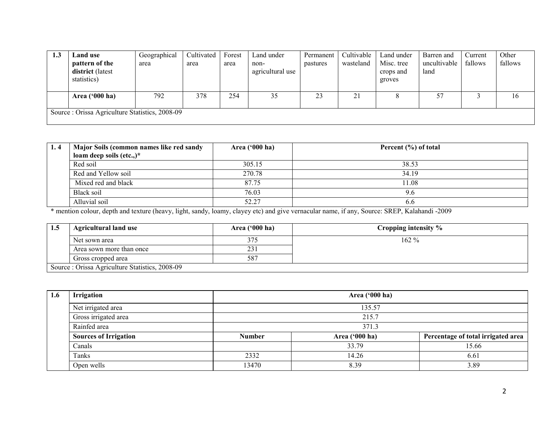| 1.3 | <b>Land use</b>                                | Geographical | Cultivated | Forest | Land under       | Permanent | Cultivable | Land under | Barren and   | Current | Other   |
|-----|------------------------------------------------|--------------|------------|--------|------------------|-----------|------------|------------|--------------|---------|---------|
|     | pattern of the                                 | area         | area       | area   | non-             | pastures  | wasteland  | Misc. tree | uncultivable | fallows | fallows |
|     | district (latest                               |              |            |        | agricultural use |           |            | crops and  | land         |         |         |
|     | statistics)                                    |              |            |        |                  |           |            | groves     |              |         |         |
|     |                                                |              |            |        |                  |           |            |            |              |         |         |
|     | Area $(900 \text{ ha})$                        | 792          | 378        | 254    | 35               | 23        | 21         |            | 57           |         | 16      |
|     |                                                |              |            |        |                  |           |            |            |              |         |         |
|     | Source: Orissa Agriculture Statistics, 2008-09 |              |            |        |                  |           |            |            |              |         |         |
|     |                                                |              |            |        |                  |           |            |            |              |         |         |

| 1.4 | Major Soils (common names like red sandy | Area $(900 \text{ ha})$ | Percent (%) of total |
|-----|------------------------------------------|-------------------------|----------------------|
|     | loam deep soils (etc.,) $*$              |                         |                      |
|     | Red soil                                 | 305.15                  | 38.53                |
|     | Red and Yellow soil                      | 270.78                  | 34.19                |
|     | Mixed red and black                      | 87.75                   | 11.08                |
|     | Black soil                               | 76.03                   | 9.6                  |
|     | Alluvial soil                            | 52.27                   | 6.6                  |

\* mention colour, depth and texture (heavy, light, sandy, loamy, clayey etc) and give vernacular name, if any, Source: SREP, Kalahandi -2009

| 1.5 | <b>Agricultural land use</b>                   | Area $('000 ha)$ | Cropping intensity % |
|-----|------------------------------------------------|------------------|----------------------|
|     | Net sown area                                  | 375              | $162 \%$             |
|     | Area sown more than once                       | 231              |                      |
|     | Gross cropped area                             | 587              |                      |
|     | Source: Orissa Agriculture Statistics, 2008-09 |                  |                      |

| 1.6 | Irrigation                   |               | Area ('000 ha) |                                    |  |  |  |  |  |
|-----|------------------------------|---------------|----------------|------------------------------------|--|--|--|--|--|
|     | Net irrigated area           |               | 135.57         |                                    |  |  |  |  |  |
|     | Gross irrigated area         |               | 215.7          |                                    |  |  |  |  |  |
|     | Rainfed area                 |               | 371.3          |                                    |  |  |  |  |  |
|     | <b>Sources of Irrigation</b> | <b>Number</b> | Area ('000 ha) | Percentage of total irrigated area |  |  |  |  |  |
|     | Canals                       |               | 33.79          | 15.66                              |  |  |  |  |  |
|     | Tanks                        | 2332          | 14.26          | 6.61                               |  |  |  |  |  |
|     | Open wells                   | 13470         | 8.39           | 3.89                               |  |  |  |  |  |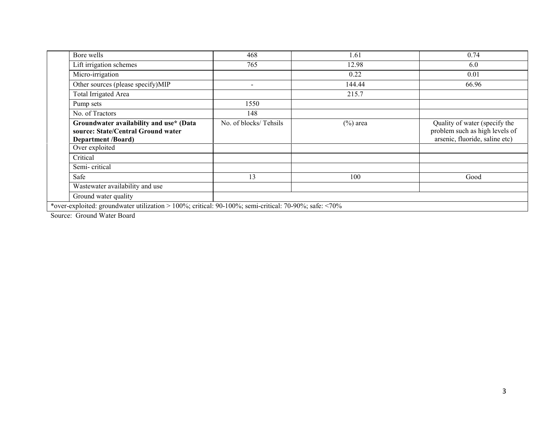| Bore wells                                                                                                 | 468                   | 1.61        | 0.74                                                                                              |
|------------------------------------------------------------------------------------------------------------|-----------------------|-------------|---------------------------------------------------------------------------------------------------|
| Lift irrigation schemes                                                                                    | 765                   | 12.98       | 6.0                                                                                               |
| Micro-irrigation                                                                                           |                       | 0.22        | 0.01                                                                                              |
| Other sources (please specify)MIP                                                                          |                       | 144.44      | 66.96                                                                                             |
| <b>Total Irrigated Area</b>                                                                                |                       | 215.7       |                                                                                                   |
| Pump sets                                                                                                  | 1550                  |             |                                                                                                   |
| No. of Tractors                                                                                            | 148                   |             |                                                                                                   |
| Groundwater availability and use* (Data<br>source: State/Central Ground water<br><b>Department /Board)</b> | No. of blocks/Tehsils | $(\%)$ area | Quality of water (specify the<br>problem such as high levels of<br>arsenic, fluoride, saline etc) |
| Over exploited                                                                                             |                       |             |                                                                                                   |
| Critical                                                                                                   |                       |             |                                                                                                   |
| Semi-critical                                                                                              |                       |             |                                                                                                   |
| Safe                                                                                                       | 13                    | 100         | Good                                                                                              |
| Wastewater availability and use                                                                            |                       |             |                                                                                                   |
| Ground water quality                                                                                       |                       |             |                                                                                                   |
| *over-exploited: groundwater utilization > 100%; critical: 90-100%; semi-critical: 70-90%; safe: <70%      |                       |             |                                                                                                   |

Source: Ground Water Board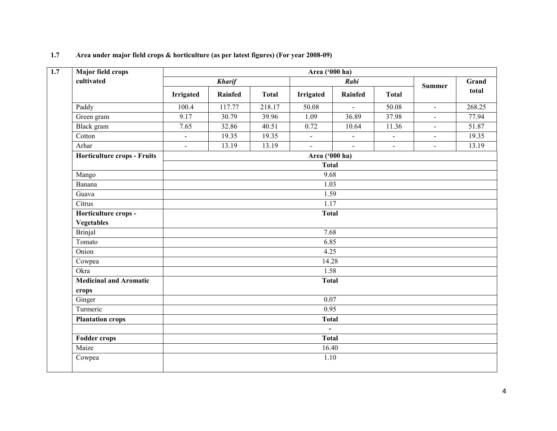| 1.7 | Area under major field crops & horticulture (as per latest figures) (For year 2008-09) |
|-----|----------------------------------------------------------------------------------------|
|-----|----------------------------------------------------------------------------------------|

| Major field crops                  | Area ('000 ha) |                |              |                                |                |                |                |        |  |  |  |
|------------------------------------|----------------|----------------|--------------|--------------------------------|----------------|----------------|----------------|--------|--|--|--|
| cultivated                         |                | <b>Kharif</b>  |              |                                | Rabi           |                | <b>Summer</b>  | Grand  |  |  |  |
|                                    | Irrigated      | <b>Rainfed</b> | <b>Total</b> | <b>Irrigated</b>               | <b>Rainfed</b> | <b>Total</b>   |                | total  |  |  |  |
| Paddy                              | 100.4          | 117.77         | 218.17       | 50.08                          | $\equiv$       | 50.08          | $\mathbf{r}$   | 268.25 |  |  |  |
| Green gram                         | 9.17           | 30.79          | 39.96        | 1.09                           | 36.89          | 37.98          | $\blacksquare$ | 77.94  |  |  |  |
| Black gram                         | 7.65           | 32.86          | 40.51        | 0.72                           | 10.64          | 11.36          | $\blacksquare$ | 51.87  |  |  |  |
| Cotton                             | $\blacksquare$ | 19.35          | 19.35        | $\blacksquare$                 | $\blacksquare$ | $\blacksquare$ | $\blacksquare$ | 19.35  |  |  |  |
| Arhar                              | $\blacksquare$ | 13.19          | 13.19        | $\overline{\phantom{a}}$       | $\mathbf{r}$   | $\overline{a}$ | $\blacksquare$ | 13.19  |  |  |  |
| <b>Horticulture crops - Fruits</b> |                |                |              | Area ('000 ha)                 |                |                |                |        |  |  |  |
|                                    | <b>Total</b>   |                |              |                                |                |                |                |        |  |  |  |
| Mango                              |                |                |              | 9.68                           |                |                |                |        |  |  |  |
| Banana                             |                |                |              | 1.03                           |                |                |                |        |  |  |  |
| Guava                              | 1.59           |                |              |                                |                |                |                |        |  |  |  |
| C <sub>itrus</sub>                 |                |                |              | 1.17                           |                |                |                |        |  |  |  |
| Horticulture crops -               | <b>Total</b>   |                |              |                                |                |                |                |        |  |  |  |
| <b>Vegetables</b>                  |                |                |              |                                |                |                |                |        |  |  |  |
| <b>Brinjal</b>                     | 7.68           |                |              |                                |                |                |                |        |  |  |  |
| Tomato                             |                |                |              | 6.85                           |                |                |                |        |  |  |  |
| Onion                              |                |                |              | 4.25                           |                |                |                |        |  |  |  |
| Cowpea                             |                |                |              | 14.28                          |                |                |                |        |  |  |  |
| Okra                               |                |                |              | 1.58                           |                |                |                |        |  |  |  |
| <b>Medicinal and Aromatic</b>      |                |                |              | <b>Total</b>                   |                |                |                |        |  |  |  |
| crops                              |                |                |              |                                |                |                |                |        |  |  |  |
| Ginger                             |                |                |              | $\overline{0.07}$              |                |                |                |        |  |  |  |
| Turmeric                           | 0.95           |                |              |                                |                |                |                |        |  |  |  |
| <b>Plantation crops</b>            |                |                |              | <b>Total</b>                   |                |                |                |        |  |  |  |
| <b>Fodder crops</b>                |                |                |              | $\blacksquare$<br><b>Total</b> |                |                |                |        |  |  |  |
| Maize                              |                |                |              | 16.40                          |                |                |                |        |  |  |  |
| Cowpea                             |                |                |              | 1.10                           |                |                |                |        |  |  |  |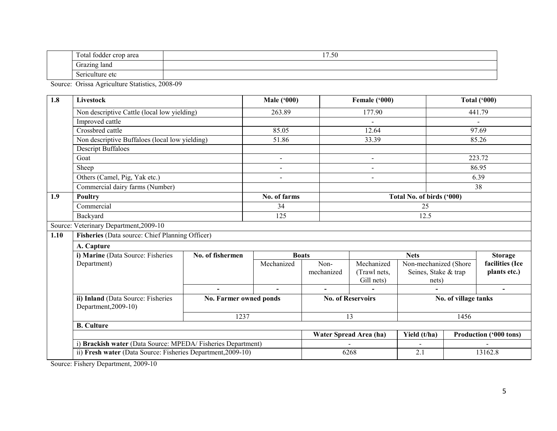| $\mathbf{r}$<br>Fotal<br>l fodder crop area<br>aica                               | 1770<br>$\sim$<br>11.00 |
|-----------------------------------------------------------------------------------|-------------------------|
| $\overline{\phantom{0}}$<br><i>frazing land</i><br><b>Grazin</b><br>$\sim$ $\sim$ |                         |
| -<br>Sericulture etc<br>ບບ                                                        |                         |

Source: Orissa Agriculture Statistics, 2008-09

| 1.8  | <b>Livestock</b>                                                                            |                  | <b>Male ('000)</b> |            | Female ('000)            |                           |         | <b>Total ('000)</b>    |  |
|------|---------------------------------------------------------------------------------------------|------------------|--------------------|------------|--------------------------|---------------------------|---------|------------------------|--|
|      | Non descriptive Cattle (local low yielding)                                                 |                  | 263.89             |            | 177.90                   |                           |         | 441.79                 |  |
|      | Improved cattle                                                                             |                  |                    |            |                          |                           |         |                        |  |
|      | Crossbred cattle                                                                            |                  | 85.05              |            | 12.64                    |                           |         | 97.69                  |  |
|      | Non descriptive Buffaloes (local low yielding)                                              |                  | 51.86              |            | 33.39                    |                           |         | 85.26                  |  |
|      | <b>Descript Buffaloes</b>                                                                   |                  |                    |            |                          |                           |         |                        |  |
|      | Goat                                                                                        |                  | $\sim$             |            | $\sim$                   |                           |         | 223.72                 |  |
|      | Sheep                                                                                       |                  | $\overline{a}$     |            | $\sim$                   |                           |         | 86.95                  |  |
|      | Others (Camel, Pig, Yak etc.)                                                               |                  | $\blacksquare$     |            | $\overline{\phantom{a}}$ |                           |         | 6.39                   |  |
|      | Commercial dairy farms (Number)                                                             |                  |                    |            |                          |                           |         | 38                     |  |
| 1.9  | <b>Poultry</b>                                                                              |                  | No. of farms       |            |                          | Total No. of birds ('000) |         |                        |  |
|      | Commercial                                                                                  |                  | 34                 |            |                          | 25                        |         |                        |  |
|      | Backyard                                                                                    |                  | 125                | 12.5       |                          |                           |         |                        |  |
|      | Source: Veterinary Department, 2009-10                                                      |                  |                    |            |                          |                           |         |                        |  |
| 1.10 | Fisheries (Data source: Chief Planning Officer)                                             |                  |                    |            |                          |                           |         |                        |  |
|      | A. Capture                                                                                  |                  |                    |            |                          |                           |         |                        |  |
|      | i) Marine (Data Source: Fisheries                                                           | No. of fishermen | <b>Boats</b>       |            |                          | <b>Nets</b>               |         | <b>Storage</b>         |  |
|      | Department)                                                                                 |                  | Mechanized         | Non-       | Mechanized               | Non-mechanized (Shore     |         | facilities (Ice        |  |
|      |                                                                                             |                  |                    | mechanized | (Trawl nets.)            | Seines, Stake & trap      |         | plants etc.)           |  |
|      |                                                                                             |                  |                    |            | Gill nets)               | nets)                     |         |                        |  |
|      |                                                                                             |                  |                    |            |                          |                           |         |                        |  |
|      | ii) Inland (Data Source: Fisheries<br><b>No. Farmer owned ponds</b><br>Department, 2009-10) |                  |                    |            | <b>No. of Reservoirs</b> | No. of village tanks      |         |                        |  |
|      | 1237                                                                                        |                  |                    |            | 13                       |                           | 1456    |                        |  |
|      | <b>B.</b> Culture                                                                           |                  |                    |            |                          |                           |         |                        |  |
|      |                                                                                             |                  |                    |            | Water Spread Area (ha)   | Yield (t/ha)              |         | Production ('000 tons) |  |
|      | i) Brackish water (Data Source: MPEDA/Fisheries Department)                                 |                  |                    |            |                          |                           |         |                        |  |
|      | ii) Fresh water (Data Source: Fisheries Department, 2009-10)                                |                  |                    | 6268       |                          | $\overline{2.1}$          | 13162.8 |                        |  |

Source: Fishery Department, 2009-10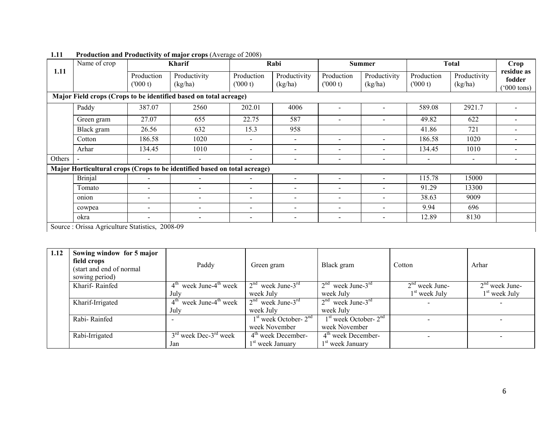|        | Name of crop                                                      |                          | <b>Kharif</b>                                                             |                          | Rabi                         |                          | <b>Summer</b>            |                          | <b>Total</b>            | Crop                                |  |
|--------|-------------------------------------------------------------------|--------------------------|---------------------------------------------------------------------------|--------------------------|------------------------------|--------------------------|--------------------------|--------------------------|-------------------------|-------------------------------------|--|
| 1.11   |                                                                   | Production<br>(000 t)    | Productivity<br>(kg/ha)                                                   | Production<br>(000 t)    | Productivity<br>(kg/ha)      | Production<br>(000 t)    | Productivity<br>(kg/ha)  | Production<br>(000 t)    | Productivity<br>(kg/ha) | residue as<br>fodder<br>$000$ tons) |  |
|        | Major Field crops (Crops to be identified based on total acreage) |                          |                                                                           |                          |                              |                          |                          |                          |                         |                                     |  |
|        | Paddy                                                             | 387.07                   | 2560                                                                      | 202.01                   | 4006                         |                          |                          | 589.08                   | 2921.7                  |                                     |  |
|        | Green gram                                                        | 27.07                    | 655                                                                       | 22.75                    | 587                          |                          |                          | 49.82                    | 622                     |                                     |  |
|        | Black gram                                                        | 26.56                    | 632                                                                       | 15.3                     | 958                          |                          |                          | 41.86                    | 721                     |                                     |  |
|        | Cotton                                                            | 186.58                   | 1020                                                                      |                          | $\qquad \qquad$              |                          |                          | 186.58                   | 1020                    |                                     |  |
|        | Arhar                                                             | 134.45                   | 1010                                                                      | $\overline{\phantom{0}}$ | $\overline{\phantom{a}}$     | $\overline{\phantom{a}}$ |                          | 134.45                   | 1010                    |                                     |  |
| Others |                                                                   | $\overline{\phantom{0}}$ | $\overline{\phantom{a}}$                                                  | $\overline{\phantom{a}}$ | $\qquad \qquad \blacksquare$ | $\overline{\phantom{a}}$ | $\overline{\phantom{0}}$ | $\overline{\phantom{a}}$ | $\sim$                  |                                     |  |
|        |                                                                   |                          | Major Horticultural crops (Crops to be identified based on total acreage) |                          |                              |                          |                          |                          |                         |                                     |  |
|        | <b>Brinjal</b>                                                    |                          |                                                                           | $\overline{\phantom{a}}$ |                              |                          |                          | 115.78                   | 15000                   |                                     |  |
|        | Tomato                                                            |                          |                                                                           | $\sim$                   | $\overline{\phantom{0}}$     | $\overline{\phantom{0}}$ |                          | 91.29                    | 13300                   |                                     |  |
|        | onion                                                             |                          |                                                                           |                          | $\overline{\phantom{a}}$     |                          |                          | 38.63                    | 9009                    |                                     |  |
|        | cowpea                                                            |                          | $\overline{\phantom{a}}$                                                  | $\overline{\phantom{0}}$ |                              | $\overline{\phantom{a}}$ |                          | 9.94                     | 696                     |                                     |  |
|        | okra                                                              | $\overline{\phantom{0}}$ | $\overline{\phantom{a}}$                                                  | $\,$                     | $\qquad \qquad \blacksquare$ | $\overline{\phantom{a}}$ | $\overline{\phantom{0}}$ | 12.89                    | 8130                    |                                     |  |
|        | Source: Original Agriculture Statistics, 2008.00                  |                          |                                                                           |                          |                              |                          |                          |                          |                         |                                     |  |

# 1.11 Production and Productivity of major crops (Average of 2008)

Source : Orissa Agriculture Statistics, 2008-09

| 1.12 | Sowing window for 5 major<br>field crops<br>(start and end of normal<br>sowing period) | Paddy                                             | Green gram                          | Black gram                      | Cotton           | Arhar                    |
|------|----------------------------------------------------------------------------------------|---------------------------------------------------|-------------------------------------|---------------------------------|------------------|--------------------------|
|      | Kharif-Rainfed                                                                         | 4 <sup>th</sup><br>week June-4 <sup>th</sup> week | 2 <sup>nd</sup><br>week June- $3rd$ | $2nd$ week June-3 <sup>rd</sup> | $2nd$ week June- | $2nd$ week June-         |
|      |                                                                                        | July                                              | week July                           | week July                       | $1st$ week July  | $1st$ week July          |
|      | Kharif-Irrigated                                                                       | week June-4 <sup>th</sup> week<br>$4^{\text{in}}$ | $2nd$ week June-3 <sup>rd</sup>     | $2nd$ week June-3 <sup>rd</sup> |                  |                          |
|      |                                                                                        | July                                              | week July                           | week July                       |                  |                          |
|      | Rabi-Rainfed                                                                           |                                                   | $1st$ week October- $2nd$           | $1st$ week October- $2nd$       |                  |                          |
|      |                                                                                        |                                                   | week November                       | week November                   |                  |                          |
|      | Rabi-Irrigated                                                                         | $3rd$ week Dec-3 <sup>rd</sup> week               | $4th$ week December-                | $4th$ week December-            |                  | $\overline{\phantom{0}}$ |
|      |                                                                                        | Jan                                               | 1 <sup>st</sup> week January        | 1 <sup>st</sup> week January    |                  |                          |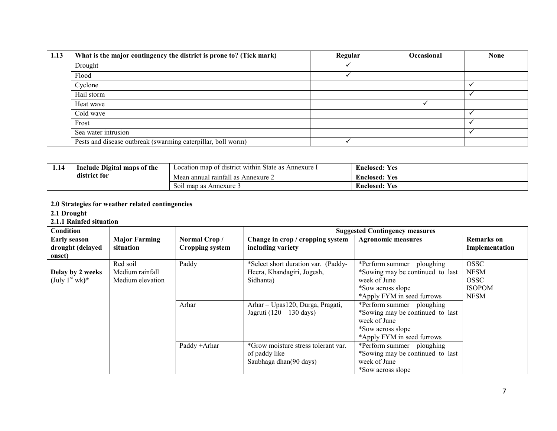| 1.13 | What is the major contingency the district is prone to? (Tick mark) | Regular | Occasional | <b>None</b> |
|------|---------------------------------------------------------------------|---------|------------|-------------|
|      | Drought                                                             |         |            |             |
|      | Flood                                                               |         |            |             |
|      | Cyclone                                                             |         |            |             |
|      | Hail storm                                                          |         |            |             |
|      | Heat wave                                                           |         |            |             |
|      | Cold wave                                                           |         |            |             |
|      | Frost                                                               |         |            |             |
|      | Sea water intrusion                                                 |         |            |             |
|      | Pests and disease outbreak (swarming caterpillar, boll worm)        |         |            |             |

| 1.14                     | Include Digital maps of the | Location map of district within State as .<br>Annexure 1 | $\mathbf{r}$<br>Enclosed:<br><b>Ves</b> |
|--------------------------|-----------------------------|----------------------------------------------------------|-----------------------------------------|
| $\cdots$<br>district for |                             | 0.11<br>Mean annual raintall as<br>Annexure $\angle$     | $\mathbf{r}$<br><b>Ves</b><br>Enclosed: |
|                          |                             | Soil map as Annexure 3                                   | $\mathbf{r}$<br>Enclosed:<br><b>Ves</b> |

### 2.0 Strategies for weather related contingencies

2.1 Drought

#### 2.1.1 Rainfed situation

| Condition           |                      |                        |                                     | <b>Suggested Contingency measures</b> |                   |
|---------------------|----------------------|------------------------|-------------------------------------|---------------------------------------|-------------------|
| <b>Early season</b> | <b>Major Farming</b> | Normal Crop/           | Change in crop / cropping system    | <b>Agronomic measures</b>             | <b>Remarks</b> on |
| drought (delayed    | situation            | <b>Cropping system</b> | including variety                   |                                       | Implementation    |
| onset)              |                      |                        |                                     |                                       |                   |
|                     | Red soil             | Paddy                  | *Select short duration var. (Paddy- | *Perform summer ploughing             | <b>OSSC</b>       |
| Delay by 2 weeks    | Medium rainfall      |                        | Heera, Khandagiri, Jogesh,          | *Sowing may be continued to last      | <b>NFSM</b>       |
| (July $1st$ wk)*    | Medium elevation     |                        | Sidhanta)                           | week of June                          | <b>OSSC</b>       |
|                     |                      |                        |                                     | *Sow across slope                     | <b>ISOPOM</b>     |
|                     |                      |                        |                                     | *Apply FYM in seed furrows            | <b>NFSM</b>       |
|                     |                      | Arhar                  | Arhar – Upas120, Durga, Pragati,    | *Perform summer ploughing             |                   |
|                     |                      |                        | Jagruti (120 – 130 days)            | *Sowing may be continued to last      |                   |
|                     |                      |                        |                                     | week of June                          |                   |
|                     |                      |                        |                                     | *Sow across slope                     |                   |
|                     |                      |                        |                                     | *Apply FYM in seed furrows            |                   |
|                     |                      | Paddy + Arhar          | *Grow moisture stress tolerant var. | *Perform summer ploughing             |                   |
|                     |                      |                        | of paddy like                       | *Sowing may be continued to last      |                   |
|                     |                      |                        | Saubhaga dhan(90 days)              | week of June                          |                   |
|                     |                      |                        |                                     | *Sow across slope                     |                   |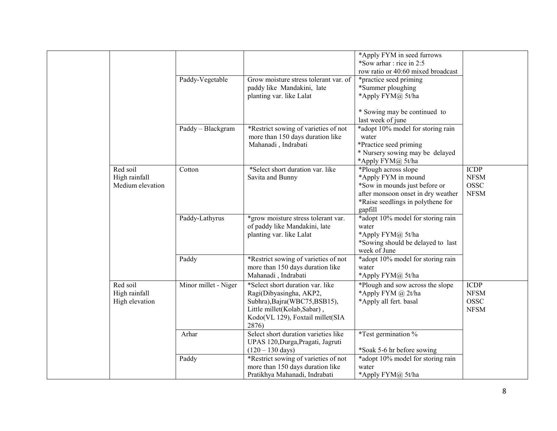|                                               |                      |                                                                                                                                                                          | *Apply FYM in seed furrows<br>*Sow arhar: rice in 2:5<br>row ratio or 40:60 mixed broadcast                                                                        |                                                           |
|-----------------------------------------------|----------------------|--------------------------------------------------------------------------------------------------------------------------------------------------------------------------|--------------------------------------------------------------------------------------------------------------------------------------------------------------------|-----------------------------------------------------------|
|                                               | Paddy-Vegetable      | Grow moisture stress tolerant var. of<br>paddy like Mandakini, late<br>planting var. like Lalat                                                                          | *practice seed priming<br>*Summer ploughing<br>*Apply FYM@ 5t/ha                                                                                                   |                                                           |
|                                               |                      |                                                                                                                                                                          | * Sowing may be continued to<br>last week of june                                                                                                                  |                                                           |
|                                               | Paddy - Blackgram    | *Restrict sowing of varieties of not<br>more than 150 days duration like<br>Mahanadi, Indrabati                                                                          | *adopt 10% model for storing rain<br>water<br>*Practice seed priming<br>* Nursery sowing may be delayed<br>*Apply FYM@ 5t/ha                                       |                                                           |
| Red soil<br>High rainfall<br>Medium elevation | Cotton               | *Select short duration var. like<br>Savita and Bunny                                                                                                                     | *Plough across slope<br>*Apply FYM in mound<br>*Sow in mounds just before or<br>after monsoon onset in dry weather<br>*Raise seedlings in polythene for<br>gapfill | <b>ICDP</b><br>${\rm NFSM}$<br><b>OSSC</b><br><b>NFSM</b> |
|                                               | Paddy-Lathyrus       | *grow moisture stress tolerant var.<br>of paddy like Mandakini, late<br>planting var. like Lalat                                                                         | *adopt 10% model for storing rain<br>water<br>*Apply FYM@ 5t/ha<br>*Sowing should be delayed to last<br>week of June                                               |                                                           |
|                                               | Paddy                | *Restrict sowing of varieties of not<br>more than 150 days duration like<br>Mahanadi, Indrabati                                                                          | *adopt 10% model for storing rain<br>water<br>*Apply FYM@ 5t/ha                                                                                                    |                                                           |
| Red soil<br>High rainfall<br>High elevation   | Minor millet - Niger | *Select short duration var. like<br>Ragi(Dibyasingha, AKP2,<br>Subhra), Bajra(WBC75, BSB15),<br>Little millet(Kolab,Sabar),<br>Kodo(VL 129), Foxtail millet(SIA<br>2876) | *Plough and sow across the slope<br>*Apply FYM @ 2t/ha<br>*Apply all fert. basal                                                                                   | <b>ICDP</b><br><b>NFSM</b><br><b>OSSC</b><br><b>NFSM</b>  |
|                                               | Arhar                | Select short duration varieties like<br>UPAS 120, Durga, Pragati, Jagruti<br>$(120 - 130 \text{ days})$                                                                  | *Test germination %<br>*Soak 5-6 hr before sowing                                                                                                                  |                                                           |
|                                               | Paddy                | *Restrict sowing of varieties of not<br>more than 150 days duration like<br>Pratikhya Mahanadi, Indrabati                                                                | *adopt 10% model for storing rain<br>water<br>*Apply FYM@ 5t/ha                                                                                                    |                                                           |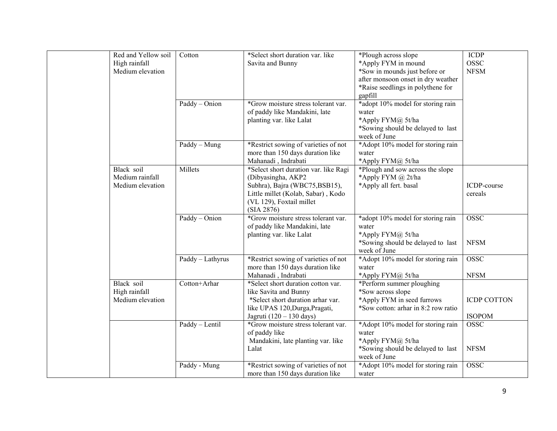| Red and Yellow soil | Cotton           | *Select short duration var. like      | *Plough across slope                | <b>ICDP</b>        |
|---------------------|------------------|---------------------------------------|-------------------------------------|--------------------|
| High rainfall       |                  | Savita and Bunny                      | *Apply FYM in mound                 | OSSC               |
| Medium elevation    |                  |                                       | *Sow in mounds just before or       | <b>NFSM</b>        |
|                     |                  |                                       | after monsoon onset in dry weather  |                    |
|                     |                  |                                       | *Raise seedlings in polythene for   |                    |
|                     |                  |                                       | gapfill                             |                    |
|                     | Paddy - Onion    | *Grow moisture stress tolerant var.   | *adopt 10% model for storing rain   |                    |
|                     |                  | of paddy like Mandakini, late         | water                               |                    |
|                     |                  | planting var. like Lalat              | *Apply FYM@ 5t/ha                   |                    |
|                     |                  |                                       | *Sowing should be delayed to last   |                    |
|                     |                  |                                       | week of June                        |                    |
|                     | Paddy - Mung     | *Restrict sowing of varieties of not  | *Adopt 10% model for storing rain   |                    |
|                     |                  | more than 150 days duration like      | water                               |                    |
|                     |                  | Mahanadi, Indrabati                   | *Apply FYM@ 5t/ha                   |                    |
| Black soil          | Millets          | *Select short duration var. like Ragi | *Plough and sow across the slope    |                    |
| Medium rainfall     |                  | (Dibyasingha, AKP2                    | *Apply FYM @ 2t/ha                  |                    |
| Medium elevation    |                  | Subhra), Bajra (WBC75,BSB15),         | *Apply all fert. basal              | ICDP-course        |
|                     |                  | Little millet (Kolab, Sabar), Kodo    |                                     | cereals            |
|                     |                  | (VL 129), Foxtail millet              |                                     |                    |
|                     |                  | (SIA 2876)                            |                                     |                    |
|                     | Paddy - Onion    | *Grow moisture stress tolerant var.   | *adopt 10% model for storing rain   | <b>OSSC</b>        |
|                     |                  | of paddy like Mandakini, late         | water                               |                    |
|                     |                  | planting var. like Lalat              | *Apply FYM@ 5t/ha                   |                    |
|                     |                  |                                       | *Sowing should be delayed to last   | <b>NFSM</b>        |
|                     |                  |                                       | week of June                        |                    |
|                     | Paddy - Lathyrus | *Restrict sowing of varieties of not  | *Adopt 10% model for storing rain   | <b>OSSC</b>        |
|                     |                  | more than 150 days duration like      | water                               |                    |
|                     |                  | Mahanadi, Indrabati                   | *Apply FYM@ 5t/ha                   | <b>NFSM</b>        |
| Black soil          | Cotton+Arhar     | *Select short duration cotton var.    | *Perform summer ploughing           |                    |
| High rainfall       |                  | like Savita and Bunny                 | *Sow across slope                   |                    |
| Medium elevation    |                  | *Select short duration arhar var.     | *Apply FYM in seed furrows          | <b>ICDP COTTON</b> |
|                     |                  | like UPAS 120, Durga, Pragati,        | *Sow cotton: arhar in 8:2 row ratio |                    |
|                     |                  | Jagruti (120 – 130 days)              |                                     | <b>ISOPOM</b>      |
|                     | Paddy - Lentil   | *Grow moisture stress tolerant var.   | *Adopt 10% model for storing rain   | <b>OSSC</b>        |
|                     |                  | of paddy like                         | water                               |                    |
|                     |                  | Mandakini, late planting var. like    | *Apply FYM@ 5t/ha                   |                    |
|                     |                  | Lalat                                 | *Sowing should be delayed to last   | <b>NFSM</b>        |
|                     |                  |                                       | week of June                        |                    |
|                     | Paddy - Mung     | *Restrict sowing of varieties of not  | *Adopt 10% model for storing rain   | <b>OSSC</b>        |
|                     |                  | more than 150 days duration like      | water                               |                    |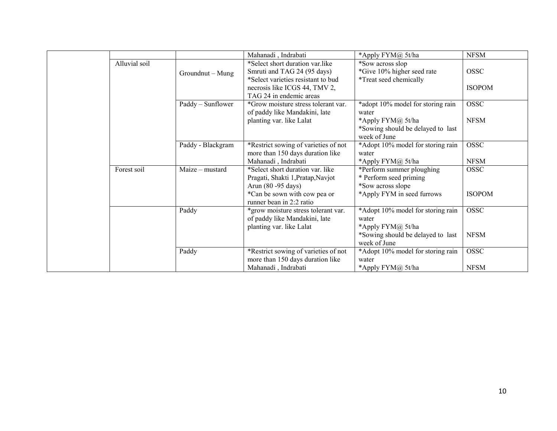|  |               |                   | Mahanadi, Indrabati                                                                                                                   | *Apply FYM@ 5t/ha                                                        | <b>NFSM</b>                  |
|--|---------------|-------------------|---------------------------------------------------------------------------------------------------------------------------------------|--------------------------------------------------------------------------|------------------------------|
|  | Alluvial soil | Groundnut - Mung  | *Select short duration var.like<br>Smruti and TAG 24 (95 days)<br>*Select varieties resistant to bud<br>necrosis like ICGS 44, TMV 2, | *Sow across slop<br>*Give 10% higher seed rate<br>*Treat seed chemically | <b>OSSC</b><br><b>ISOPOM</b> |
|  |               |                   | TAG 24 in endemic areas                                                                                                               |                                                                          |                              |
|  |               | Paddy - Sunflower | *Grow moisture stress tolerant var.<br>of paddy like Mandakini, late<br>planting var. like Lalat                                      | *adopt 10% model for storing rain<br>water<br>*Apply FYM@ 5t/ha          | <b>OSSC</b><br><b>NFSM</b>   |
|  |               |                   |                                                                                                                                       | *Sowing should be delayed to last<br>week of June                        |                              |
|  |               | Paddy - Blackgram | *Restrict sowing of varieties of not<br>more than 150 days duration like                                                              | *Adopt 10% model for storing rain<br>water                               | <b>OSSC</b>                  |
|  |               |                   | Mahanadi, Indrabati                                                                                                                   | *Apply FYM@ 5t/ha                                                        | <b>NFSM</b>                  |
|  | Forest soil   | Maize – mustard   | *Select short duration var. like<br>Pragati, Shakti 1, Pratap, Navjot<br>Arun (80 - 95 days)                                          | *Perform summer ploughing<br>* Perform seed priming<br>*Sow across slope | <b>OSSC</b>                  |
|  |               |                   | *Can be sown with cow pea or<br>runner bean in 2:2 ratio                                                                              | *Apply FYM in seed furrows                                               | <b>ISOPOM</b>                |
|  |               | Paddy             | *grow moisture stress tolerant var.<br>of paddy like Mandakini, late<br>planting var. like Lalat                                      | *Adopt 10% model for storing rain<br>water<br>*Apply FYM@ 5t/ha          | <b>OSSC</b>                  |
|  |               |                   |                                                                                                                                       | *Sowing should be delayed to last<br>week of June                        | <b>NFSM</b>                  |
|  |               | Paddy             | *Restrict sowing of varieties of not<br>more than 150 days duration like                                                              | *Adopt 10% model for storing rain<br>water                               | <b>OSSC</b>                  |
|  |               |                   | Mahanadi, Indrabati                                                                                                                   | *Apply FYM@ 5t/ha                                                        | <b>NFSM</b>                  |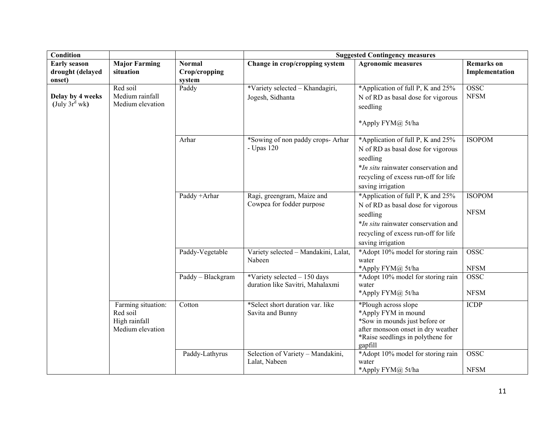| Condition                                         |                                                                     |                                          | <b>Suggested Contingency measures</b>                             |                                                                                                                                                                                         |                                     |
|---------------------------------------------------|---------------------------------------------------------------------|------------------------------------------|-------------------------------------------------------------------|-----------------------------------------------------------------------------------------------------------------------------------------------------------------------------------------|-------------------------------------|
| <b>Early season</b><br>drought (delayed<br>onset) | <b>Major Farming</b><br>situation                                   | <b>Normal</b><br>Crop/cropping<br>system | Change in crop/cropping system                                    | <b>Agronomic measures</b>                                                                                                                                                               | <b>Remarks</b> on<br>Implementation |
| Delay by 4 weeks<br>(July $3r^d$ wk)              | Red soil<br>Medium rainfall<br>Medium elevation                     | Paddy                                    | *Variety selected - Khandagiri,<br>Jogesh, Sidhanta               | *Application of full P, K and 25%<br>N of RD as basal dose for vigorous<br>seedling<br>*Apply FYM@ 5t/ha                                                                                | <b>OSSC</b><br><b>NFSM</b>          |
|                                                   |                                                                     | Arhar                                    | *Sowing of non paddy crops- Arhar<br>- Upas 120                   | *Application of full P, K and 25%<br>N of RD as basal dose for vigorous<br>seedling<br>*In situ rainwater conservation and<br>recycling of excess run-off for life<br>saving irrigation | <b>ISOPOM</b>                       |
|                                                   |                                                                     | Paddy + Arhar                            | Ragi, greengram, Maize and<br>Cowpea for fodder purpose           | *Application of full P, K and 25%<br>N of RD as basal dose for vigorous<br>seedling<br>*In situ rainwater conservation and<br>recycling of excess run-off for life<br>saving irrigation | <b>ISOPOM</b><br><b>NFSM</b>        |
|                                                   |                                                                     | Paddy-Vegetable                          | Variety selected - Mandakini, Lalat,<br>Nabeen                    | *Adopt 10% model for storing rain<br>water<br>*Apply FYM@ 5t/ha                                                                                                                         | <b>OSSC</b><br><b>NFSM</b>          |
|                                                   |                                                                     | Paddy - Blackgram                        | *Variety selected $-150$ days<br>duration like Savitri, Mahalaxmi | *Adopt 10% model for storing rain<br>water<br>*Apply FYM@ 5t/ha                                                                                                                         | <b>OSSC</b><br><b>NFSM</b>          |
|                                                   | Farming situation:<br>Red soil<br>High rainfall<br>Medium elevation | Cotton                                   | *Select short duration var. like<br>Savita and Bunny              | *Plough across slope<br>*Apply FYM in mound<br>*Sow in mounds just before or<br>after monsoon onset in dry weather<br>*Raise seedlings in polythene for<br>gapfill                      | <b>ICDP</b>                         |
|                                                   |                                                                     | Paddy-Lathyrus                           | Selection of Variety - Mandakini,<br>Lalat, Nabeen                | *Adopt 10% model for storing rain<br>water<br>*Apply FYM@ 5t/ha                                                                                                                         | <b>OSSC</b><br><b>NFSM</b>          |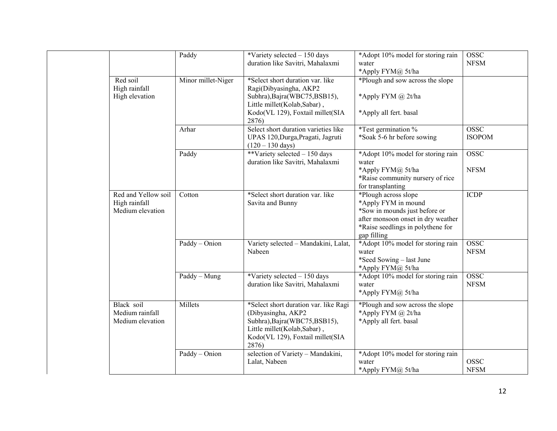|  |                                                          | Paddy              | *Variety selected $-150$ days<br>duration like Savitri, Mahalaxmi                                                                                                        | *Adopt 10% model for storing rain<br>water<br>*Apply FYM@ 5t/ha                                                                                                        | <b>OSSC</b><br><b>NFSM</b>   |
|--|----------------------------------------------------------|--------------------|--------------------------------------------------------------------------------------------------------------------------------------------------------------------------|------------------------------------------------------------------------------------------------------------------------------------------------------------------------|------------------------------|
|  | Red soil<br>High rainfall<br>High elevation              | Minor millet-Niger | *Select short duration var. like<br>Ragi(Dibyasingha, AKP2<br>Subhra), Bajra(WBC75, BSB15),<br>Little millet(Kolab,Sabar),<br>Kodo(VL 129), Foxtail millet(SIA<br>2876)  | *Plough and sow across the slope<br>*Apply FYM @ 2t/ha<br>*Apply all fert. basal                                                                                       |                              |
|  |                                                          | Arhar              | Select short duration varieties like<br>UPAS 120, Durga, Pragati, Jagruti<br>$(120 - 130 \text{ days})$                                                                  | *Test germination %<br>*Soak 5-6 hr before sowing                                                                                                                      | <b>OSSC</b><br><b>ISOPOM</b> |
|  |                                                          | Paddy              | **Variety selected $-150$ days<br>duration like Savitri, Mahalaxmi                                                                                                       | *Adopt 10% model for storing rain<br>water<br>*Apply FYM@ 5t/ha<br>*Raise community nursery of rice<br>for transplanting                                               | <b>OSSC</b><br><b>NFSM</b>   |
|  | Red and Yellow soil<br>High rainfall<br>Medium elevation | Cotton             | *Select short duration var. like<br>Savita and Bunny                                                                                                                     | *Plough across slope<br>*Apply FYM in mound<br>*Sow in mounds just before or<br>after monsoon onset in dry weather<br>*Raise seedlings in polythene for<br>gap filling | <b>ICDP</b>                  |
|  |                                                          | Paddy - Onion      | Variety selected - Mandakini, Lalat,<br>Nabeen                                                                                                                           | *Adopt 10% model for storing rain<br>water<br>*Seed Sowing – last June<br>*Apply FYM@ 5t/ha                                                                            | <b>OSSC</b><br><b>NFSM</b>   |
|  |                                                          | Paddy - Mung       | *Variety selected $-150$ days<br>duration like Savitri, Mahalaxmi                                                                                                        | *Adopt 10% model for storing rain<br>water<br>*Apply FYM@ 5t/ha                                                                                                        | <b>OSSC</b><br>${\rm NFSM}$  |
|  | Black soil<br>Medium rainfall<br>Medium elevation        | Millets            | *Select short duration var. like Ragi<br>(Dibyasingha, AKP2<br>Subhra), Bajra(WBC75, BSB15),<br>Little millet(Kolab,Sabar),<br>Kodo(VL 129), Foxtail millet(SIA<br>2876) | *Plough and sow across the slope<br>*Apply FYM @ 2t/ha<br>*Apply all fert. basal                                                                                       |                              |
|  |                                                          | Paddy - Onion      | selection of Variety - Mandakini,<br>Lalat, Nabeen                                                                                                                       | *Adopt 10% model for storing rain<br>water<br>*Apply FYM@ 5t/ha                                                                                                        | <b>OSSC</b><br><b>NFSM</b>   |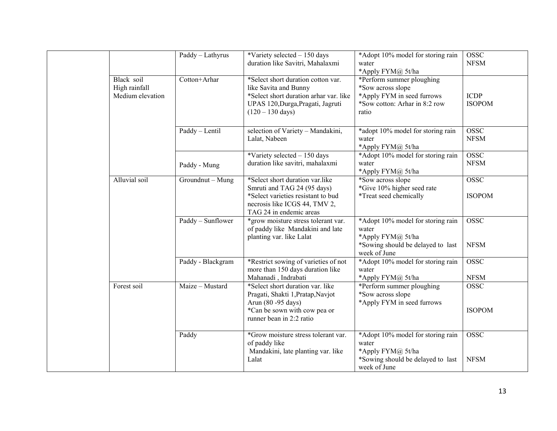|  |                                                 | Paddy - Lathyrus  | *Variety selected $-150$ days<br>duration like Savitri, Mahalaxmi                                                                                                        | *Adopt 10% model for storing rain<br>water<br>*Apply FYM@ 5t/ha                                                        | <b>OSSC</b><br><b>NFSM</b>   |
|--|-------------------------------------------------|-------------------|--------------------------------------------------------------------------------------------------------------------------------------------------------------------------|------------------------------------------------------------------------------------------------------------------------|------------------------------|
|  | Black soil<br>High rainfall<br>Medium elevation | Cotton+Arhar      | *Select short duration cotton var.<br>like Savita and Bunny<br>*Select short duration arhar var. like<br>UPAS 120, Durga, Pragati, Jagruti<br>$(120 - 130 \text{ days})$ | *Perform summer ploughing<br>*Sow across slope<br>*Apply FYM in seed furrows<br>*Sow cotton: Arhar in 8:2 row<br>ratio | <b>ICDP</b><br><b>ISOPOM</b> |
|  |                                                 | Paddy - Lentil    | selection of Variety - Mandakini,<br>Lalat, Nabeen                                                                                                                       | *adopt 10% model for storing rain<br>water<br>*Apply FYM@ 5t/ha                                                        | <b>OSSC</b><br><b>NFSM</b>   |
|  |                                                 | Paddy - Mung      | *Variety selected $-150$ days<br>duration like savitri, mahalaxmi                                                                                                        | *Adopt 10% model for storing rain<br>water<br>*Apply FYM@ 5t/ha                                                        | <b>OSSC</b><br><b>NFSM</b>   |
|  | Alluvial soil                                   | Groundnut - Mung  | *Select short duration var.like<br>Smruti and TAG 24 (95 days)<br>*Select varieties resistant to bud<br>necrosis like ICGS 44, TMV 2,<br>TAG 24 in endemic areas         | *Sow across slope<br>*Give 10% higher seed rate<br>*Treat seed chemically                                              | <b>OSSC</b><br><b>ISOPOM</b> |
|  |                                                 | Paddy - Sunflower | *grow moisture stress tolerant var.<br>of paddy like Mandakini and late<br>planting var. like Lalat                                                                      | *Adopt 10% model for storing rain<br>water<br>*Apply FYM@ 5t/ha<br>*Sowing should be delayed to last<br>week of June   | <b>OSSC</b><br><b>NFSM</b>   |
|  |                                                 | Paddy - Blackgram | *Restrict sowing of varieties of not<br>more than 150 days duration like<br>Mahanadi, Indrabati                                                                          | *Adopt 10% model for storing rain<br>water<br>*Apply FYM@ 5t/ha                                                        | <b>OSSC</b><br><b>NFSM</b>   |
|  | Forest soil                                     | Maize - Mustard   | *Select short duration var. like<br>Pragati, Shakti 1, Pratap, Navjot<br>Arun (80 - 95 days)<br>*Can be sown with cow pea or<br>runner bean in 2:2 ratio                 | *Perform summer ploughing<br>*Sow across slope<br>*Apply FYM in seed furrows                                           | <b>OSSC</b><br><b>ISOPOM</b> |
|  |                                                 | Paddy             | *Grow moisture stress tolerant var.<br>of paddy like<br>Mandakini, late planting var. like<br>Lalat                                                                      | *Adopt 10% model for storing rain<br>water<br>*Apply FYM@ 5t/ha<br>*Sowing should be delayed to last<br>week of June   | <b>OSSC</b><br><b>NFSM</b>   |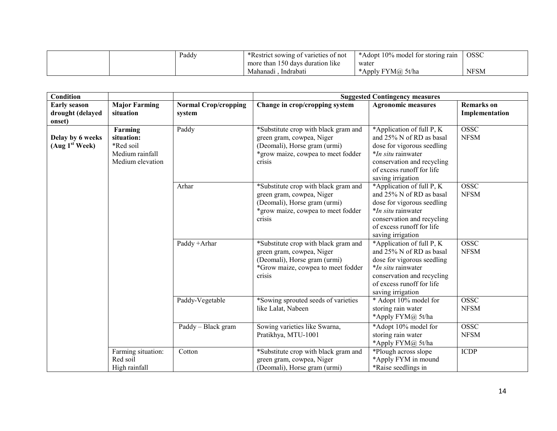|  | Paddy | *Restrict sowing of varieties of not | *Adopt 10% model for storing rain | <b>OSSC</b> |
|--|-------|--------------------------------------|-----------------------------------|-------------|
|  |       | more than 150 days duration like     | water                             |             |
|  |       | Indrabatı<br>Mahanadi                | Apply FYM@ 5t/ha                  | <b>NFSM</b> |

| Condition                                         |                                                                           |                                       |                                                                                                                                                   | <b>Suggested Contingency measures</b>                                                                                                                                                            |                                     |
|---------------------------------------------------|---------------------------------------------------------------------------|---------------------------------------|---------------------------------------------------------------------------------------------------------------------------------------------------|--------------------------------------------------------------------------------------------------------------------------------------------------------------------------------------------------|-------------------------------------|
| <b>Early season</b><br>drought (delayed<br>onset) | <b>Major Farming</b><br>situation                                         | <b>Normal Crop/cropping</b><br>system | Change in crop/cropping system                                                                                                                    | <b>Agronomic measures</b>                                                                                                                                                                        | <b>Remarks</b> on<br>Implementation |
| Delay by 6 weeks<br>(Aug 1 <sup>st</sup> Week)    | Farming<br>situation:<br>*Red soil<br>Medium rainfall<br>Medium elevation | Paddy                                 | *Substitute crop with black gram and<br>green gram, cowpea, Niger<br>(Deomali), Horse gram (urmi)<br>*grow maize, cowpea to meet fodder<br>crisis | *Application of full P, K<br>and 25% N of RD as basal<br>dose for vigorous seedling<br>*In situ rainwater<br>conservation and recycling<br>of excess runoff for life<br>saving irrigation        | <b>OSSC</b><br><b>NFSM</b>          |
|                                                   |                                                                           | Arhar                                 | *Substitute crop with black gram and<br>green gram, cowpea, Niger<br>(Deomali), Horse gram (urmi)<br>*grow maize, cowpea to meet fodder<br>crisis | *Application of full P, K<br>and 25% N of RD as basal<br>dose for vigorous seedling<br><i>*In situ</i> rainwater<br>conservation and recycling<br>of excess runoff for life<br>saving irrigation | <b>OSSC</b><br><b>NFSM</b>          |
|                                                   |                                                                           | Paddy +Arhar                          | *Substitute crop with black gram and<br>green gram, cowpea, Niger<br>(Deomali), Horse gram (urmi)<br>*Grow maize, cowpea to meet fodder<br>crisis | *Application of full P, K<br>and 25% N of RD as basal<br>dose for vigorous seedling<br><i>*In situ</i> rainwater<br>conservation and recycling<br>of excess runoff for life<br>saving irrigation | OSSC<br><b>NFSM</b>                 |
|                                                   |                                                                           | Paddy-Vegetable                       | *Sowing sprouted seeds of varieties<br>like Lalat, Nabeen                                                                                         | * Adopt 10% model for<br>storing rain water<br>*Apply FYM@ 5t/ha                                                                                                                                 | OSSC<br><b>NFSM</b>                 |
|                                                   |                                                                           | Paddy – Black gram                    | Sowing varieties like Swarna,<br>Pratikhya, MTU-1001                                                                                              | *Adopt 10% model for<br>storing rain water<br>*Apply FYM@ 5t/ha                                                                                                                                  | <b>OSSC</b><br><b>NFSM</b>          |
|                                                   | Farming situation:<br>Red soil<br>High rainfall                           | Cotton                                | *Substitute crop with black gram and<br>green gram, cowpea, Niger<br>(Deomali), Horse gram (urmi)                                                 | *Plough across slope<br>*Apply FYM in mound<br>*Raise seedlings in                                                                                                                               | <b>ICDP</b>                         |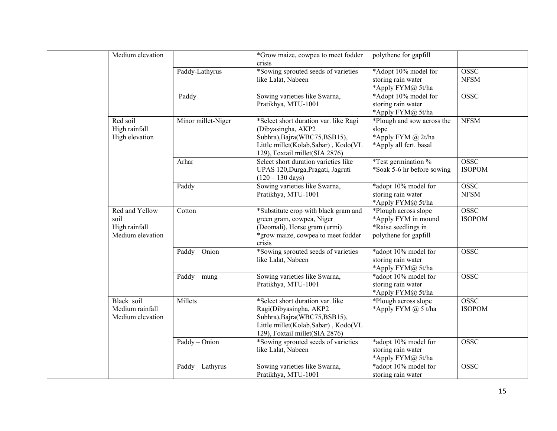|                                             | Medium elevation                                    |                                                                                                                                                                       | *Grow maize, cowpea to meet fodder<br>crisis                                                                                                                         | polythene for gapfill                                                                       |                              |
|---------------------------------------------|-----------------------------------------------------|-----------------------------------------------------------------------------------------------------------------------------------------------------------------------|----------------------------------------------------------------------------------------------------------------------------------------------------------------------|---------------------------------------------------------------------------------------------|------------------------------|
|                                             |                                                     | Paddy-Lathyrus                                                                                                                                                        | *Sowing sprouted seeds of varieties<br>like Lalat, Nabeen                                                                                                            | *Adopt 10% model for<br>storing rain water<br>*Apply FYM@ 5t/ha                             | <b>OSSC</b><br><b>NFSM</b>   |
|                                             |                                                     | Paddy                                                                                                                                                                 | Sowing varieties like Swarna,<br>Pratikhya, MTU-1001                                                                                                                 | *Adopt 10% model for<br>storing rain water<br>*Apply FYM@ 5t/ha                             | <b>OSSC</b>                  |
| Red soil<br>High rainfall<br>High elevation | Minor millet-Niger                                  | *Select short duration var. like Ragi<br>(Dibyasingha, AKP2<br>Subhra), Bajra(WBC75, BSB15),<br>Little millet(Kolab,Sabar), Kodo(VL<br>129), Foxtail millet(SIA 2876) | *Plough and sow across the<br>slope<br>*Apply FYM @ 2t/ha<br>*Apply all fert. basal                                                                                  | <b>NFSM</b>                                                                                 |                              |
|                                             |                                                     | Arhar                                                                                                                                                                 | Select short duration varieties like<br>UPAS 120, Durga, Pragati, Jagruti<br>$(120 - 130 \text{ days})$                                                              | *Test germination %<br>*Soak 5-6 hr before sowing                                           | <b>OSSC</b><br><b>ISOPOM</b> |
| soil                                        |                                                     | Paddy                                                                                                                                                                 | Sowing varieties like Swarna,<br>Pratikhya, MTU-1001                                                                                                                 | *adopt 10% model for<br>storing rain water<br>*Apply FYM@ 5t/ha                             | <b>OSSC</b><br><b>NFSM</b>   |
|                                             | Red and Yellow<br>High rainfall<br>Medium elevation | Cotton                                                                                                                                                                | *Substitute crop with black gram and<br>green gram, cowpea, Niger<br>(Deomali), Horse gram (urmi)<br>*grow maize, cowpea to meet fodder<br>crisis                    | *Plough across slope<br>*Apply FYM in mound<br>*Raise seedlings in<br>polythene for gapfill | <b>OSSC</b><br><b>ISOPOM</b> |
|                                             |                                                     | Paddy - Onion                                                                                                                                                         | *Sowing sprouted seeds of varieties<br>like Lalat, Nabeen                                                                                                            | *adopt 10% model for<br>storing rain water<br>*Apply FYM@ 5t/ha                             | <b>OSSC</b>                  |
|                                             |                                                     | $Paddy - mung$                                                                                                                                                        | Sowing varieties like Swarna,<br>Pratikhya, MTU-1001                                                                                                                 | *adopt 10% model for<br>storing rain water<br>*Apply FYM@ 5t/ha                             | <b>OSSC</b>                  |
|                                             | Black soil<br>Medium rainfall<br>Medium elevation   | Millets                                                                                                                                                               | *Select short duration var. like<br>Ragi(Dibyasingha, AKP2<br>Subhra), Bajra(WBC75, BSB15),<br>Little millet(Kolab,Sabar), Kodo(VL<br>129), Foxtail millet(SIA 2876) | *Plough across slope<br>*Apply FYM $@$ 5 t/ha                                               | <b>OSSC</b><br><b>ISOPOM</b> |
|                                             |                                                     | Paddy - Onion                                                                                                                                                         | *Sowing sprouted seeds of varieties<br>like Lalat, Nabeen                                                                                                            | *adopt 10% model for<br>storing rain water<br>*Apply FYM@ 5t/ha                             | <b>OSSC</b>                  |
|                                             |                                                     | Paddy - Lathyrus                                                                                                                                                      | Sowing varieties like Swarna,<br>Pratikhya, MTU-1001                                                                                                                 | *adopt 10% model for<br>storing rain water                                                  | <b>OSSC</b>                  |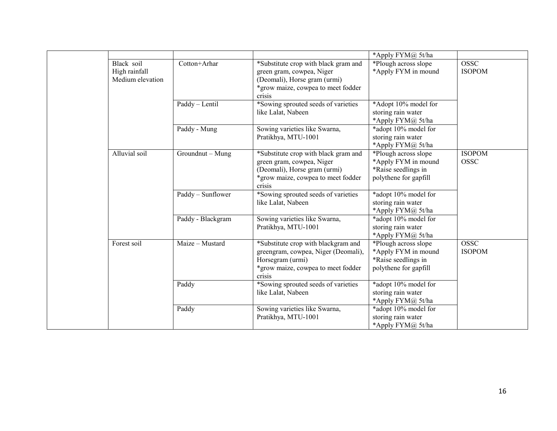|                                                 |                   |                                                                                                                                                   | *Apply FYM@ 5t/ha                                                                           |                              |
|-------------------------------------------------|-------------------|---------------------------------------------------------------------------------------------------------------------------------------------------|---------------------------------------------------------------------------------------------|------------------------------|
| Black soil<br>High rainfall<br>Medium elevation | Cotton+Arhar      | *Substitute crop with black gram and<br>green gram, cowpea, Niger<br>(Deomali), Horse gram (urmi)<br>*grow maize, cowpea to meet fodder<br>crisis | *Plough across slope<br>*Apply FYM in mound                                                 | <b>OSSC</b><br><b>ISOPOM</b> |
|                                                 | Paddy - Lentil    | *Sowing sprouted seeds of varieties<br>like Lalat, Nabeen                                                                                         | *Adopt 10% model for<br>storing rain water<br>*Apply FYM@ 5t/ha                             |                              |
|                                                 | Paddy - Mung      | Sowing varieties like Swarna,<br>Pratikhya, MTU-1001                                                                                              | *adopt 10% model for<br>storing rain water<br>*Apply FYM@ 5t/ha                             |                              |
| Alluvial soil                                   | Groundnut - Mung  | *Substitute crop with black gram and<br>green gram, cowpea, Niger<br>(Deomali), Horse gram (urmi)<br>*grow maize, cowpea to meet fodder<br>crisis | *Plough across slope<br>*Apply FYM in mound<br>*Raise seedlings in<br>polythene for gapfill | <b>ISOPOM</b><br><b>OSSC</b> |
|                                                 | Paddy - Sunflower | *Sowing sprouted seeds of varieties<br>like Lalat, Nabeen                                                                                         | *adopt 10% model for<br>storing rain water<br>*Apply FYM@ 5t/ha                             |                              |
|                                                 | Paddy - Blackgram | Sowing varieties like Swarna,<br>Pratikhya, MTU-1001                                                                                              | *adopt 10% model for<br>storing rain water<br>*Apply FYM@ 5t/ha                             |                              |
| Forest soil                                     | Maize - Mustard   | *Substitute crop with blackgram and<br>greengram, cowpea, Niger (Deomali),<br>Horsegram (urmi)<br>*grow maize, cowpea to meet fodder<br>crisis    | *Plough across slope<br>*Apply FYM in mound<br>*Raise seedlings in<br>polythene for gapfill | <b>OSSC</b><br><b>ISOPOM</b> |
|                                                 | Paddy             | *Sowing sprouted seeds of varieties<br>like Lalat, Nabeen                                                                                         | *adopt 10% model for<br>storing rain water<br>*Apply FYM@ 5t/ha                             |                              |
|                                                 | Paddy             | Sowing varieties like Swarna,<br>Pratikhya, MTU-1001                                                                                              | *adopt 10% model for<br>storing rain water<br>*Apply FYM@ 5t/ha                             |                              |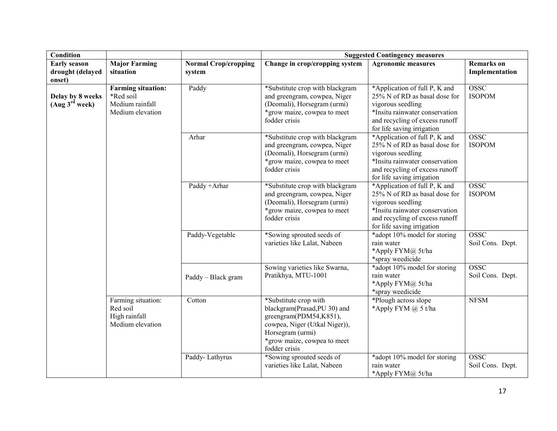| <b>Condition</b>                                  |                                                                               |                                       | <b>Suggested Contingency measures</b>                                                                                                                                                |                                                                                                                                                                                       |                                     |  |
|---------------------------------------------------|-------------------------------------------------------------------------------|---------------------------------------|--------------------------------------------------------------------------------------------------------------------------------------------------------------------------------------|---------------------------------------------------------------------------------------------------------------------------------------------------------------------------------------|-------------------------------------|--|
| <b>Early season</b><br>drought (delayed<br>onset) | <b>Major Farming</b><br>situation                                             | <b>Normal Crop/cropping</b><br>system | Change in crop/cropping system                                                                                                                                                       | <b>Agronomic measures</b>                                                                                                                                                             | <b>Remarks</b> on<br>Implementation |  |
| Delay by 8 weeks<br>(Aug 3 <sup>rd</sup> week)    | <b>Farming situation:</b><br>*Red soil<br>Medium rainfall<br>Medium elevation | Paddy                                 | *Substitute crop with blackgram<br>and greengram, cowpea, Niger<br>(Deomali), Horsegram (urmi)<br>*grow maize, cowpea to meet<br>fodder crisis                                       | *Application of full P, K and<br>25% N of RD as basal dose for<br>vigorous seedling<br>*Insitu rainwater conservation<br>and recycling of excess runoff<br>for life saving irrigation | <b>OSSC</b><br><b>ISOPOM</b>        |  |
|                                                   |                                                                               | Arhar                                 | *Substitute crop with blackgram<br>and greengram, cowpea, Niger<br>(Deomali), Horsegram (urmi)<br>*grow maize, cowpea to meet<br>fodder crisis                                       | *Application of full P, K and<br>25% N of RD as basal dose for<br>vigorous seedling<br>*Insitu rainwater conservation<br>and recycling of excess runoff<br>for life saving irrigation | <b>OSSC</b><br><b>ISOPOM</b>        |  |
|                                                   |                                                                               | Paddy + Arhar                         | *Substitute crop with blackgram<br>and greengram, cowpea, Niger<br>(Deomali), Horsegram (urmi)<br>*grow maize, cowpea to meet<br>fodder crisis                                       | *Application of full P, K and<br>25% N of RD as basal dose for<br>vigorous seedling<br>*Insitu rainwater conservation<br>and recycling of excess runoff<br>for life saving irrigation | <b>OSSC</b><br><b>ISOPOM</b>        |  |
|                                                   |                                                                               | Paddy-Vegetable                       | *Sowing sprouted seeds of<br>varieties like Lalat, Nabeen                                                                                                                            | *adopt 10% model for storing<br>rain water<br>*Apply FYM@ 5t/ha<br>*spray weedicide                                                                                                   | <b>OSSC</b><br>Soil Cons. Dept.     |  |
|                                                   |                                                                               | Paddy - Black gram                    | Sowing varieties like Swarna,<br>Pratikhya, MTU-1001                                                                                                                                 | *adopt 10% model for storing<br>rain water<br>*Apply FYM@ 5t/ha<br>*spray weedicide                                                                                                   | <b>OSSC</b><br>Soil Cons. Dept.     |  |
|                                                   | Farming situation:<br>Red soil<br>High rainfall<br>Medium elevation           | Cotton                                | *Substitute crop with<br>blackgram(Prasad, PU 30) and<br>greengram(PDM54,K851),<br>cowpea, Niger (Utkal Niger)),<br>Horsegram (urmi)<br>*grow maize, cowpea to meet<br>fodder crisis | *Plough across slope<br>*Apply FYM $\omega$ 5 t/ha                                                                                                                                    | <b>NFSM</b>                         |  |
|                                                   |                                                                               | Paddy-Lathyrus                        | *Sowing sprouted seeds of<br>varieties like Lalat, Nabeen                                                                                                                            | *adopt 10% model for storing<br>rain water<br>*Apply FYM@ 5t/ha                                                                                                                       | <b>OSSC</b><br>Soil Cons. Dept.     |  |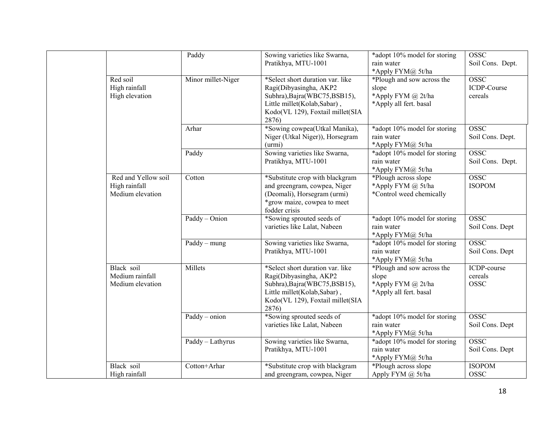|                                   |                                                   | Paddy                                    | Sowing varieties like Swarna,<br>Pratikhya, MTU-1001                                                                                                                    | *adopt 10% model for storing<br>rain water                                                               | <b>OSSC</b><br>Soil Cons. Dept.       |
|-----------------------------------|---------------------------------------------------|------------------------------------------|-------------------------------------------------------------------------------------------------------------------------------------------------------------------------|----------------------------------------------------------------------------------------------------------|---------------------------------------|
|                                   | Red soil<br>High rainfall<br>High elevation       | Minor millet-Niger                       | *Select short duration var. like<br>Ragi(Dibyasingha, AKP2<br>Subhra), Bajra(WBC75, BSB15),<br>Little millet(Kolab,Sabar),<br>Kodo(VL 129), Foxtail millet(SIA<br>2876) | *Apply FYM@ 5t/ha<br>*Plough and sow across the<br>slope<br>*Apply FYM @ 2t/ha<br>*Apply all fert. basal | <b>OSSC</b><br>ICDP-Course<br>cereals |
|                                   |                                                   | Arhar                                    | *Sowing cowpea(Utkal Manika),<br>Niger (Utkal Niger)), Horsegram<br>(urm)                                                                                               | *adopt 10% model for storing<br>rain water<br>*Apply FYM@ 5t/ha                                          | <b>OSSC</b><br>Soil Cons. Dept.       |
|                                   |                                                   | Paddy                                    | Sowing varieties like Swarna,<br>Pratikhya, MTU-1001                                                                                                                    | *adopt 10% model for storing<br>rain water<br>*Apply FYM@ 5t/ha                                          | <b>OSSC</b><br>Soil Cons. Dept.       |
| High rainfall<br>Medium elevation | Red and Yellow soil                               | Cotton                                   | *Substitute crop with blackgram<br>and greengram, cowpea, Niger<br>(Deomali), Horsegram (urmi)<br>*grow maize, cowpea to meet<br>fodder crisis                          | *Plough across slope<br>*Apply FYM @ 5t/ha<br>*Control weed chemically                                   | <b>OSSC</b><br><b>ISOPOM</b>          |
|                                   |                                                   | $Paddy - Onion$                          | *Sowing sprouted seeds of<br>varieties like Lalat, Nabeen                                                                                                               | *adopt 10% model for storing<br>rain water<br>*Apply FYM@ 5t/ha                                          | <b>OSSC</b><br>Soil Cons. Dept        |
|                                   |                                                   | $Paddy - mung$                           | Sowing varieties like Swarna,<br>Pratikhya, MTU-1001                                                                                                                    | *adopt 10% model for storing<br>rain water<br>*Apply FYM@ 5t/ha                                          | <b>OSSC</b><br>Soil Cons. Dept        |
|                                   | Black soil<br>Medium rainfall<br>Medium elevation | Millets                                  | *Select short duration var. like<br>Ragi(Dibyasingha, AKP2<br>Subhra), Bajra(WBC75, BSB15),<br>Little millet(Kolab,Sabar),<br>Kodo(VL 129), Foxtail millet(SIA<br>2876) | *Plough and sow across the<br>slope<br>*Apply FYM @ 2t/ha<br>*Apply all fert. basal                      | ICDP-course<br>cereals<br><b>OSSC</b> |
|                                   |                                                   | $\overline{\text{Paddy} - \text{onion}}$ | *Sowing sprouted seeds of<br>varieties like Lalat, Nabeen                                                                                                               | *adopt 10% model for storing<br>rain water<br>*Apply FYM@ 5t/ha                                          | <b>OSSC</b><br>Soil Cons. Dept        |
|                                   |                                                   | Paddy - Lathyrus                         | Sowing varieties like Swarna,<br>Pratikhya, MTU-1001                                                                                                                    | *adopt 10% model for storing<br>rain water<br>*Apply FYM@ 5t/ha                                          | <b>OSSC</b><br>Soil Cons. Dept        |
|                                   | Black soil<br>High rainfall                       | Cotton+Arhar                             | *Substitute crop with blackgram<br>and greengram, cowpea, Niger                                                                                                         | *Plough across slope<br>Apply FYM @ 5t/ha                                                                | <b>ISOPOM</b><br><b>OSSC</b>          |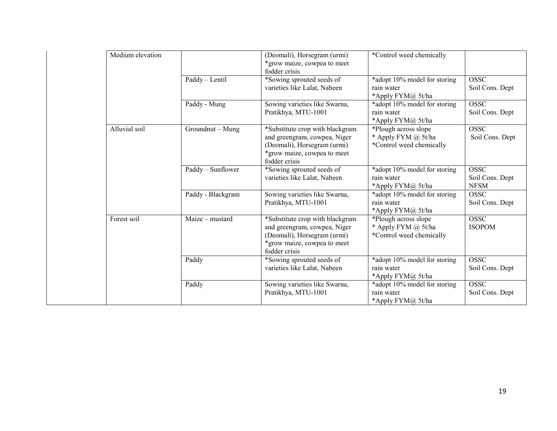| Medium elevation |                   | (Deomali), Horsegram (urmi)<br>*grow maize, cowpea to meet<br>fodder crisis                                                                    | *Control weed chemically                                                |                                               |
|------------------|-------------------|------------------------------------------------------------------------------------------------------------------------------------------------|-------------------------------------------------------------------------|-----------------------------------------------|
|                  | Paddy - Lentil    | *Sowing sprouted seeds of<br>varieties like Lalat, Nabeen                                                                                      | *adopt 10% model for storing<br>rain water<br>*Apply FYM@ 5t/ha         | <b>OSSC</b><br>Soil Cons. Dept                |
|                  | Paddy - Mung      | Sowing varieties like Swarna,<br>Pratikhya, MTU-1001                                                                                           | *adopt 10% model for storing<br>rain water<br>*Apply FYM@ 5t/ha         | <b>OSSC</b><br>Soil Cons. Dept                |
| Alluvial soil    | Groundnut - Mung  | *Substitute crop with blackgram<br>and greengram, cowpea, Niger<br>(Deomali), Horsegram (urmi)<br>*grow maize, cowpea to meet<br>fodder crisis | *Plough across slope<br>* Apply FYM @ 5t/ha<br>*Control weed chemically | <b>OSSC</b><br>Soil Cons. Dept                |
|                  | Paddy - Sunflower | *Sowing sprouted seeds of<br>varieties like Lalat, Nabeen                                                                                      | *adopt 10% model for storing<br>rain water<br>*Apply $FYM@$ 5t/ha       | <b>OSSC</b><br>Soil Cons. Dept<br><b>NFSM</b> |
|                  | Paddy - Blackgram | Sowing varieties like Swarna,<br>Pratikhya, MTU-1001                                                                                           | *adopt 10% model for storing<br>rain water<br>*Apply FYM@ 5t/ha         | <b>OSSC</b><br>Soil Cons. Dept                |
| Forest soil      | Maize - mustard   | *Substitute crop with blackgram<br>and greengram, cowpea, Niger<br>(Deomali), Horsegram (urmi)<br>*grow maize, cowpea to meet<br>fodder crisis | *Plough across slope<br>* Apply FYM @ 5t/ha<br>*Control weed chemically | <b>OSSC</b><br><b>ISOPOM</b>                  |
|                  | Paddy             | *Sowing sprouted seeds of<br>varieties like Lalat, Nabeen                                                                                      | *adopt 10% model for storing<br>rain water<br>*Apply FYM@ 5t/ha         | <b>OSSC</b><br>Soil Cons. Dept                |
|                  | Paddy             | Sowing varieties like Swarna,<br>Pratikhya, MTU-1001                                                                                           | *adopt 10% model for storing<br>rain water<br>*Apply FYM@ 5t/ha         | <b>OSSC</b><br>Soil Cons. Dept                |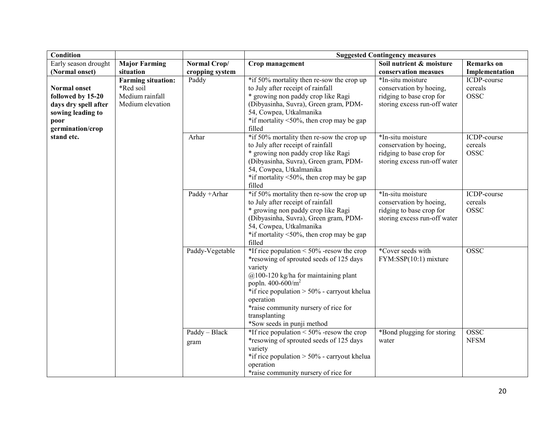| <b>Condition</b>                                                                                                  |                                                                               |                       | <b>Suggested Contingency measures</b>                                                                                                                                                                                                                                                                                           |                                                                                                          |                                       |  |
|-------------------------------------------------------------------------------------------------------------------|-------------------------------------------------------------------------------|-----------------------|---------------------------------------------------------------------------------------------------------------------------------------------------------------------------------------------------------------------------------------------------------------------------------------------------------------------------------|----------------------------------------------------------------------------------------------------------|---------------------------------------|--|
| Early season drought                                                                                              | <b>Major Farming</b>                                                          | Normal Crop/          | Crop management                                                                                                                                                                                                                                                                                                                 | Soil nutrient & moisture                                                                                 | <b>Remarks</b> on                     |  |
| (Normal onset)                                                                                                    | situation                                                                     | cropping system       |                                                                                                                                                                                                                                                                                                                                 | conservation measues                                                                                     | Implementation                        |  |
| <b>Normal onset</b><br>followed by 15-20<br>days dry spell after<br>sowing leading to<br>poor<br>germination/crop | <b>Farming situation:</b><br>*Red soil<br>Medium rainfall<br>Medium elevation | Paddy                 | *if 50% mortality then re-sow the crop up<br>to July after receipt of rainfall<br>* growing non paddy crop like Ragi<br>(Dibyasinha, Suvra), Green gram, PDM-<br>54, Cowpea, Utkalmanika<br>*if mortality $\leq 50\%$ , then crop may be gap<br>filled                                                                          | *In-situ moisture<br>conservation by hoeing,<br>ridging to base crop for<br>storing excess run-off water | ICDP-course<br>cereals<br><b>OSSC</b> |  |
| stand etc.                                                                                                        |                                                                               | Arhar                 | *if 50% mortality then re-sow the crop up<br>to July after receipt of rainfall<br>* growing non paddy crop like Ragi<br>(Dibyasinha, Suvra), Green gram, PDM-<br>54, Cowpea, Utkalmanika<br>*if mortality $\leq 50\%$ , then crop may be gap<br>filled                                                                          | *In-situ moisture<br>conservation by hoeing,<br>ridging to base crop for<br>storing excess run-off water | ICDP-course<br>cereals<br><b>OSSC</b> |  |
|                                                                                                                   |                                                                               | Paddy +Arhar          | *if 50% mortality then re-sow the crop up<br>to July after receipt of rainfall<br>* growing non paddy crop like Ragi<br>(Dibyasinha, Suvra), Green gram, PDM-<br>54, Cowpea, Utkalmanika<br>*if mortality $<50\%$ , then crop may be gap<br>filled                                                                              | *In-situ moisture<br>conservation by hoeing,<br>ridging to base crop for<br>storing excess run-off water | ICDP-course<br>cereals<br><b>OSSC</b> |  |
|                                                                                                                   |                                                                               | Paddy-Vegetable       | *If rice population $\leq 50\%$ -resow the crop<br>*resowing of sprouted seeds of 125 days<br>variety<br>$@100-120$ kg/ha for maintaining plant<br>popln. $400 - 600/m^2$<br>*if rice population $> 50\%$ - carryout khelua<br>operation<br>*raise community nursery of rice for<br>transplanting<br>*Sow seeds in punji method | *Cover seeds with<br>FYM:SSP(10:1) mixture                                                               | <b>OSSC</b>                           |  |
|                                                                                                                   |                                                                               | Paddy - Black<br>gram | *If rice population $\leq 50\%$ -resow the crop<br>*resowing of sprouted seeds of 125 days<br>variety<br>*if rice population > 50% - carryout khelua<br>operation<br>*raise community nursery of rice for                                                                                                                       | *Bond plugging for storing<br>water                                                                      | <b>OSSC</b><br><b>NFSM</b>            |  |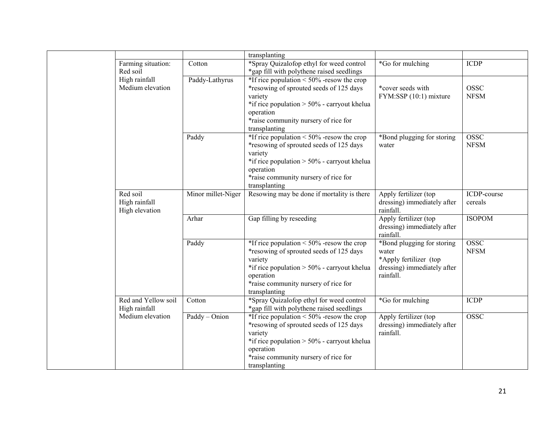|                           |                                      |                    | transplanting                                                                                                                                                                                                                 |                                                                                                           |                            |
|---------------------------|--------------------------------------|--------------------|-------------------------------------------------------------------------------------------------------------------------------------------------------------------------------------------------------------------------------|-----------------------------------------------------------------------------------------------------------|----------------------------|
|                           | Farming situation:<br>Red soil       | Cotton             | *Spray Quizalofop ethyl for weed control<br>*gap fill with polythene raised seedlings                                                                                                                                         | *Go for mulching                                                                                          | <b>ICDP</b>                |
|                           | High rainfall<br>Medium elevation    | Paddy-Lathyrus     | *If rice population $\leq 50\%$ -resow the crop<br>*resowing of sprouted seeds of 125 days<br>variety<br>*if rice population $> 50\%$ - carryout khelua<br>operation<br>*raise community nursery of rice for<br>transplanting | *cover seeds with<br>FYM:SSP (10:1) mixture                                                               | <b>OSSC</b><br><b>NFSM</b> |
|                           |                                      | Paddy              | *If rice population $\leq 50\%$ -resow the crop<br>*resowing of sprouted seeds of 125 days<br>variety<br>*if rice population $> 50\%$ - carryout khelua<br>operation<br>*raise community nursery of rice for<br>transplanting | *Bond plugging for storing<br>water                                                                       | <b>OSSC</b><br><b>NFSM</b> |
| Red soil<br>High rainfall | High elevation                       | Minor millet-Niger | Resowing may be done if mortality is there                                                                                                                                                                                    | Apply fertilizer (top<br>dressing) immediately after<br>rainfall.                                         | ICDP-course<br>cereals     |
|                           |                                      | Arhar              | Gap filling by reseeding                                                                                                                                                                                                      | Apply fertilizer (top<br>dressing) immediately after<br>rainfall.                                         | <b>ISOPOM</b>              |
|                           |                                      | Paddy              | *If rice population < $50\%$ -resow the crop<br>*resowing of sprouted seeds of 125 days<br>variety<br>*if rice population > 50% - carryout khelua<br>operation<br>*raise community nursery of rice for<br>transplanting       | *Bond plugging for storing<br>water<br>*Apply fertilizer (top<br>dressing) immediately after<br>rainfall. | <b>OSSC</b><br><b>NFSM</b> |
|                           | Red and Yellow soil<br>High rainfall | Cotton             | *Spray Quizalofop ethyl for weed control<br>*gap fill with polythene raised seedlings                                                                                                                                         | *Go for mulching                                                                                          | <b>ICDP</b>                |
|                           | Medium elevation                     | Paddy - Onion      | *If rice population $\leq 50\%$ -resow the crop<br>*resowing of sprouted seeds of 125 days<br>variety<br>*if rice population $> 50\%$ - carryout khelua<br>operation<br>*raise community nursery of rice for<br>transplanting | Apply fertilizer (top<br>dressing) immediately after<br>rainfall.                                         | <b>OSSC</b>                |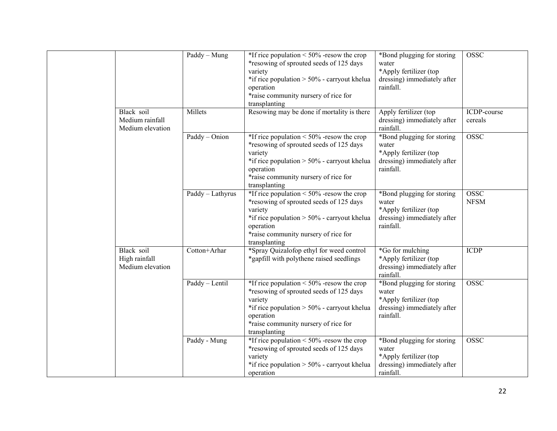|  |                                                   | Paddy - Mung     | *If rice population $\leq 50\%$ -resow the crop<br>*resowing of sprouted seeds of 125 days<br>variety<br>*if rice population $> 50\%$ - carryout khelua<br>operation<br>*raise community nursery of rice for<br>transplanting | *Bond plugging for storing<br>water<br>*Apply fertilizer (top<br>dressing) immediately after<br>rainfall. | <b>OSSC</b>                |
|--|---------------------------------------------------|------------------|-------------------------------------------------------------------------------------------------------------------------------------------------------------------------------------------------------------------------------|-----------------------------------------------------------------------------------------------------------|----------------------------|
|  | Black soil<br>Medium rainfall<br>Medium elevation | Millets          | Resowing may be done if mortality is there                                                                                                                                                                                    | Apply fertilizer (top<br>dressing) immediately after<br>rainfall.                                         | ICDP-course<br>cereals     |
|  |                                                   | Paddy - Onion    | *If rice population $\leq 50\%$ -resow the crop<br>*resowing of sprouted seeds of 125 days<br>variety<br>*if rice population $> 50\%$ - carryout khelua<br>operation<br>*raise community nursery of rice for<br>transplanting | *Bond plugging for storing<br>water<br>*Apply fertilizer (top<br>dressing) immediately after<br>rainfall. | <b>OSSC</b>                |
|  |                                                   | Paddy - Lathyrus | *If rice population $\leq 50\%$ -resow the crop<br>*resowing of sprouted seeds of 125 days<br>variety<br>*if rice population $> 50\%$ - carryout khelua<br>operation<br>*raise community nursery of rice for<br>transplanting | *Bond plugging for storing<br>water<br>*Apply fertilizer (top<br>dressing) immediately after<br>rainfall. | <b>OSSC</b><br><b>NFSM</b> |
|  | Black soil<br>High rainfall<br>Medium elevation   | Cotton+Arhar     | *Spray Quizalofop ethyl for weed control<br>*gapfill with polythene raised seedlings                                                                                                                                          | *Go for mulching<br>*Apply fertilizer (top<br>dressing) immediately after<br>rainfall.                    | <b>ICDP</b>                |
|  |                                                   | Paddy - Lentil   | *If rice population $\leq 50\%$ -resow the crop<br>*resowing of sprouted seeds of 125 days<br>variety<br>*if rice population $> 50\%$ - carryout khelua<br>operation<br>*raise community nursery of rice for<br>transplanting | *Bond plugging for storing<br>water<br>*Apply fertilizer (top<br>dressing) immediately after<br>rainfall. | <b>OSSC</b>                |
|  |                                                   | Paddy - Mung     | *If rice population $\leq 50\%$ -resow the crop<br>*resowing of sprouted seeds of 125 days<br>variety<br>*if rice population $> 50\%$ - carryout khelua<br>operation                                                          | *Bond plugging for storing<br>water<br>*Apply fertilizer (top<br>dressing) immediately after<br>rainfall. | <b>OSSC</b>                |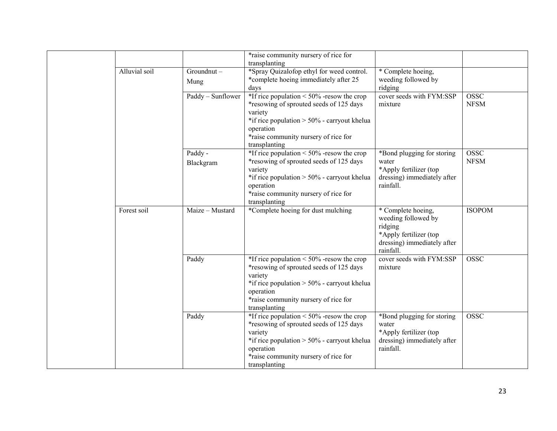|  |               |                      | *raise community nursery of rice for<br>transplanting                                                                                                                                                                         |                                                                                                                            |                            |
|--|---------------|----------------------|-------------------------------------------------------------------------------------------------------------------------------------------------------------------------------------------------------------------------------|----------------------------------------------------------------------------------------------------------------------------|----------------------------|
|  | Alluvial soil | Groundnut-<br>Mung   | *Spray Quizalofop ethyl for weed control.<br>*complete hoeing immediately after 25                                                                                                                                            | * Complete hoeing,<br>weeding followed by                                                                                  |                            |
|  |               |                      | days                                                                                                                                                                                                                          | ridging                                                                                                                    |                            |
|  |               | Paddy - Sunflower    | *If rice population $\leq 50\%$ -resow the crop<br>*resowing of sprouted seeds of 125 days<br>variety<br>*if rice population > 50% - carryout khelua<br>operation<br>*raise community nursery of rice for<br>transplanting    | cover seeds with FYM:SSP<br>mixture                                                                                        | <b>OSSC</b><br><b>NFSM</b> |
|  |               | Paddy -<br>Blackgram | *If rice population $\leq 50\%$ -resow the crop<br>*resowing of sprouted seeds of 125 days<br>variety<br>*if rice population > $50\%$ - carryout khelua<br>operation<br>*raise community nursery of rice for<br>transplanting | *Bond plugging for storing<br>water<br>*Apply fertilizer (top<br>dressing) immediately after<br>rainfall.                  | <b>OSSC</b><br><b>NFSM</b> |
|  | Forest soil   | $Maize - Mustard$    | *Complete hoeing for dust mulching                                                                                                                                                                                            | * Complete hoeing,<br>weeding followed by<br>ridging<br>*Apply fertilizer (top<br>dressing) immediately after<br>rainfall. | <b>ISOPOM</b>              |
|  |               | Paddy                | *If rice population $\leq 50\%$ -resow the crop<br>*resowing of sprouted seeds of 125 days<br>variety<br>*if rice population $> 50\%$ - carryout khelua<br>operation<br>*raise community nursery of rice for<br>transplanting | cover seeds with FYM:SSP<br>mixture                                                                                        | <b>OSSC</b>                |
|  |               | Paddy                | *If rice population $\leq 50\%$ -resow the crop<br>*resowing of sprouted seeds of 125 days<br>variety<br>*if rice population > 50% - carryout khelua<br>operation<br>*raise community nursery of rice for<br>transplanting    | *Bond plugging for storing<br>water<br>*Apply fertilizer (top<br>dressing) immediately after<br>rainfall.                  | <b>OSSC</b>                |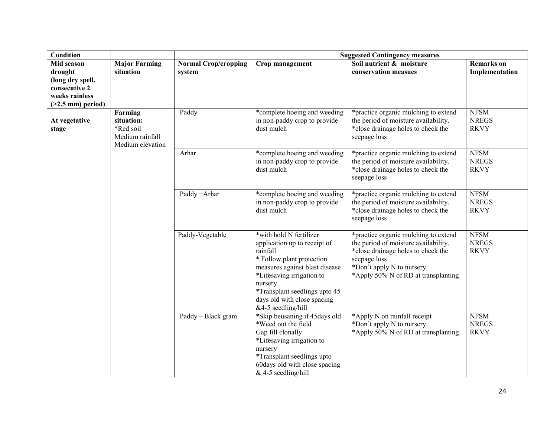| <b>Condition</b>                                                                                     |                                   |                                                                            |                                                                                                                                                                                                                                                                  | <b>Suggested Contingency measures</b>                                                                                                                                                                  |                                            |  |  |
|------------------------------------------------------------------------------------------------------|-----------------------------------|----------------------------------------------------------------------------|------------------------------------------------------------------------------------------------------------------------------------------------------------------------------------------------------------------------------------------------------------------|--------------------------------------------------------------------------------------------------------------------------------------------------------------------------------------------------------|--------------------------------------------|--|--|
| Mid season<br>drought<br>(long dry spell,<br>consecutive 2<br>weeks rainless<br>$($ >2.5 mm) period) | <b>Major Farming</b><br>situation | <b>Normal Crop/cropping</b><br>system                                      | Crop management                                                                                                                                                                                                                                                  | Soil nutrient & moisture<br>conservation measues                                                                                                                                                       | <b>Remarks</b> on<br>Implementation        |  |  |
| Farming<br>situation:<br>At vegetative<br>*Red soil<br>stage<br>Medium rainfall<br>Medium elevation  | Paddy                             | *complete hoeing and weeding<br>in non-paddy crop to provide<br>dust mulch | *practice organic mulching to extend<br>the period of moisture availability.<br>*close drainage holes to check the<br>seepage loss                                                                                                                               | <b>NFSM</b><br><b>NREGS</b><br><b>RKVY</b>                                                                                                                                                             |                                            |  |  |
|                                                                                                      | Arhar                             | *complete hoeing and weeding<br>in non-paddy crop to provide<br>dust mulch | *practice organic mulching to extend<br>the period of moisture availability.<br>*close drainage holes to check the<br>seepage loss                                                                                                                               | <b>NFSM</b><br><b>NREGS</b><br><b>RKVY</b>                                                                                                                                                             |                                            |  |  |
|                                                                                                      | Paddy +Arhar                      | *complete hoeing and weeding<br>in non-paddy crop to provide<br>dust mulch | *practice organic mulching to extend<br>the period of moisture availability.<br>*close drainage holes to check the<br>seepage loss                                                                                                                               | <b>NFSM</b><br><b>NREGS</b><br><b>RKVY</b>                                                                                                                                                             |                                            |  |  |
|                                                                                                      |                                   | Paddy-Vegetable                                                            | *with hold N fertilizer<br>application up to receipt of<br>rainfall<br>* Follow plant protection<br>measures against blast disease<br>*Lifesaving irrigation to<br>nursery<br>*Transplant seedlings upto 45<br>days old with close spacing<br>&4-5 seedling/hill | *practice organic mulching to extend<br>the period of moisture availability.<br>*close drainage holes to check the<br>seepage loss<br>*Don't apply N to nursery<br>*Apply 50% N of RD at transplanting | <b>NFSM</b><br><b>NREGS</b><br><b>RKVY</b> |  |  |
|                                                                                                      |                                   | Paddy - Black gram                                                         | *Skip beusaning if 45 days old<br>*Weed out the field<br>Gap fill clonally<br>*Lifesaving irrigation to<br>nursery<br>*Transplant seedlings upto<br>60days old with close spacing<br>$&$ 4-5 seedling/hill                                                       | *Apply N on rainfall receipt<br>*Don't apply N to nursery<br>*Apply 50% N of RD at transplanting                                                                                                       | <b>NFSM</b><br><b>NREGS</b><br><b>RKVY</b> |  |  |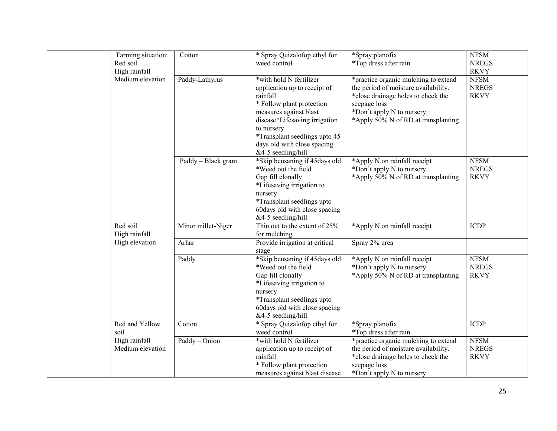| Farming situation: | Cotton             | * Spray Quizalofop ethyl for                          | *Spray planofix                      | <b>NFSM</b>  |
|--------------------|--------------------|-------------------------------------------------------|--------------------------------------|--------------|
| Red soil           |                    | weed control                                          | *Top dress after rain                | <b>NREGS</b> |
| High rainfall      |                    |                                                       |                                      | <b>RKVY</b>  |
| Medium elevation   | Paddy-Lathyrus     | *with hold N fertilizer                               | *practice organic mulching to extend | <b>NFSM</b>  |
|                    |                    | application up to receipt of                          | the period of moisture availability. | <b>NREGS</b> |
|                    |                    | rainfall                                              | *close drainage holes to check the   | <b>RKVY</b>  |
|                    |                    | * Follow plant protection                             | seepage loss                         |              |
|                    |                    | measures against blast                                | *Don't apply N to nursery            |              |
|                    |                    | disease*Lifesaving irrigation                         | *Apply 50% N of RD at transplanting  |              |
|                    |                    |                                                       |                                      |              |
|                    |                    | to nursery<br><i>*Transplant seedlings upto 45</i>    |                                      |              |
|                    |                    | days old with close spacing                           |                                      |              |
|                    |                    |                                                       |                                      |              |
|                    |                    | &4-5 seedling/hill                                    |                                      |              |
|                    | Paddy - Black gram | *Skip beusaning if 45 days old<br>*Weed out the field | *Apply N on rainfall receipt         | <b>NFSM</b>  |
|                    |                    |                                                       | *Don't apply N to nursery            | <b>NREGS</b> |
|                    |                    | Gap fill clonally                                     | *Apply 50% N of RD at transplanting  | <b>RKVY</b>  |
|                    |                    | *Lifesaving irrigation to                             |                                      |              |
|                    |                    | nursery                                               |                                      |              |
|                    |                    | <i>*Transplant seedlings upto</i>                     |                                      |              |
|                    |                    | 60 days old with close spacing                        |                                      |              |
|                    |                    | &4-5 seedling/hill                                    |                                      |              |
| Red soil           | Minor millet-Niger | Thin out to the extent of 25%                         | *Apply N on rainfall receipt         | <b>ICDP</b>  |
| High rainfall      |                    | for mulching                                          |                                      |              |
| High elevation     | Arhar              | Provide irrigation at critical                        | Spray 2% urea                        |              |
|                    |                    | stage                                                 |                                      |              |
|                    | Paddy              | *Skip beusaning if 45days old                         | *Apply N on rainfall receipt         | <b>NFSM</b>  |
|                    |                    | *Weed out the field                                   | *Don't apply N to nursery            | <b>NREGS</b> |
|                    |                    | Gap fill clonally                                     | *Apply 50% N of RD at transplanting  | <b>RKVY</b>  |
|                    |                    | *Lifesaving irrigation to                             |                                      |              |
|                    |                    | nursery                                               |                                      |              |
|                    |                    | *Transplant seedlings upto                            |                                      |              |
|                    |                    | 60days old with close spacing                         |                                      |              |
|                    |                    | &4-5 seedling/hill                                    |                                      |              |
| Red and Yellow     | Cotton             | * Spray Quizalofop ethyl for                          | *Spray planofix                      | <b>ICDP</b>  |
| soil               |                    | weed control                                          | *Top dress after rain                |              |
| High rainfall      | Paddy - Onion      | *with hold N fertilizer                               | *practice organic mulching to extend | <b>NFSM</b>  |
| Medium elevation   |                    | application up to receipt of                          | the period of moisture availability. | <b>NREGS</b> |
|                    |                    | rainfall                                              | *close drainage holes to check the   | <b>RKVY</b>  |
|                    |                    | * Follow plant protection                             | seepage loss                         |              |
|                    |                    | measures against blast disease                        | *Don't apply N to nursery            |              |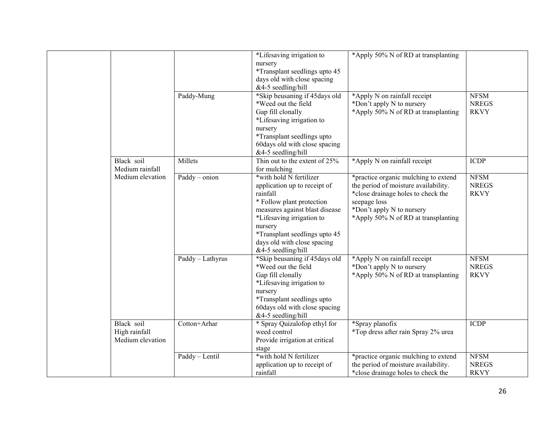|                                                                                                      |                  | *Lifesaving irrigation to<br>nursery<br>*Transplant seedlings upto 45                                                                                                                                                                                                   | *Apply 50% N of RD at transplanting                                                                                                                                                                    |                                            |
|------------------------------------------------------------------------------------------------------|------------------|-------------------------------------------------------------------------------------------------------------------------------------------------------------------------------------------------------------------------------------------------------------------------|--------------------------------------------------------------------------------------------------------------------------------------------------------------------------------------------------------|--------------------------------------------|
|                                                                                                      |                  | days old with close spacing<br>&4-5 seedling/hill                                                                                                                                                                                                                       |                                                                                                                                                                                                        |                                            |
| Black soil<br>Medium rainfall<br>Medium elevation<br>Black soil<br>High rainfall<br>Medium elevation | Paddy-Mung       | *Skip beusaning if 45days old<br>*Weed out the field<br>Gap fill clonally<br>*Lifesaving irrigation to<br>nursery<br>*Transplant seedlings upto<br>60 days old with close spacing<br>&4-5 seedling/hill                                                                 | *Apply N on rainfall receipt<br>*Don't apply N to nursery<br>*Apply 50% N of RD at transplanting                                                                                                       | <b>NFSM</b><br><b>NREGS</b><br><b>RKVY</b> |
|                                                                                                      | Millets          | Thin out to the extent of 25%<br>for mulching                                                                                                                                                                                                                           | *Apply N on rainfall receipt                                                                                                                                                                           | <b>ICDP</b>                                |
|                                                                                                      | Paddy - onion    | *with hold N fertilizer<br>application up to receipt of<br>rainfall<br>* Follow plant protection<br>measures against blast disease<br>*Lifesaving irrigation to<br>nursery<br><i>*Transplant seedlings upto 45</i><br>days old with close spacing<br>&4-5 seedling/hill | *practice organic mulching to extend<br>the period of moisture availability.<br>*close drainage holes to check the<br>seepage loss<br>*Don't apply N to nursery<br>*Apply 50% N of RD at transplanting | <b>NFSM</b><br><b>NREGS</b><br><b>RKVY</b> |
|                                                                                                      | Paddy - Lathyrus | *Skip beusaning if 45days old<br>*Weed out the field<br>Gap fill clonally<br>*Lifesaving irrigation to<br>nursery<br>*Transplant seedlings upto<br>60days old with close spacing<br>&4-5 seedling/hill                                                                  | *Apply N on rainfall receipt<br>*Don't apply N to nursery<br>*Apply 50% N of RD at transplanting                                                                                                       | <b>NFSM</b><br><b>NREGS</b><br><b>RKVY</b> |
|                                                                                                      | Cotton+Arhar     | * Spray Quizalofop ethyl for<br>weed control<br>Provide irrigation at critical<br>stage                                                                                                                                                                                 | *Spray planofix<br>*Top dress after rain Spray 2% urea                                                                                                                                                 | <b>ICDP</b>                                |
|                                                                                                      | Paddy - Lentil   | *with hold N fertilizer<br>application up to receipt of<br>rainfall                                                                                                                                                                                                     | *practice organic mulching to extend<br>the period of moisture availability.<br>*close drainage holes to check the                                                                                     | <b>NFSM</b><br><b>NREGS</b><br><b>RKVY</b> |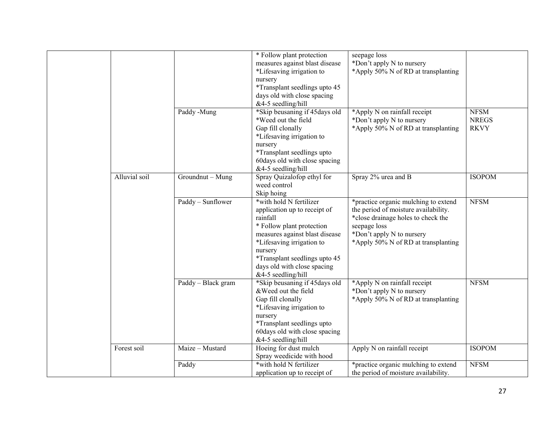|               |                    | * Follow plant protection<br>measures against blast disease<br>*Lifesaving irrigation to<br>nursery<br>*Transplant seedlings upto 45<br>days old with close spacing<br>&4-5 seedling/hill                                                                        | seepage loss<br>*Don't apply N to nursery<br>*Apply 50% N of RD at transplanting                                                                                                                       |                                            |
|---------------|--------------------|------------------------------------------------------------------------------------------------------------------------------------------------------------------------------------------------------------------------------------------------------------------|--------------------------------------------------------------------------------------------------------------------------------------------------------------------------------------------------------|--------------------------------------------|
|               | Paddy -Mung        | *Skip beusaning if 45days old<br>*Weed out the field<br>Gap fill clonally<br>*Lifesaving irrigation to<br>nursery<br>*Transplant seedlings upto<br>60 days old with close spacing<br>&4-5 seedling/hill                                                          | *Apply N on rainfall receipt<br>*Don't apply N to nursery<br>*Apply 50% N of RD at transplanting                                                                                                       | <b>NFSM</b><br><b>NREGS</b><br><b>RKVY</b> |
| Alluvial soil | Groundnut - Mung   | Spray Quizalofop ethyl for<br>weed control<br>Skip hoing                                                                                                                                                                                                         | Spray 2% urea and B                                                                                                                                                                                    | <b>ISOPOM</b>                              |
|               | Paddy - Sunflower  | *with hold N fertilizer<br>application up to receipt of<br>rainfall<br>* Follow plant protection<br>measures against blast disease<br>*Lifesaving irrigation to<br>nursery<br>*Transplant seedlings upto 45<br>days old with close spacing<br>&4-5 seedling/hill | *practice organic mulching to extend<br>the period of moisture availability.<br>*close drainage holes to check the<br>seepage loss<br>*Don't apply N to nursery<br>*Apply 50% N of RD at transplanting | <b>NFSM</b>                                |
|               | Paddy - Black gram | *Skip beusaning if 45 days old<br>& Weed out the field<br>Gap fill clonally<br>*Lifesaving irrigation to<br>nursery<br>*Transplant seedlings upto<br>60 days old with close spacing<br>&4-5 seedling/hill                                                        | *Apply N on rainfall receipt<br>*Don't apply N to nursery<br>*Apply 50% N of RD at transplanting                                                                                                       | <b>NFSM</b>                                |
| Forest soil   | Maize - Mustard    | Hoeing for dust mulch<br>Spray weedicide with hood                                                                                                                                                                                                               | Apply N on rainfall receipt                                                                                                                                                                            | <b>ISOPOM</b>                              |
|               | Paddy              | *with hold N fertilizer<br>application up to receipt of                                                                                                                                                                                                          | *practice organic mulching to extend<br>the period of moisture availability.                                                                                                                           | <b>NFSM</b>                                |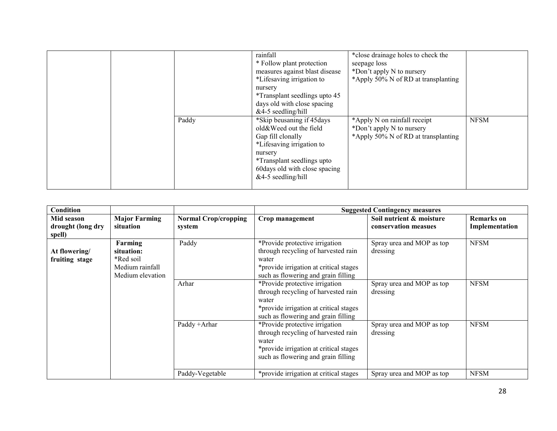|  |       | rainfall<br>* Follow plant protection<br>measures against blast disease<br>*Lifesaving irrigation to<br>nursery<br>*Transplant seedlings upto 45<br>days old with close spacing<br>$&4-5$ seedling/hill   | *close drainage holes to check the<br>seepage loss<br>*Don't apply N to nursery<br>*Apply 50% N of RD at transplanting |             |
|--|-------|-----------------------------------------------------------------------------------------------------------------------------------------------------------------------------------------------------------|------------------------------------------------------------------------------------------------------------------------|-------------|
|  | Paddy | *Skip beusaning if 45 days<br>old&Weed out the field<br>Gap fill clonally<br>*Lifesaving irrigation to<br>nursery<br>*Transplant seedlings upto<br>60 days old with close spacing<br>$&4-5$ seedling/hill | *Apply N on rainfall receipt<br>*Don't apply N to nursery<br>*Apply 50% N of RD at transplanting                       | <b>NFSM</b> |

| Condition                                 |                                                                           |                                       |                                                                                                                                                                 | <b>Suggested Contingency measures</b>            |                                     |
|-------------------------------------------|---------------------------------------------------------------------------|---------------------------------------|-----------------------------------------------------------------------------------------------------------------------------------------------------------------|--------------------------------------------------|-------------------------------------|
| Mid season<br>drought (long dry<br>spell) | <b>Major Farming</b><br>situation                                         | <b>Normal Crop/cropping</b><br>system | Crop management                                                                                                                                                 | Soil nutrient & moisture<br>conservation measues | <b>Remarks</b> on<br>Implementation |
| At flowering/<br>fruiting stage           | Farming<br>situation:<br>*Red soil<br>Medium rainfall<br>Medium elevation | Paddy                                 | *Provide protective irrigation<br>through recycling of harvested rain<br>water<br>*provide irrigation at critical stages<br>such as flowering and grain filling | Spray urea and MOP as top<br>dressing            | <b>NFSM</b>                         |
|                                           |                                                                           | Arhar                                 | *Provide protective irrigation<br>through recycling of harvested rain<br>water<br>*provide irrigation at critical stages<br>such as flowering and grain filling | Spray urea and MOP as top<br>dressing            | <b>NFSM</b>                         |
|                                           |                                                                           | Paddy +Arhar                          | *Provide protective irrigation<br>through recycling of harvested rain<br>water<br>*provide irrigation at critical stages<br>such as flowering and grain filling | Spray urea and MOP as top<br>dressing            | <b>NFSM</b>                         |
|                                           |                                                                           | Paddy-Vegetable                       | *provide irrigation at critical stages                                                                                                                          | Spray urea and MOP as top                        | <b>NFSM</b>                         |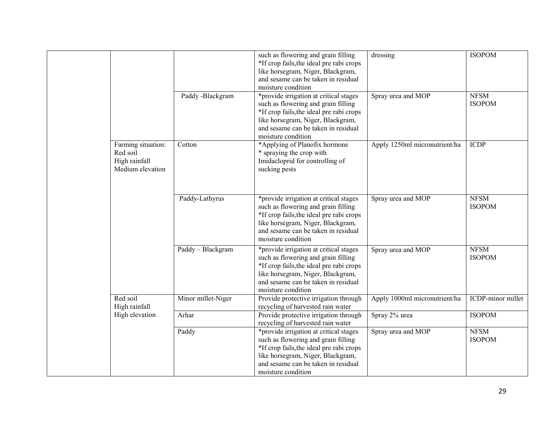|  |                                                                     | Paddy -Blackgram   | such as flowering and grain filling<br>*If crop fails, the ideal pre rabi crops<br>like horsegram, Niger, Blackgram,<br>and sesame can be taken in residual<br>moisture condition<br>*provide irrigation at critical stages<br>such as flowering and grain filling | dressing<br>Spray urea and MOP | <b>ISOPOM</b><br><b>NFSM</b><br><b>ISOPOM</b> |
|--|---------------------------------------------------------------------|--------------------|--------------------------------------------------------------------------------------------------------------------------------------------------------------------------------------------------------------------------------------------------------------------|--------------------------------|-----------------------------------------------|
|  |                                                                     |                    | *If crop fails, the ideal pre rabi crops<br>like horsegram, Niger, Blackgram,<br>and sesame can be taken in residual<br>moisture condition                                                                                                                         |                                |                                               |
|  | Farming situation:<br>Red soil<br>High rainfall<br>Medium elevation | Cotton             | *Applying of Planofix hormone<br>* spraying the crop with<br>Imidacloprid for controlling of<br>sucking pests                                                                                                                                                      | Apply 1250ml micronutrient/ha  | <b>ICDP</b>                                   |
|  |                                                                     | Paddy-Lathyrus     | *provide irrigation at critical stages<br>such as flowering and grain filling<br>*If crop fails, the ideal pre rabi crops<br>like horsegram, Niger, Blackgram,<br>and sesame can be taken in residual<br>moisture condition                                        | Spray urea and MOP             | <b>NFSM</b><br><b>ISOPOM</b>                  |
|  |                                                                     | Paddy - Blackgram  | *provide irrigation at critical stages<br>such as flowering and grain filling<br>*If crop fails, the ideal pre rabi crops<br>like horsegram, Niger, Blackgram,<br>and sesame can be taken in residual<br>moisture condition                                        | Spray urea and MOP             | <b>NFSM</b><br><b>ISOPOM</b>                  |
|  | Red soil<br>High rainfall                                           | Minor millet-Niger | Provide protective irrigation through<br>recycling of harvested rain water                                                                                                                                                                                         | Apply 1000ml micronutrient/ha  | ICDP-minor millet                             |
|  | High elevation                                                      | Arhar              | Provide protective irrigation through<br>recycling of harvested rain water                                                                                                                                                                                         | Spray 2% urea                  | <b>ISOPOM</b>                                 |
|  |                                                                     | Paddy              | *provide irrigation at critical stages<br>such as flowering and grain filling<br>*If crop fails, the ideal pre rabi crops<br>like horsegram, Niger, Blackgram,<br>and sesame can be taken in residual<br>moisture condition                                        | Spray urea and MOP             | <b>NFSM</b><br><b>ISOPOM</b>                  |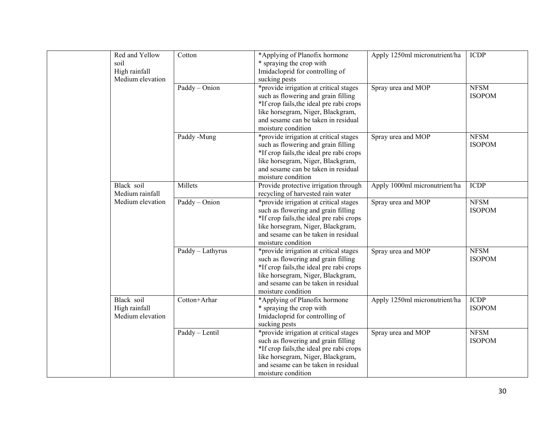| Red and Yellow<br>soil<br>High rainfall<br>Medium elevation | Cotton           | *Applying of Planofix hormone<br>* spraying the crop with<br>Imidacloprid for controlling of<br>sucking pests                                                                                                               | Apply 1250ml micronutrient/ha | <b>ICDP</b>                  |
|-------------------------------------------------------------|------------------|-----------------------------------------------------------------------------------------------------------------------------------------------------------------------------------------------------------------------------|-------------------------------|------------------------------|
|                                                             | Paddy - Onion    | *provide irrigation at critical stages<br>such as flowering and grain filling<br>*If crop fails, the ideal pre rabi crops<br>like horsegram, Niger, Blackgram,<br>and sesame can be taken in residual<br>moisture condition | Spray urea and MOP            | <b>NFSM</b><br><b>ISOPOM</b> |
|                                                             | Paddy -Mung      | *provide irrigation at critical stages<br>such as flowering and grain filling<br>*If crop fails, the ideal pre rabi crops<br>like horsegram, Niger, Blackgram,<br>and sesame can be taken in residual<br>moisture condition | Spray urea and MOP            | <b>NFSM</b><br><b>ISOPOM</b> |
| Black soil<br>Medium rainfall                               | Millets          | Provide protective irrigation through<br>recycling of harvested rain water                                                                                                                                                  | Apply 1000ml micronutrient/ha | <b>ICDP</b>                  |
| Medium elevation                                            | Paddy - Onion    | *provide irrigation at critical stages<br>such as flowering and grain filling<br>*If crop fails, the ideal pre rabi crops<br>like horsegram, Niger, Blackgram,<br>and sesame can be taken in residual<br>moisture condition | Spray urea and MOP            | <b>NFSM</b><br><b>ISOPOM</b> |
|                                                             | Paddy - Lathyrus | *provide irrigation at critical stages<br>such as flowering and grain filling<br>*If crop fails, the ideal pre rabi crops<br>like horsegram, Niger, Blackgram,<br>and sesame can be taken in residual<br>moisture condition | Spray urea and MOP            | <b>NFSM</b><br><b>ISOPOM</b> |
| Black soil<br>High rainfall<br>Medium elevation             | Cotton+Arhar     | *Applying of Planofix hormone<br>* spraying the crop with<br>Imidacloprid for controlling of<br>sucking pests                                                                                                               | Apply 1250ml micronutrient/ha | <b>ICDP</b><br><b>ISOPOM</b> |
|                                                             | Paddy - Lentil   | *provide irrigation at critical stages<br>such as flowering and grain filling<br>*If crop fails, the ideal pre rabi crops<br>like horsegram, Niger, Blackgram,<br>and sesame can be taken in residual<br>moisture condition | Spray urea and MOP            | <b>NFSM</b><br><b>ISOPOM</b> |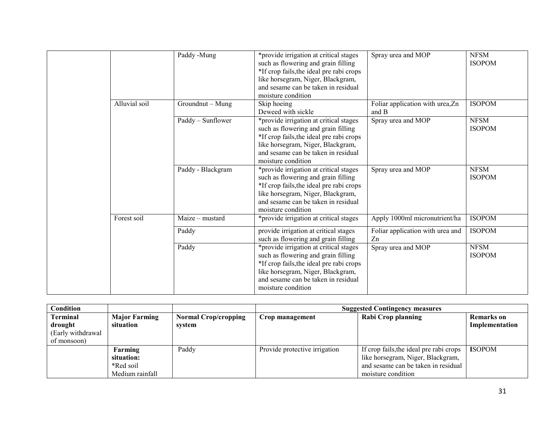|  |               | Paddy -Mung       | *provide irrigation at critical stages<br>such as flowering and grain filling<br>*If crop fails, the ideal pre rabi crops<br>like horsegram, Niger, Blackgram,<br>and sesame can be taken in residual<br>moisture condition | Spray urea and MOP                        | <b>NFSM</b><br><b>ISOPOM</b> |
|--|---------------|-------------------|-----------------------------------------------------------------------------------------------------------------------------------------------------------------------------------------------------------------------------|-------------------------------------------|------------------------------|
|  | Alluvial soil | Groundnut - Mung  | Skip hoeing<br>Deweed with sickle                                                                                                                                                                                           | Foliar application with urea, Zn<br>and B | <b>ISOPOM</b>                |
|  |               | Paddy - Sunflower | *provide irrigation at critical stages<br>such as flowering and grain filling<br>*If crop fails, the ideal pre rabi crops<br>like horsegram, Niger, Blackgram,<br>and sesame can be taken in residual<br>moisture condition | Spray urea and MOP                        | <b>NFSM</b><br><b>ISOPOM</b> |
|  |               | Paddy - Blackgram | *provide irrigation at critical stages<br>such as flowering and grain filling<br>*If crop fails, the ideal pre rabi crops<br>like horsegram, Niger, Blackgram,<br>and sesame can be taken in residual<br>moisture condition | Spray urea and MOP                        | <b>NFSM</b><br><b>ISOPOM</b> |
|  | Forest soil   | Maize - mustard   | *provide irrigation at critical stages                                                                                                                                                                                      | Apply 1000ml micronutrient/ha             | <b>ISOPOM</b>                |
|  |               | Paddy             | provide irrigation at critical stages<br>such as flowering and grain filling                                                                                                                                                | Foliar application with urea and<br>Zn    | <b>ISOPOM</b>                |
|  |               | Paddy             | *provide irrigation at critical stages<br>such as flowering and grain filling<br>*If crop fails, the ideal pre rabi crops<br>like horsegram, Niger, Blackgram,<br>and sesame can be taken in residual<br>moisture condition | Spray urea and MOP                        | <b>NFSM</b><br><b>ISOPOM</b> |

| Condition         |                      |                             | <b>Suggested Contingency measures</b> |                                         |                   |  |
|-------------------|----------------------|-----------------------------|---------------------------------------|-----------------------------------------|-------------------|--|
| Terminal          | <b>Major Farming</b> | <b>Normal Crop/cropping</b> | Crop management                       | Rabi Crop planning                      | <b>Remarks</b> on |  |
| drought           | situation            | system                      |                                       |                                         | Implementation    |  |
| (Early withdrawal |                      |                             |                                       |                                         |                   |  |
| of monsoon)       |                      |                             |                                       |                                         |                   |  |
|                   | Farming              | Paddy                       | Provide protective irrigation         | If crop fails, the ideal pre rabi crops | <b>ISOPOM</b>     |  |
|                   | situation:           |                             |                                       | like horsegram, Niger, Blackgram,       |                   |  |
|                   | *Red soil            |                             |                                       | and sesame can be taken in residual     |                   |  |
|                   | Medium rainfall      |                             |                                       | moisture condition                      |                   |  |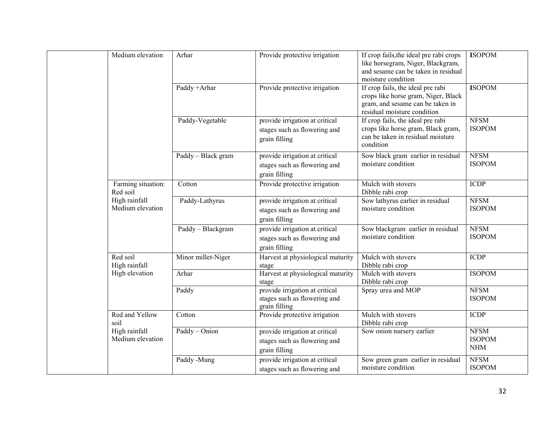|  | Medium elevation                  | Arhar              | Provide protective irrigation                                                   | If crop fails, the ideal pre rabi crops<br>like horsegram, Niger, Blackgram,<br>and sesame can be taken in residual<br>moisture condition   | <b>ISOPOM</b>                              |
|--|-----------------------------------|--------------------|---------------------------------------------------------------------------------|---------------------------------------------------------------------------------------------------------------------------------------------|--------------------------------------------|
|  |                                   | Paddy +Arhar       | Provide protective irrigation                                                   | If crop fails, the ideal pre rabi<br>crops like horse gram, Niger, Black<br>gram, and sesame can be taken in<br>residual moisture condition | <b>ISOPOM</b>                              |
|  |                                   | Paddy-Vegetable    | provide irrigation at critical<br>stages such as flowering and<br>grain filling | If crop fails, the ideal pre rabi<br>crops like horse gram, Black gram,<br>can be taken in residual moisture<br>condition                   | <b>NFSM</b><br><b>ISOPOM</b>               |
|  |                                   | Paddy - Black gram | provide irrigation at critical<br>stages such as flowering and<br>grain filling | Sow black gram earlier in residual<br>moisture condition                                                                                    | <b>NFSM</b><br><b>ISOPOM</b>               |
|  | Farming situation:<br>Red soil    | Cotton             | Provide protective irrigation                                                   | Mulch with stovers<br>Dibble rabi crop                                                                                                      | <b>ICDP</b>                                |
|  | High rainfall<br>Medium elevation | Paddy-Lathyrus     | provide irrigation at critical<br>stages such as flowering and<br>grain filling | Sow lathyrus earlier in residual<br>moisture condition                                                                                      | <b>NFSM</b><br><b>ISOPOM</b>               |
|  |                                   | Paddy - Blackgram  | provide irrigation at critical<br>stages such as flowering and<br>grain filling | Sow blackgram earlier in residual<br>moisture condition                                                                                     | <b>NFSM</b><br><b>ISOPOM</b>               |
|  | Red soil<br>High rainfall         | Minor millet-Niger | Harvest at physiological maturity<br>stage                                      | Mulch with stovers<br>Dibble rabi crop                                                                                                      | <b>ICDP</b>                                |
|  | High elevation                    | Arhar              | Harvest at physiological maturity<br>stage                                      | Mulch with stovers<br>Dibble rabi crop                                                                                                      | <b>ISOPOM</b>                              |
|  |                                   | Paddy              | provide irrigation at critical<br>stages such as flowering and<br>grain filling | Spray urea and MOP                                                                                                                          | <b>NFSM</b><br><b>ISOPOM</b>               |
|  | Red and Yellow<br>soil            | Cotton             | Provide protective irrigation                                                   | Mulch with stovers<br>Dibble rabi crop                                                                                                      | <b>ICDP</b>                                |
|  | High rainfall<br>Medium elevation | Paddy - Onion      | provide irrigation at critical<br>stages such as flowering and<br>grain filling | Sow onion nursery earlier                                                                                                                   | <b>NFSM</b><br><b>ISOPOM</b><br><b>NHM</b> |
|  |                                   | Paddy -Mung        | provide irrigation at critical<br>stages such as flowering and                  | Sow green gram earlier in residual<br>moisture condition                                                                                    | <b>NFSM</b><br><b>ISOPOM</b>               |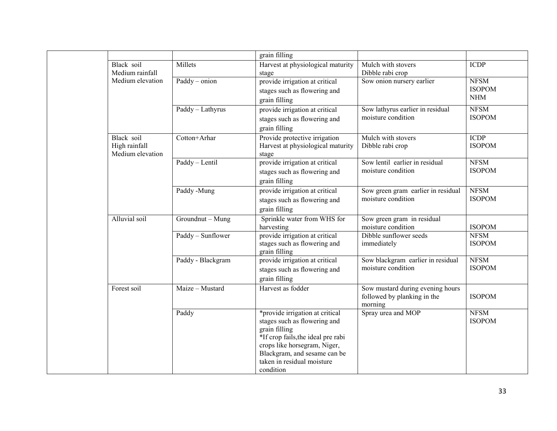|                                                 |                   | grain filling                                                                                                                                                                                                                     |                                                                            |                                            |
|-------------------------------------------------|-------------------|-----------------------------------------------------------------------------------------------------------------------------------------------------------------------------------------------------------------------------------|----------------------------------------------------------------------------|--------------------------------------------|
| Black soil<br>Medium rainfall                   | Millets           | Harvest at physiological maturity<br>stage                                                                                                                                                                                        | Mulch with stovers<br>Dibble rabi crop                                     | <b>ICDP</b>                                |
| Medium elevation                                | $Paddy - onion$   | provide irrigation at critical<br>stages such as flowering and<br>grain filling                                                                                                                                                   | Sow onion nursery earlier                                                  | <b>NFSM</b><br><b>ISOPOM</b><br><b>NHM</b> |
|                                                 | Paddy - Lathyrus  | provide irrigation at critical<br>stages such as flowering and<br>grain filling                                                                                                                                                   | Sow lathyrus earlier in residual<br>moisture condition                     | <b>NFSM</b><br><b>ISOPOM</b>               |
| Black soil<br>High rainfall<br>Medium elevation | Cotton+Arhar      | Provide protective irrigation<br>Harvest at physiological maturity<br>stage                                                                                                                                                       | Mulch with stovers<br>Dibble rabi crop                                     | <b>ICDP</b><br><b>ISOPOM</b>               |
|                                                 | Paddy - Lentil    | provide irrigation at critical<br>stages such as flowering and<br>grain filling                                                                                                                                                   | Sow lentil earlier in residual<br>moisture condition                       | <b>NFSM</b><br><b>ISOPOM</b>               |
|                                                 | Paddy -Mung       | provide irrigation at critical<br>stages such as flowering and<br>grain filling                                                                                                                                                   | Sow green gram earlier in residual<br>moisture condition                   | <b>NFSM</b><br><b>ISOPOM</b>               |
| Alluvial soil                                   | Groundnut - Mung  | Sprinkle water from WHS for<br>harvesting                                                                                                                                                                                         | Sow green gram in residual<br>moisture condition                           | <b>ISOPOM</b>                              |
|                                                 | Paddy - Sunflower | provide irrigation at critical<br>stages such as flowering and<br>grain filling                                                                                                                                                   | Dibble sunflower seeds<br>immediately                                      | <b>NFSM</b><br><b>ISOPOM</b>               |
|                                                 | Paddy - Blackgram | provide irrigation at critical<br>stages such as flowering and<br>grain filling                                                                                                                                                   | Sow blackgram earlier in residual<br>moisture condition                    | <b>NFSM</b><br><b>ISOPOM</b>               |
| Forest soil                                     | Maize - Mustard   | Harvest as fodder                                                                                                                                                                                                                 | Sow mustard during evening hours<br>followed by planking in the<br>morning | <b>ISOPOM</b>                              |
|                                                 | Paddy             | *provide irrigation at critical<br>stages such as flowering and<br>grain filling<br>*If crop fails, the ideal pre rabi<br>crops like horsegram, Niger,<br>Blackgram, and sesame can be<br>taken in residual moisture<br>condition | Spray urea and MOP                                                         | <b>NFSM</b><br><b>ISOPOM</b>               |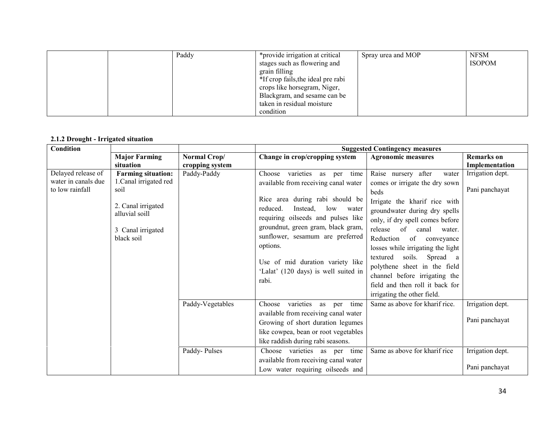|  | Paddy | *provide irrigation at critical    | Spray urea and MOP | <b>NFSM</b>   |
|--|-------|------------------------------------|--------------------|---------------|
|  |       | stages such as flowering and       |                    | <b>ISOPOM</b> |
|  |       | grain filling                      |                    |               |
|  |       | *If crop fails, the ideal pre rabi |                    |               |
|  |       | crops like horsegram, Niger,       |                    |               |
|  |       | Blackgram, and sesame can be       |                    |               |
|  |       | taken in residual moisture         |                    |               |
|  |       | condition                          |                    |               |

#### 2.1.2 Drought - Irrigated situation

| Condition                                                    |                                                                                                                                        |                                  |                                                                                                                                                                                                                                                                                                                                                                        | <b>Suggested Contingency measures</b>                                                                                                                                                                                                                                                                                                                                                                                                             |                                                                          |
|--------------------------------------------------------------|----------------------------------------------------------------------------------------------------------------------------------------|----------------------------------|------------------------------------------------------------------------------------------------------------------------------------------------------------------------------------------------------------------------------------------------------------------------------------------------------------------------------------------------------------------------|---------------------------------------------------------------------------------------------------------------------------------------------------------------------------------------------------------------------------------------------------------------------------------------------------------------------------------------------------------------------------------------------------------------------------------------------------|--------------------------------------------------------------------------|
|                                                              | <b>Major Farming</b><br>situation                                                                                                      | Normal Crop/<br>cropping system  | Change in crop/cropping system                                                                                                                                                                                                                                                                                                                                         | <b>Agronomic measures</b>                                                                                                                                                                                                                                                                                                                                                                                                                         | <b>Remarks</b> on<br>Implementation                                      |
| Delayed release of<br>water in canals due<br>to low rainfall | <b>Farming situation:</b><br>1. Canal irrigated red<br>soil<br>2. Canal irrigated<br>alluvial soill<br>3 Canal irrigated<br>black soil | Paddy-Paddy                      | varieties as per<br>time<br>Choose<br>available from receiving canal water<br>Rice area during rabi should be<br>reduced.<br>Instead.<br>low<br>water<br>requiring oilseeds and pulses like<br>groundnut, green gram, black gram,<br>sunflower, sesamum are preferred<br>options.<br>Use of mid duration variety like<br>'Lalat' (120 days) is well suited in<br>rabi. | Raise nursery after<br>water<br>comes or irrigate the dry sown<br>beds<br>Irrigate the kharif rice with<br>groundwater during dry spells<br>only, if dry spell comes before<br>release of<br>canal<br>water.<br>Reduction<br>of conveyance<br>losses while irrigating the light<br>soils. Spread a<br>textured<br>polythene sheet in the field<br>channel before irrigating the<br>field and then roll it back for<br>irrigating the other field. | Irrigation dept.<br>Pani panchayat                                       |
|                                                              |                                                                                                                                        | Paddy-Vegetables<br>Paddy-Pulses | varieties as per<br>time<br>Choose<br>available from receiving canal water<br>Growing of short duration legumes<br>like cowpea, bean or root vegetables<br>like raddish during rabi seasons.<br>Choose varieties as per time<br>available from receiving canal water<br>Low water requiring oilseeds and                                                               | Same as above for kharif rice.<br>Same as above for kharif rice                                                                                                                                                                                                                                                                                                                                                                                   | Irrigation dept.<br>Pani panchayat<br>Irrigation dept.<br>Pani panchayat |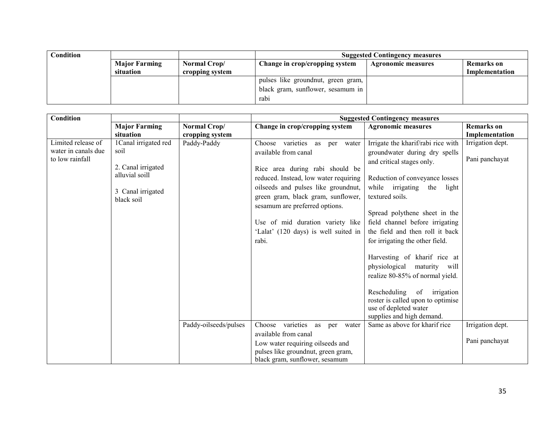| Condition |                      |                 | <b>Suggested Contingency measures</b> |                    |                |  |
|-----------|----------------------|-----------------|---------------------------------------|--------------------|----------------|--|
|           | <b>Major Farming</b> | Normal Crop/    | Change in crop/cropping system        | Agronomic measures | Remarks on     |  |
|           | situation            | cropping system |                                       |                    | Implementation |  |
|           |                      |                 | pulses like groundnut, green gram,    |                    |                |  |
|           |                      |                 | black gram, sunflower, sesamum in     |                    |                |  |
|           |                      |                 | rabi                                  |                    |                |  |

| <b>Condition</b>                                             |                                                                                                          |                       | <b>Suggested Contingency measures</b>                                                                                                                                                                                                                                                                                                 |                                                                                                                                                                                                                                                                                                                                     |                                    |  |
|--------------------------------------------------------------|----------------------------------------------------------------------------------------------------------|-----------------------|---------------------------------------------------------------------------------------------------------------------------------------------------------------------------------------------------------------------------------------------------------------------------------------------------------------------------------------|-------------------------------------------------------------------------------------------------------------------------------------------------------------------------------------------------------------------------------------------------------------------------------------------------------------------------------------|------------------------------------|--|
|                                                              | <b>Major Farming</b>                                                                                     | Normal Crop/          | Change in crop/cropping system                                                                                                                                                                                                                                                                                                        | <b>Agronomic measures</b>                                                                                                                                                                                                                                                                                                           | <b>Remarks</b> on                  |  |
|                                                              | situation                                                                                                | cropping system       |                                                                                                                                                                                                                                                                                                                                       |                                                                                                                                                                                                                                                                                                                                     | Implementation                     |  |
| Limited release of<br>water in canals due<br>to low rainfall | 1 Canal irrigated red<br>soil<br>2. Canal irrigated<br>alluvial soill<br>3 Canal irrigated<br>black soil | Paddy-Paddy           | Choose varieties as per water<br>available from canal<br>Rice area during rabi should be<br>reduced. Instead, low water requiring<br>oilseeds and pulses like groundnut,<br>green gram, black gram, sunflower,<br>sesamum are preferred options.<br>Use of mid duration variety like<br>'Lalat' (120 days) is well suited in<br>rabi. | Irrigate the kharif/rabi rice with<br>groundwater during dry spells<br>and critical stages only.<br>Reduction of conveyance losses<br>while irrigating<br>the<br>light<br>textured soils.<br>Spread polythene sheet in the<br>field channel before irrigating<br>the field and then roll it back<br>for irrigating the other field. | Irrigation dept.<br>Pani panchayat |  |
|                                                              |                                                                                                          | Paddy-oilseeds/pulses | Choose varieties as per water<br>available from canal                                                                                                                                                                                                                                                                                 | Harvesting of kharif rice at<br>physiological maturity will<br>realize 80-85% of normal yield.<br>Rescheduling of irrigation<br>roster is called upon to optimise<br>use of depleted water<br>supplies and high demand.<br>Same as above for kharif rice                                                                            | Irrigation dept.                   |  |
|                                                              |                                                                                                          |                       | Low water requiring oilseeds and<br>pulses like groundnut, green gram,<br>black gram, sunflower, sesamum                                                                                                                                                                                                                              |                                                                                                                                                                                                                                                                                                                                     | Pani panchayat                     |  |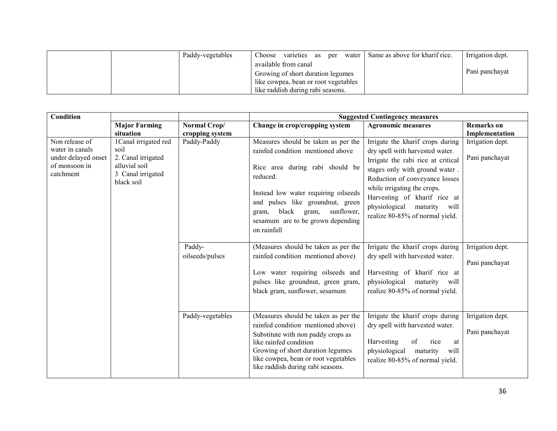|  | Paddy-vegetables | Choose                               | varieties as per water   Same as above for kharif rice. | Irrigation dept. |
|--|------------------|--------------------------------------|---------------------------------------------------------|------------------|
|  |                  | available from canal                 |                                                         |                  |
|  |                  | Growing of short duration legumes    |                                                         | Pani panchayat   |
|  |                  | like cowpea, bean or root vegetables |                                                         |                  |
|  |                  | like raddish during rabi seasons.    |                                                         |                  |

| <b>Condition</b>                       |                            |                  | <b>Suggested Contingency measures</b>                                      |                                                                  |                   |
|----------------------------------------|----------------------------|------------------|----------------------------------------------------------------------------|------------------------------------------------------------------|-------------------|
|                                        | <b>Major Farming</b>       | Normal Crop/     | Change in crop/cropping system                                             | <b>Agronomic measures</b>                                        | <b>Remarks</b> on |
|                                        | situation                  | cropping system  |                                                                            |                                                                  | Implementation    |
| Non release of                         | 1Canal irrigated red       | Paddy-Paddy      | Measures should be taken as per the                                        | Irrigate the kharif crops during                                 | Irrigation dept.  |
| water in canals<br>under delayed onset | soil<br>2. Canal irrigated |                  | rainfed condition mentioned above                                          | dry spell with harvested water.                                  | Pani panchayat    |
| of monsoon in                          | alluvial soil              |                  | Rice area during rabi should be                                            | Irrigate the rabi rice at critical                               |                   |
| catchment                              | 3 Canal irrigated          |                  | reduced.                                                                   | stages only with ground water.<br>Reduction of conveyance losses |                   |
|                                        | black soil                 |                  |                                                                            | while irrigating the crops.                                      |                   |
|                                        |                            |                  | Instead low water requiring oilseeds                                       | Harvesting of kharif rice at                                     |                   |
|                                        |                            |                  | and pulses like groundnut, green                                           | physiological maturity will                                      |                   |
|                                        |                            |                  | black<br>sunflower,<br>gram,<br>gram,                                      | realize 80-85% of normal yield.                                  |                   |
|                                        |                            |                  | sesamum are to be grown depending<br>on rainfall                           |                                                                  |                   |
|                                        |                            |                  |                                                                            |                                                                  |                   |
|                                        |                            | Paddy-           | (Measures should be taken as per the                                       | Irrigate the kharif crops during                                 | Irrigation dept.  |
|                                        |                            | oilseeds/pulses  | rainfed condition mentioned above)                                         | dry spell with harvested water.                                  | Pani panchayat    |
|                                        |                            |                  | Low water requiring oilseeds and                                           | Harvesting of kharif rice at                                     |                   |
|                                        |                            |                  | pulses like groundnut, green gram,                                         | physiological maturity will                                      |                   |
|                                        |                            |                  | black gram, sunflower, sesamum                                             | realize 80-85% of normal yield.                                  |                   |
|                                        |                            |                  |                                                                            |                                                                  |                   |
|                                        |                            |                  |                                                                            |                                                                  |                   |
|                                        |                            | Paddy-vegetables | (Measures should be taken as per the<br>rainfed condition mentioned above) | Irrigate the kharif crops during                                 | Irrigation dept.  |
|                                        |                            |                  | Substitute with non paddy crops as                                         | dry spell with harvested water.                                  | Pani panchayat    |
|                                        |                            |                  | like rainfed condition                                                     | Harvesting<br>of<br>rice<br>at                                   |                   |
|                                        |                            |                  | Growing of short duration legumes                                          | physiological<br>maturity<br>will                                |                   |
|                                        |                            |                  | like cowpea, bean or root vegetables<br>like raddish during rabi seasons.  | realize 80-85% of normal yield.                                  |                   |
|                                        |                            |                  |                                                                            |                                                                  |                   |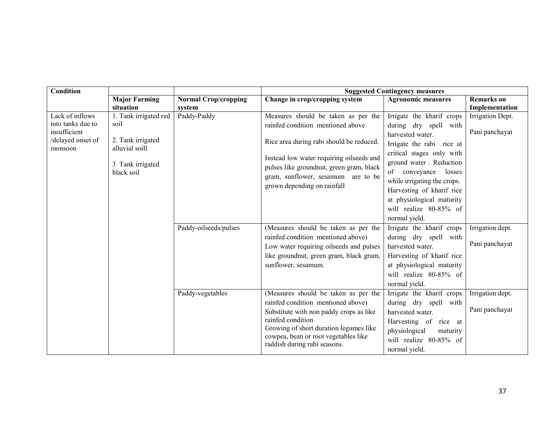| <b>Condition</b>  |                                    |                             | <b>Suggested Contingency measures</b>                                          |                            |                   |
|-------------------|------------------------------------|-----------------------------|--------------------------------------------------------------------------------|----------------------------|-------------------|
|                   | <b>Major Farming</b>               | <b>Normal Crop/cropping</b> | Change in crop/cropping system                                                 | <b>Agronomic measures</b>  | <b>Remarks</b> on |
|                   | situation                          | system                      |                                                                                |                            | Implementation    |
| Lack of inflows   | 1. Tank irrigated red              | Paddy-Paddy                 | Measures should be taken as per the                                            | Irrigate the kharif crops  | Irrigation Dept.  |
| into tanks due to | soil                               |                             | rainfed condition mentioned above                                              | during dry spell with      |                   |
| insufficient      |                                    |                             |                                                                                | harvested water.           | Pani panchayat    |
| /delayed onset of | 2. Tank irrigated                  |                             | Rice area during rabi should be reduced.                                       | Irrigate the rabi rice at  |                   |
| monsoon           | alluvial soill                     |                             |                                                                                | critical stages only with  |                   |
|                   | 3 Tank irrigated                   |                             | Instead low water requiring oilseeds and                                       | ground water. Reduction    |                   |
|                   | black soil                         |                             | pulses like groundnut, green gram, black                                       | of<br>conveyance<br>losses |                   |
|                   | gram, sunflower, sesamum are to be | while irrigating the crops. |                                                                                |                            |                   |
|                   |                                    |                             | grown depending on rainfall                                                    | Harvesting of kharif rice  |                   |
|                   |                                    |                             |                                                                                | at physiological maturity  |                   |
|                   |                                    |                             |                                                                                | will realize 80-85% of     |                   |
|                   |                                    |                             |                                                                                | normal yield.              |                   |
|                   |                                    | Paddy-oilseeds/pulses       | (Measures should be taken as per the                                           | Irrigate the kharif crops  | Irrigation dept.  |
|                   |                                    |                             | rainfed condition mentioned above)                                             | during dry spell with      |                   |
|                   |                                    |                             | Low water requiring oilseeds and pulses                                        | harvested water.           | Pani panchayat    |
|                   |                                    |                             | like groundnut, green gram, black gram,                                        | Harvesting of kharif rice  |                   |
|                   |                                    |                             | sunflower, sesamum.                                                            | at physiological maturity  |                   |
|                   |                                    |                             |                                                                                | will realize 80-85% of     |                   |
|                   |                                    |                             |                                                                                | normal yield.              |                   |
|                   |                                    | Paddy-vegetables            | (Measures should be taken as per the                                           | Irrigate the kharif crops  | Irrigation dept.  |
|                   |                                    |                             | rainfed condition mentioned above)                                             | during dry spell with      |                   |
|                   |                                    |                             | Substitute with non paddy crops as like                                        | harvested water.           | Pani panchayat    |
|                   |                                    |                             | rainfed condition                                                              | Harvesting of rice at      |                   |
|                   |                                    |                             | Growing of short duration legumes like<br>cowpea, bean or root vegetables like | physiological<br>maturity  |                   |
|                   |                                    |                             | raddish during rabi seasons.                                                   | will realize 80-85% of     |                   |
|                   |                                    |                             |                                                                                | normal yield.              |                   |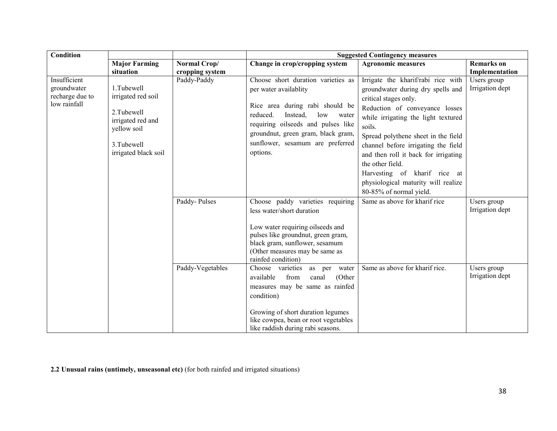| <b>Condition</b> |                      |                  | <b>Suggested Contingency measures</b>                                     |                                      |                   |  |
|------------------|----------------------|------------------|---------------------------------------------------------------------------|--------------------------------------|-------------------|--|
|                  | <b>Major Farming</b> | Normal Crop/     | Change in crop/cropping system                                            | <b>Agronomic measures</b>            | <b>Remarks</b> on |  |
|                  | situation            | cropping system  |                                                                           |                                      | Implementation    |  |
| Insufficient     |                      | Paddy-Paddy      | Choose short duration varieties as                                        | Irrigate the kharif/rabi rice with   | Users group       |  |
| groundwater      | 1.Tubewell           |                  | per water availablity                                                     | groundwater during dry spells and    | Irrigation dept   |  |
| recharge due to  | irrigated red soil   |                  |                                                                           | critical stages only.                |                   |  |
| low rainfall     | 2. Tubewell          |                  | Rice area during rabi should be                                           | Reduction of conveyance losses       |                   |  |
|                  | irrigated red and    |                  | reduced.<br>Instead,<br>low<br>water                                      | while irrigating the light textured  |                   |  |
|                  | yellow soil          |                  | requiring oilseeds and pulses like                                        | soils.                               |                   |  |
|                  |                      |                  | groundnut, green gram, black gram,                                        | Spread polythene sheet in the field  |                   |  |
|                  | 3. Tubewell          |                  | sunflower, sesamum are preferred                                          | channel before irrigating the field  |                   |  |
|                  | irrigated black soil |                  | options.                                                                  | and then roll it back for irrigating |                   |  |
|                  |                      |                  |                                                                           | the other field.                     |                   |  |
|                  |                      |                  |                                                                           | Harvesting of kharif rice at         |                   |  |
|                  |                      |                  |                                                                           | physiological maturity will realize  |                   |  |
|                  |                      |                  |                                                                           | 80-85% of normal yield.              |                   |  |
|                  |                      | Paddy-Pulses     | Choose paddy varieties requiring                                          | Same as above for kharif rice        | Users group       |  |
|                  |                      |                  | less water/short duration                                                 |                                      | Irrigation dept   |  |
|                  |                      |                  |                                                                           |                                      |                   |  |
|                  |                      |                  | Low water requiring oilseeds and                                          |                                      |                   |  |
|                  |                      |                  | pulses like groundnut, green gram,<br>black gram, sunflower, sesamum      |                                      |                   |  |
|                  |                      |                  | (Other measures may be same as                                            |                                      |                   |  |
|                  |                      |                  | rainfed condition)                                                        |                                      |                   |  |
|                  |                      | Paddy-Vegetables | Choose varieties<br>as per water                                          | Same as above for kharif rice.       | Users group       |  |
|                  |                      |                  | from<br>(Other<br>available<br>canal                                      |                                      | Irrigation dept   |  |
|                  |                      |                  | measures may be same as rainfed                                           |                                      |                   |  |
|                  |                      |                  | condition)                                                                |                                      |                   |  |
|                  |                      |                  |                                                                           |                                      |                   |  |
|                  |                      |                  | Growing of short duration legumes<br>like cowpea, bean or root vegetables |                                      |                   |  |
|                  |                      |                  | like raddish during rabi seasons.                                         |                                      |                   |  |

2.2 Unusual rains (untimely, unseasonal etc) (for both rainfed and irrigated situations)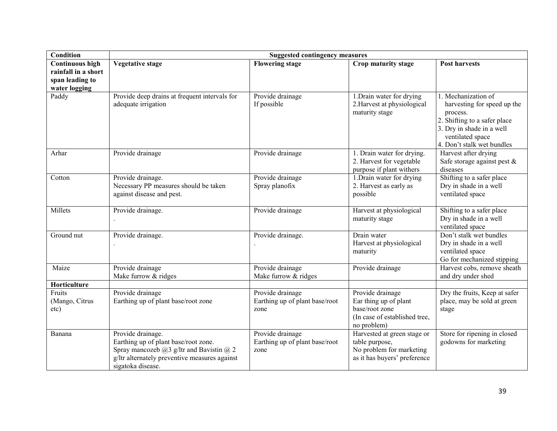| Condition                                                                         | <b>Suggested contingency measures</b>                                                                                                                                                |                                                            |                                                                                                             |                                                                                                                                                                               |  |
|-----------------------------------------------------------------------------------|--------------------------------------------------------------------------------------------------------------------------------------------------------------------------------------|------------------------------------------------------------|-------------------------------------------------------------------------------------------------------------|-------------------------------------------------------------------------------------------------------------------------------------------------------------------------------|--|
| <b>Continuous high</b><br>rainfall in a short<br>span leading to<br>water logging | <b>Vegetative stage</b>                                                                                                                                                              | <b>Flowering stage</b>                                     | Crop maturity stage                                                                                         | <b>Post harvests</b>                                                                                                                                                          |  |
| Paddy                                                                             | Provide deep drains at frequent intervals for<br>adequate irrigation                                                                                                                 | Provide drainage<br>If possible                            | 1. Drain water for drying<br>2. Harvest at physiological<br>maturity stage                                  | 1. Mechanization of<br>harvesting for speed up the<br>process.<br>2. Shifting to a safer place<br>3. Dry in shade in a well<br>ventilated space<br>4. Don't stalk wet bundles |  |
| Arhar                                                                             | Provide drainage                                                                                                                                                                     | Provide drainage                                           | 1. Drain water for drying.<br>2. Harvest for vegetable<br>purpose if plant withers                          | Harvest after drying<br>Safe storage against pest $\&$<br>diseases                                                                                                            |  |
| Cotton                                                                            | Provide drainage.<br>Necessary PP measures should be taken<br>against disease and pest.                                                                                              | Provide drainage<br>Spray planofix                         | 1. Drain water for drying<br>2. Harvest as early as<br>possible                                             | Shifting to a safer place<br>Dry in shade in a well<br>ventilated space                                                                                                       |  |
| Millets                                                                           | Provide drainage.                                                                                                                                                                    | Provide drainage                                           | Harvest at physiological<br>maturity stage                                                                  | Shifting to a safer place<br>Dry in shade in a well<br>ventilated space                                                                                                       |  |
| Ground nut                                                                        | Provide drainage.                                                                                                                                                                    | Provide drainage.                                          | Drain water<br>Harvest at physiological<br>maturity                                                         | Don't stalk wet bundles<br>Dry in shade in a well<br>ventilated space<br>Go for mechanized stipping                                                                           |  |
| Maize                                                                             | Provide drainage<br>Make furrow & ridges                                                                                                                                             | Provide drainage<br>Make furrow & ridges                   | Provide drainage                                                                                            | Harvest cobs, remove sheath<br>and dry under shed                                                                                                                             |  |
| Horticulture                                                                      |                                                                                                                                                                                      |                                                            |                                                                                                             |                                                                                                                                                                               |  |
| Fruits<br>(Mango, Citrus<br>etc)                                                  | Provide drainage<br>Earthing up of plant base/root zone                                                                                                                              | Provide drainage<br>Earthing up of plant base/root<br>zone | Provide drainage<br>Ear thing up of plant<br>base/root zone<br>(In case of established tree,<br>no problem) | Dry the fruits, Keep at safer<br>place, may be sold at green<br>stage                                                                                                         |  |
| Banana                                                                            | Provide drainage.<br>Earthing up of plant base/root zone.<br>Spray mancozeb $(a)$ 3 g/ltr and Bavistin $(a)$ 2<br>g/ltr alternately preventive measures against<br>sigatoka disease. | Provide drainage<br>Earthing up of plant base/root<br>zone | Harvested at green stage or<br>table purpose,<br>No problem for marketing<br>as it has buyers' preference   | Store for ripening in closed<br>godowns for marketing                                                                                                                         |  |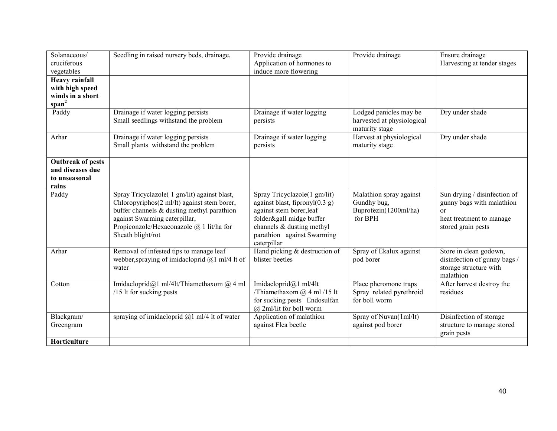| Solanaceous/<br>cruciferous<br>vegetables                                         | Seedling in raised nursery beds, drainage,                                                                                                                                                                                                    | Provide drainage<br>Application of hormones to<br>induce more flowering                                                                                                                             | Provide drainage                                                           | Ensure drainage<br>Harvesting at tender stages                                                                          |
|-----------------------------------------------------------------------------------|-----------------------------------------------------------------------------------------------------------------------------------------------------------------------------------------------------------------------------------------------|-----------------------------------------------------------------------------------------------------------------------------------------------------------------------------------------------------|----------------------------------------------------------------------------|-------------------------------------------------------------------------------------------------------------------------|
| <b>Heavy rainfall</b><br>with high speed<br>winds in a short<br>span <sup>2</sup> |                                                                                                                                                                                                                                               |                                                                                                                                                                                                     |                                                                            |                                                                                                                         |
| Paddy                                                                             | Drainage if water logging persists<br>Small seedlings withstand the problem                                                                                                                                                                   | Drainage if water logging<br>persists                                                                                                                                                               | Lodged panicles may be<br>harvested at physiological<br>maturity stage     | Dry under shade                                                                                                         |
| Arhar                                                                             | Drainage if water logging persists<br>Small plants withstand the problem                                                                                                                                                                      | Drainage if water logging<br>persists                                                                                                                                                               | Harvest at physiological<br>maturity stage                                 | Dry under shade                                                                                                         |
| <b>Outbreak of pests</b><br>and diseases due<br>to unseasonal<br>rains            |                                                                                                                                                                                                                                               |                                                                                                                                                                                                     |                                                                            |                                                                                                                         |
| Paddy                                                                             | Spray Tricyclazole( 1 gm/lit) against blast,<br>Chloropyriphos(2 ml/lt) against stem borer,<br>buffer channels $&$ dusting methyl parathion<br>against Swarming caterpillar,<br>Propiconzole/Hexaconazole @ 1 lit/ha for<br>Sheath blight/rot | Spray Tricyclazole(1 gm/lit)<br>against blast, fipronyl $(0.3 g)$<br>against stem borer, leaf<br>folder&gall midge buffer<br>channels & dusting methyl<br>parathion against Swarming<br>caterpillar | Malathion spray against<br>Gundhy bug,<br>Buprofezin(1200ml/ha)<br>for BPH | Sun drying / disinfection of<br>gunny bags with malathion<br>$\alpha$<br>heat treatment to manage<br>stored grain pests |
| Arhar                                                                             | Removal of infested tips to manage leaf<br>webber, spraying of imidacloprid $@1$ ml/4 lt of<br>water                                                                                                                                          | Hand picking & destruction of<br>blister beetles                                                                                                                                                    | Spray of Ekalux against<br>pod borer                                       | Store in clean godown,<br>disinfection of gunny bags /<br>storage structure with<br>malathion                           |
| Cotton                                                                            | Imidacloprid@1 ml/4lt/Thiamethaxom @ 4 ml<br>/15 lt for sucking pests                                                                                                                                                                         | Imidacloprid@1 ml/4lt<br>/Thiamethaxom $@$ 4 ml /15 lt<br>for sucking pests Endosulfan<br>@ 2ml/lit for boll worm                                                                                   | Place pheromone traps<br>Spray related pyrethroid<br>for boll worm         | After harvest destroy the<br>residues                                                                                   |
| Blackgram/<br>Greengram<br>Horticulture                                           | spraying of imidacloprid $(a)$ 1 ml/4 lt of water                                                                                                                                                                                             | Application of malathion<br>against Flea beetle                                                                                                                                                     | Spray of Nuvan(1ml/lt)<br>against pod borer                                | Disinfection of storage<br>structure to manage stored<br>grain pests                                                    |
|                                                                                   |                                                                                                                                                                                                                                               |                                                                                                                                                                                                     |                                                                            |                                                                                                                         |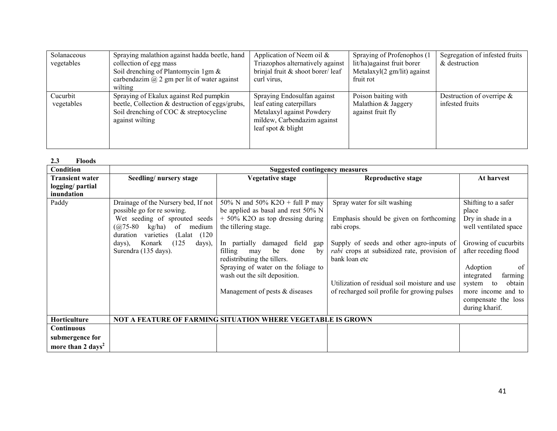| Solanaceous | Spraying malathion against hadda beetle, hand      | Application of Neem oil $\&$     | Spraying of Profenophos (1             | Segregation of infested fruits |
|-------------|----------------------------------------------------|----------------------------------|----------------------------------------|--------------------------------|
| vegetables  | collection of egg mass                             | Triazophos alternatively against | lit/ha) against fruit borer            | & destruction                  |
|             | Soil drenching of Plantomycin 1gm $\&$             | brinjal fruit & shoot borer/leaf | Metalaxyl $(2 \text{ gm/lit})$ against |                                |
|             | carbendazim $\omega$ 2 gm per lit of water against | curl virus.                      | fruit rot                              |                                |
|             | wilting                                            |                                  |                                        |                                |
| Cucurbit    | Spraying of Ekalux against Red pumpkin             | Spraying Endosulfan against      | Poison baiting with                    | Destruction of overripe $\&$   |
| vegetables  | beetle, Collection & destruction of eggs/grubs,    | leaf eating caterpillars         | Malathion & Jaggery                    | infested fruits                |
|             | Soil drenching of COC & streptocycline             | Metalaxyl against Powdery        | against fruit fly                      |                                |
|             | against wilting                                    | mildew, Carbendazim against      |                                        |                                |
|             |                                                    | leaf spot & blight               |                                        |                                |
|             |                                                    |                                  |                                        |                                |
|             |                                                    |                                  |                                        |                                |

| 2.3<br><b>Floods</b>          |                                         |                                                             |                                               |                           |
|-------------------------------|-----------------------------------------|-------------------------------------------------------------|-----------------------------------------------|---------------------------|
| Condition                     |                                         | <b>Suggested contingency measures</b>                       |                                               |                           |
| <b>Transient water</b>        | Seedling/nursery stage                  | <b>Vegetative stage</b>                                     | <b>Reproductive stage</b>                     | At harvest                |
| logging/ partial              |                                         |                                                             |                                               |                           |
| inundation                    |                                         |                                                             |                                               |                           |
| Paddy                         | Drainage of the Nursery bed, If not     | 50% N and 50% K2O + full P may                              | Spray water for silt washing                  | Shifting to a safer       |
|                               | possible go for re sowing.              | be applied as basal and rest 50% N                          |                                               | place                     |
|                               | Wet seeding of sprouted seeds           | $+50\%$ K2O as top dressing during                          | Emphasis should be given on forthcoming       | Dry in shade in a         |
|                               | of<br>kg/ha)<br>$(a) 75 - 80$<br>medium | the tillering stage.                                        | rabi crops.                                   | well ventilated space     |
|                               | (Lalat (120)<br>varieties<br>duration   |                                                             |                                               |                           |
|                               | (125)<br>Konark<br>days),<br>days),     | In partially damaged<br>field<br>gap                        | Supply of seeds and other agro-inputs of      | Growing of cucurbits      |
|                               | Surendra (135 days).                    | filling<br>done<br>be<br>by<br>may                          | rabi crops at subsidized rate, provision of   | after receding flood      |
|                               |                                         | redistributing the tillers.                                 | bank loan etc                                 |                           |
|                               |                                         | Spraying of water on the foliage to                         |                                               | Adoption<br><sup>of</sup> |
|                               |                                         | wash out the silt deposition.                               |                                               | integrated<br>farming     |
|                               |                                         |                                                             | Utilization of residual soil moisture and use | obtain<br>system<br>to    |
|                               |                                         | Management of pests $&$ diseases                            | of recharged soil profile for growing pulses  | more income and to        |
|                               |                                         |                                                             |                                               | compensate the loss       |
|                               |                                         |                                                             |                                               | during kharif.            |
| Horticulture                  |                                         | NOT A FEATURE OF FARMING SITUATION WHERE VEGETABLE IS GROWN |                                               |                           |
| <b>Continuous</b>             |                                         |                                                             |                                               |                           |
| submergence for               |                                         |                                                             |                                               |                           |
| more than 2 days <sup>2</sup> |                                         |                                                             |                                               |                           |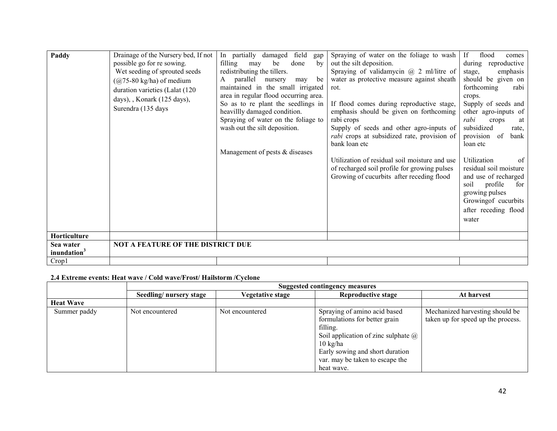| Paddy                                | Drainage of the Nursery bed, If not<br>possible go for re sowing.<br>Wet seeding of sprouted seeds<br>$(a)$ 75-80 kg/ha) of medium<br>duration varieties (Lalat (120)<br>days), , Konark (125 days),<br>Surendra (135 days | In partially damaged<br>field<br>gap<br>filling<br>done<br>be<br>by<br>may<br>redistributing the tillers.<br>parallel<br>nursery<br>be<br>A<br>may<br>maintained in the small irrigated<br>area in regular flood occurring area.<br>So as to re plant the seedlings in<br>heavillly damaged condition.<br>Spraying of water on the foliage to<br>wash out the silt deposition.<br>Management of pests & diseases | Spraying of water on the foliage to wash<br>out the silt deposition.<br>Spraying of validamycin $@$ 2 ml/litre of<br>water as protective measure against sheath<br>rot.<br>If flood comes during reproductive stage,<br>emphasis should be given on forthcoming<br>rabi crops<br>Supply of seeds and other agro-inputs of<br>rabi crops at subsidized rate, provision of<br>bank loan etc<br>Utilization of residual soil moisture and use<br>of recharged soil profile for growing pulses<br>Growing of cucurbits after receding flood | If<br>flood<br>comes<br>during reproductive<br>emphasis<br>stage,<br>should be given on<br>forthcoming<br>rabi<br>crops.<br>Supply of seeds and<br>other agro-inputs of<br>rabi<br>crops<br>at<br>subsidized<br>rate.<br>provision<br>of<br>bank<br>loan etc<br>Utilization<br>of<br>residual soil moisture<br>and use of recharged<br>profile<br>soil<br>for<br>growing pulses<br>Growing of cucurbits<br>after receding flood<br>water |
|--------------------------------------|----------------------------------------------------------------------------------------------------------------------------------------------------------------------------------------------------------------------------|------------------------------------------------------------------------------------------------------------------------------------------------------------------------------------------------------------------------------------------------------------------------------------------------------------------------------------------------------------------------------------------------------------------|-----------------------------------------------------------------------------------------------------------------------------------------------------------------------------------------------------------------------------------------------------------------------------------------------------------------------------------------------------------------------------------------------------------------------------------------------------------------------------------------------------------------------------------------|------------------------------------------------------------------------------------------------------------------------------------------------------------------------------------------------------------------------------------------------------------------------------------------------------------------------------------------------------------------------------------------------------------------------------------------|
| Horticulture                         |                                                                                                                                                                                                                            |                                                                                                                                                                                                                                                                                                                                                                                                                  |                                                                                                                                                                                                                                                                                                                                                                                                                                                                                                                                         |                                                                                                                                                                                                                                                                                                                                                                                                                                          |
| Sea water<br>inundation <sup>3</sup> | <b>NOT A FEATURE OF THE DISTRICT DUE</b>                                                                                                                                                                                   |                                                                                                                                                                                                                                                                                                                                                                                                                  |                                                                                                                                                                                                                                                                                                                                                                                                                                                                                                                                         |                                                                                                                                                                                                                                                                                                                                                                                                                                          |
| Crop1                                |                                                                                                                                                                                                                            |                                                                                                                                                                                                                                                                                                                                                                                                                  |                                                                                                                                                                                                                                                                                                                                                                                                                                                                                                                                         |                                                                                                                                                                                                                                                                                                                                                                                                                                          |

# 2.4 Extreme events: Heat wave / Cold wave/Frost/ Hailstorm /Cyclone

|                  | Suggested contingency measures |                         |                                            |                                    |  |  |
|------------------|--------------------------------|-------------------------|--------------------------------------------|------------------------------------|--|--|
|                  | Seedling/nursery stage         | <b>Vegetative stage</b> | <b>Reproductive stage</b>                  | At harvest                         |  |  |
| <b>Heat Wave</b> |                                |                         |                                            |                                    |  |  |
| Summer paddy     | Not encountered                | Not encountered         | Spraying of amino acid based               | Mechanized harvesting should be    |  |  |
|                  |                                |                         | formulations for better grain              | taken up for speed up the process. |  |  |
|                  |                                |                         | filling.                                   |                                    |  |  |
|                  |                                |                         | Soil application of zinc sulphate $\omega$ |                                    |  |  |
|                  |                                |                         | $10 \text{ kg/ha}$                         |                                    |  |  |
|                  |                                |                         | Early sowing and short duration            |                                    |  |  |
|                  |                                |                         | var. may be taken to escape the            |                                    |  |  |
|                  |                                |                         | heat wave.                                 |                                    |  |  |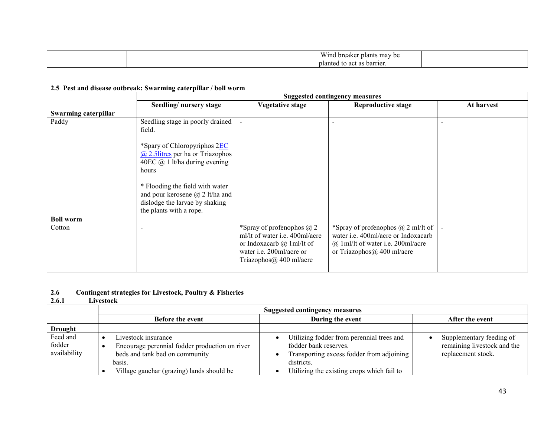| Wind<br>i breaker plants<br>s may be |  |
|--------------------------------------|--|
| planted to act as barrier.           |  |

# 2.5 Pest and disease outbreak: Swarming caterpillar / boll worm

|                      | <b>Suggested contingency measures</b>                                                                                                                                                          |                                                                                                                                                                        |                                                                                                                                                           |            |  |
|----------------------|------------------------------------------------------------------------------------------------------------------------------------------------------------------------------------------------|------------------------------------------------------------------------------------------------------------------------------------------------------------------------|-----------------------------------------------------------------------------------------------------------------------------------------------------------|------------|--|
|                      | Seedling/nursery stage                                                                                                                                                                         | Vegetative stage                                                                                                                                                       | <b>Reproductive stage</b>                                                                                                                                 | At harvest |  |
| Swarming caterpillar |                                                                                                                                                                                                |                                                                                                                                                                        |                                                                                                                                                           |            |  |
| Paddy                | Seedling stage in poorly drained<br>field.                                                                                                                                                     | $\blacksquare$                                                                                                                                                         | $\overline{\phantom{a}}$                                                                                                                                  |            |  |
|                      | *Spary of Chloropyriphos 2EC<br>$\omega$ 2.5 litres per ha or Triazophos<br>40EC $@$ 1 lt/ha during evening<br>hours<br>* Flooding the field with water<br>and pour kerosene $(a)$ 2 lt/ha and |                                                                                                                                                                        |                                                                                                                                                           |            |  |
|                      | dislodge the larvae by shaking<br>the plants with a rope.                                                                                                                                      |                                                                                                                                                                        |                                                                                                                                                           |            |  |
| <b>Boll worm</b>     |                                                                                                                                                                                                |                                                                                                                                                                        |                                                                                                                                                           |            |  |
| Cotton               |                                                                                                                                                                                                | *Spray of profenophos $\omega$ 2<br>ml/lt of water i.e. 400ml/acre<br>or Indoxacarb $\omega$ 1 ml/lt of<br>water i.e. 200ml/acre or<br>Triazophos $\omega$ 400 ml/acre | *Spray of profenophos $(a)$ 2 ml/lt of<br>water i.e. 400ml/acre or Indoxacarb<br>$(a)$ 1 ml/lt of water i.e. 200 ml/acre<br>or Triazophos $@$ 400 ml/acre |            |  |

#### 2.6Contingent strategies for Livestock, Poultry & Fisheries

#### 2.6.11 Livestock

|                                    | <b>Suggested contingency measures</b>                                                                                                                          |                                                                                                                                                                             |                                                                               |  |  |  |  |  |
|------------------------------------|----------------------------------------------------------------------------------------------------------------------------------------------------------------|-----------------------------------------------------------------------------------------------------------------------------------------------------------------------------|-------------------------------------------------------------------------------|--|--|--|--|--|
|                                    | <b>Before the event</b>                                                                                                                                        | During the event                                                                                                                                                            | After the event                                                               |  |  |  |  |  |
| <b>Drought</b>                     |                                                                                                                                                                |                                                                                                                                                                             |                                                                               |  |  |  |  |  |
| Feed and<br>fodder<br>availability | Livestock insurance<br>Encourage perennial fodder production on river<br>beds and tank bed on community<br>basis.<br>Village gauchar (grazing) lands should be | Utilizing fodder from perennial trees and<br>fodder bank reserves.<br>Transporting excess fodder from adjoining<br>districts.<br>Utilizing the existing crops which fail to | Supplementary feeding of<br>remaining livestock and the<br>replacement stock. |  |  |  |  |  |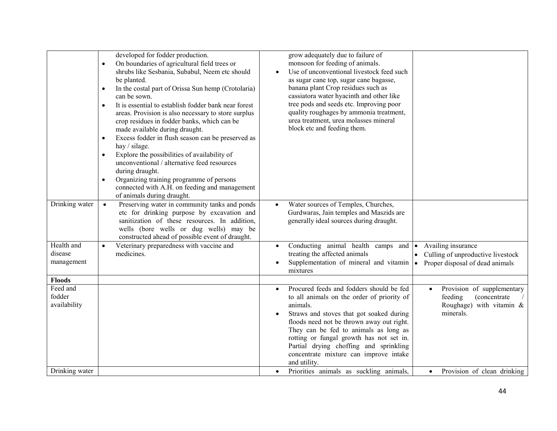|                    | $\bullet$ | developed for fodder production.<br>On boundaries of agricultural field trees or |           | grow adequately due to failure of<br>monsoon for feeding of animals. |           |                                                         |
|--------------------|-----------|----------------------------------------------------------------------------------|-----------|----------------------------------------------------------------------|-----------|---------------------------------------------------------|
|                    |           | shrubs like Sesbania, Subabul, Neem etc should                                   |           | Use of unconventional livestock feed such                            |           |                                                         |
|                    |           | be planted.                                                                      |           | as sugar cane top, sugar cane bagasse,                               |           |                                                         |
|                    | $\bullet$ | In the costal part of Orissa Sun hemp (Crotolaria)                               |           | banana plant Crop residues such as                                   |           |                                                         |
|                    |           | can be sown.                                                                     |           | cassiatora water hyacinth and other like                             |           |                                                         |
|                    | $\bullet$ | It is essential to establish fodder bank near forest                             |           | tree pods and seeds etc. Improving poor                              |           |                                                         |
|                    |           | areas. Provision is also necessary to store surplus                              |           | quality roughages by ammonia treatment,                              |           |                                                         |
|                    |           | crop residues in fodder banks, which can be                                      |           | urea treatment, urea molasses mineral                                |           |                                                         |
|                    |           | made available during draught.                                                   |           | block etc and feeding them.                                          |           |                                                         |
|                    | $\bullet$ | Excess fodder in flush season can be preserved as<br>hay / silage.               |           |                                                                      |           |                                                         |
|                    | $\bullet$ | Explore the possibilities of availability of                                     |           |                                                                      |           |                                                         |
|                    |           | unconventional / alternative feed resources                                      |           |                                                                      |           |                                                         |
|                    |           | during draught.                                                                  |           |                                                                      |           |                                                         |
|                    | $\bullet$ | Organizing training programme of persons                                         |           |                                                                      |           |                                                         |
|                    |           | connected with A.H. on feeding and management                                    |           |                                                                      |           |                                                         |
| Drinking water     | $\bullet$ | of animals during draught.<br>Preserving water in community tanks and ponds      |           | Water sources of Temples, Churches,                                  |           |                                                         |
|                    |           | etc for drinking purpose by excavation and                                       | $\bullet$ | Gurdwaras, Jain temples and Maszids are                              |           |                                                         |
|                    |           | sanitization of these resources. In addition,                                    |           | generally ideal sources during draught.                              |           |                                                         |
|                    |           | wells (bore wells or dug wells) may be                                           |           |                                                                      |           |                                                         |
|                    |           | constructed ahead of possible event of draught.                                  |           |                                                                      |           |                                                         |
| Health and         |           | Veterinary preparedness with vaccine and                                         |           | Conducting animal health camps and $\bullet$                         |           | Availing insurance                                      |
| disease            |           | medicines.                                                                       |           | treating the affected animals                                        | $\bullet$ | Culling of unproductive livestock                       |
| management         |           |                                                                                  |           | Supplementation of mineral and vitamin                               |           | Proper disposal of dead animals                         |
|                    |           |                                                                                  |           | mixtures                                                             |           |                                                         |
| <b>Floods</b>      |           |                                                                                  |           |                                                                      |           |                                                         |
| Feed and<br>fodder |           |                                                                                  |           | Procured feeds and fodders should be fed                             |           | Provision of supplementary                              |
| availability       |           |                                                                                  |           | to all animals on the order of priority of<br>animals.               |           | feeding<br>(concentrate)<br>Roughage) with vitamin $\&$ |
|                    |           |                                                                                  |           | Straws and stoves that got soaked during                             |           | minerals.                                               |
|                    |           |                                                                                  |           | floods need not be thrown away out right.                            |           |                                                         |
|                    |           |                                                                                  |           | They can be fed to animals as long as                                |           |                                                         |
|                    |           |                                                                                  |           | rotting or fungal growth has not set in.                             |           |                                                         |
|                    |           |                                                                                  |           | Partial drying choffing and sprinkling                               |           |                                                         |
|                    |           |                                                                                  |           | concentrate mixture can improve intake                               |           |                                                         |
|                    |           |                                                                                  |           | and utility.                                                         |           |                                                         |
| Drinking water     |           |                                                                                  | $\bullet$ | Priorities animals as suckling animals,                              | $\bullet$ | Provision of clean drinking                             |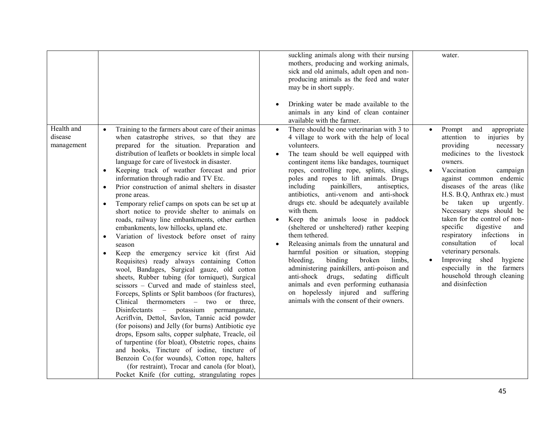|                                     |                                                                                                                                                                                                                                                                                                                                                                                                                                                                                                                                                                                                                                                                                                                                                                                                                                                                                                                                                                                                                                                                                                                                                                                                                                                                                                                                                                                                                                                                                                                                                                            | suckling animals along with their nursing<br>mothers, producing and working animals,<br>sick and old animals, adult open and non-<br>producing animals as the feed and water<br>may be in short supply.<br>Drinking water be made available to the<br>animals in any kind of clean container<br>available with the farmer.                                                                                                                                                                                                                                                                                                                                                                                                                                                                                                                                                                             | water.                                                                                                                                                                                                                                                                                                                                                                                                                                                                                                                                                                                                  |
|-------------------------------------|----------------------------------------------------------------------------------------------------------------------------------------------------------------------------------------------------------------------------------------------------------------------------------------------------------------------------------------------------------------------------------------------------------------------------------------------------------------------------------------------------------------------------------------------------------------------------------------------------------------------------------------------------------------------------------------------------------------------------------------------------------------------------------------------------------------------------------------------------------------------------------------------------------------------------------------------------------------------------------------------------------------------------------------------------------------------------------------------------------------------------------------------------------------------------------------------------------------------------------------------------------------------------------------------------------------------------------------------------------------------------------------------------------------------------------------------------------------------------------------------------------------------------------------------------------------------------|--------------------------------------------------------------------------------------------------------------------------------------------------------------------------------------------------------------------------------------------------------------------------------------------------------------------------------------------------------------------------------------------------------------------------------------------------------------------------------------------------------------------------------------------------------------------------------------------------------------------------------------------------------------------------------------------------------------------------------------------------------------------------------------------------------------------------------------------------------------------------------------------------------|---------------------------------------------------------------------------------------------------------------------------------------------------------------------------------------------------------------------------------------------------------------------------------------------------------------------------------------------------------------------------------------------------------------------------------------------------------------------------------------------------------------------------------------------------------------------------------------------------------|
| Health and<br>disease<br>management | Training to the farmers about care of their animas<br>$\bullet$<br>when catastrophe strives, so that they are<br>prepared for the situation. Preparation and<br>distribution of leaflets or booklets in simple local<br>language for care of livestock in disaster.<br>Keeping track of weather forecast and prior<br>$\bullet$<br>information through radio and TV Etc.<br>Prior construction of animal shelters in disaster<br>$\bullet$<br>prone areas.<br>Temporary relief camps on spots can be set up at<br>$\bullet$<br>short notice to provide shelter to animals on<br>roads, railway line embankments, other earthen<br>embankments, low hillocks, upland etc.<br>Variation of livestock before onset of rainy<br>$\bullet$<br>season<br>Keep the emergency service kit (first Aid<br>$\bullet$<br>Requisites) ready always containing Cotton<br>wool, Bandages, Surgical gauze, old cotton<br>sheets, Rubber tubing (for torniquet), Surgical<br>scissors - Curved and made of stainless steel,<br>Forceps, Splints or Split bamboos (for fractures),<br>Clinical thermometers – two or three,<br>Disinfectants – potassium permanganate,<br>Acriflvin, Dettol, Savlon, Tannic acid powder<br>(for poisons) and Jelly (for burns) Antibiotic eye<br>drops, Epsom salts, copper sulphate, Treacle, oil<br>of turpentine (for bloat), Obstetric ropes, chains<br>and hooks, Tincture of iodine, tincture of<br>Benzoin Co.(for wounds), Cotton rope, halters<br>(for restraint), Trocar and canola (for bloat),<br>Pocket Knife (for cutting, strangulating ropes | There should be one veterinarian with 3 to<br>4 village to work with the help of local<br>volunteers.<br>The team should be well equipped with<br>contingent items like bandages, tourniquet<br>ropes, controlling rope, splints, slings,<br>poles and ropes to lift animals. Drugs<br>including<br>painkillers,<br>antiseptics,<br>antibiotics, anti-venom and anti-shock<br>drugs etc. should be adequately available<br>with them.<br>Keep the animals loose in paddock<br>(sheltered or unsheltered) rather keeping<br>them tethered.<br>Releasing animals from the unnatural and<br>harmful position or situation, stopping<br>bleeding.<br>binding<br>broken<br>limbs,<br>administering painkillers, anti-poison and<br>anti-shock drugs,<br>difficult<br>sedating<br>animals and even performing euthanasia<br>on hopelessly injured and suffering<br>animals with the consent of their owners. | Prompt<br>and<br>appropriate<br>attention to injuries by<br>providing<br>necessary<br>medicines to the livestock<br>owners.<br>Vaccination<br>campaign<br>$\bullet$<br>against common endemic<br>diseases of the areas (like<br>H.S. B.Q. Anthrax etc.) must<br>taken up urgently.<br>be<br>Necessary steps should be<br>taken for the control of non-<br>specific<br>digestive<br>and<br>respiratory infections<br>in<br>of<br>consultation<br>local<br>veterinary personals.<br>Improving shed<br>hygiene<br>$\bullet$<br>especially in the farmers<br>household through cleaning<br>and disinfection |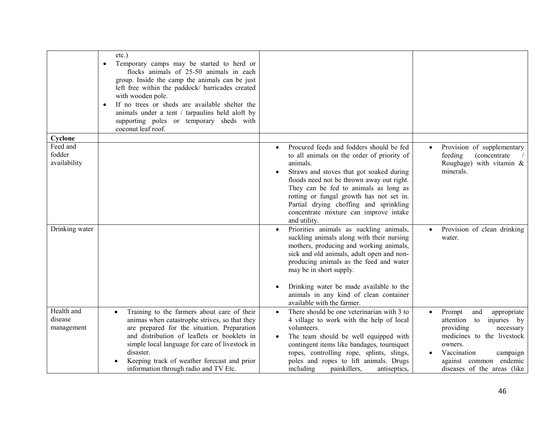|                                               | $etc.$ )<br>Temporary camps may be started to herd or<br>$\bullet$<br>flocks animals of 25-50 animals in each<br>group. Inside the camp the animals can be just<br>left free within the paddock/ barricades created<br>with wooden pole.<br>If no trees or sheds are available shelter the<br>$\bullet$<br>animals under a tent / tarpaulins held aloft by<br>supporting poles or temporary sheds with<br>coconut leaf roof. |                                                                                                                                                                                                                                                                                                                                                                                                   |                                                                                                                                                                                                                       |
|-----------------------------------------------|------------------------------------------------------------------------------------------------------------------------------------------------------------------------------------------------------------------------------------------------------------------------------------------------------------------------------------------------------------------------------------------------------------------------------|---------------------------------------------------------------------------------------------------------------------------------------------------------------------------------------------------------------------------------------------------------------------------------------------------------------------------------------------------------------------------------------------------|-----------------------------------------------------------------------------------------------------------------------------------------------------------------------------------------------------------------------|
| Cyclone<br>Feed and<br>fodder<br>availability |                                                                                                                                                                                                                                                                                                                                                                                                                              | Procured feeds and fodders should be fed<br>$\bullet$<br>to all animals on the order of priority of<br>animals.<br>Straws and stoves that got soaked during<br>floods need not be thrown away out right.<br>They can be fed to animals as long as<br>rotting or fungal growth has not set in.<br>Partial drying choffing and sprinkling<br>concentrate mixture can improve intake<br>and utility. | Provision of supplementary<br>(concentrate<br>feeding<br>Roughage) with vitamin $\&$<br>minerals.                                                                                                                     |
| Drinking water                                |                                                                                                                                                                                                                                                                                                                                                                                                                              | Priorities animals as suckling animals,<br>$\bullet$<br>suckling animals along with their nursing<br>mothers, producing and working animals,<br>sick and old animals, adult open and non-<br>producing animals as the feed and water<br>may be in short supply.<br>Drinking water be made available to the<br>animals in any kind of clean container<br>available with the farmer.                | Provision of clean drinking<br>$\bullet$<br>water.                                                                                                                                                                    |
| Health and<br>disease<br>management           | Training to the farmers about care of their<br>$\bullet$<br>animas when catastrophe strives, so that they<br>are prepared for the situation. Preparation<br>and distribution of leaflets or booklets in<br>simple local language for care of livestock in<br>disaster.<br>Keeping track of weather forecast and prior<br>information through radio and TV Etc.                                                               | There should be one veterinarian with 3 to<br>$\bullet$<br>4 village to work with the help of local<br>volunteers.<br>The team should be well equipped with<br>contingent items like bandages, tourniquet<br>ropes, controlling rope, splints, slings,<br>poles and ropes to lift animals. Drugs<br>including<br>painkillers,<br>antiseptics,                                                     | Prompt<br>appropriate<br>and<br>attention<br>to<br>injuries by<br>providing<br>necessary<br>medicines to the livestock<br>owners.<br>Vaccination<br>campaign<br>against common endemic<br>diseases of the areas (like |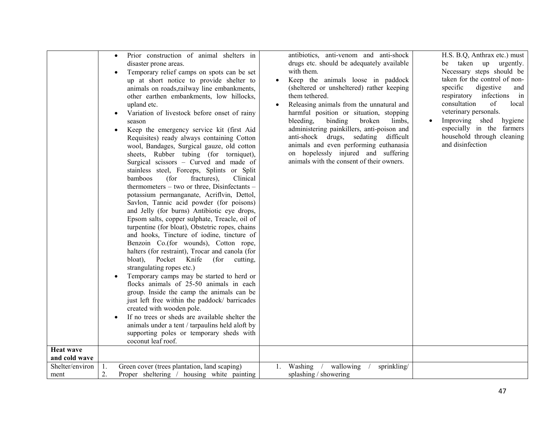| <b>Heat wave</b>                 | Prior construction of animal shelters in<br>$\bullet$<br>disaster prone areas.<br>Temporary relief camps on spots can be set<br>$\bullet$<br>up at short notice to provide shelter to<br>animals on roads, railway line embankments,<br>other earthen embankments, low hillocks,<br>upland etc.<br>Variation of livestock before onset of rainy<br>٠<br>season<br>Keep the emergency service kit (first Aid<br>Requisites) ready always containing Cotton<br>wool, Bandages, Surgical gauze, old cotton<br>sheets, Rubber tubing (for torniquet),<br>Surgical scissors - Curved and made of<br>stainless steel, Forceps, Splints or Split<br>bamboos<br>(for<br>fractures).<br>Clinical<br>thermometers – two or three, Disinfectants –<br>potassium permanganate, Acriflvin, Dettol,<br>Savlon, Tannic acid powder (for poisons)<br>and Jelly (for burns) Antibiotic eye drops,<br>Epsom salts, copper sulphate, Treacle, oil of<br>turpentine (for bloat), Obstetric ropes, chains<br>and hooks, Tincture of iodine, tincture of<br>Benzoin Co.(for wounds), Cotton rope,<br>halters (for restraint), Trocar and canola (for<br>Pocket Knife<br>bloat),<br>(for<br>cutting,<br>strangulating ropes etc.)<br>Temporary camps may be started to herd or<br>flocks animals of 25-50 animals in each<br>group. Inside the camp the animals can be<br>just left free within the paddock/ barricades<br>created with wooden pole.<br>If no trees or sheds are available shelter the<br>٠<br>animals under a tent / tarpaulins held aloft by<br>supporting poles or temporary sheds with<br>coconut leaf roof. | antibiotics, anti-venom and anti-shock<br>drugs etc. should be adequately available<br>with them.<br>Keep the animals loose in paddock<br>(sheltered or unsheltered) rather keeping<br>them tethered.<br>Releasing animals from the unnatural and<br>$\bullet$<br>harmful position or situation, stopping<br>bleeding,<br>binding<br>broken<br>limbs,<br>administering painkillers, anti-poison and<br>anti-shock drugs, sedating<br>difficult<br>animals and even performing euthanasia<br>on hopelessly injured and suffering<br>animals with the consent of their owners. | H.S. B.Q. Anthrax etc.) must<br>be taken up<br>urgently.<br>Necessary steps should be<br>taken for the control of non-<br>specific<br>digestive<br>and<br>respiratory infections<br>in<br>consultation<br>of<br>local<br>veterinary personals.<br>Improving shed hygiene<br>especially in the farmers<br>household through cleaning<br>and disinfection |
|----------------------------------|-----------------------------------------------------------------------------------------------------------------------------------------------------------------------------------------------------------------------------------------------------------------------------------------------------------------------------------------------------------------------------------------------------------------------------------------------------------------------------------------------------------------------------------------------------------------------------------------------------------------------------------------------------------------------------------------------------------------------------------------------------------------------------------------------------------------------------------------------------------------------------------------------------------------------------------------------------------------------------------------------------------------------------------------------------------------------------------------------------------------------------------------------------------------------------------------------------------------------------------------------------------------------------------------------------------------------------------------------------------------------------------------------------------------------------------------------------------------------------------------------------------------------------------------------------------------------------------------------------------|------------------------------------------------------------------------------------------------------------------------------------------------------------------------------------------------------------------------------------------------------------------------------------------------------------------------------------------------------------------------------------------------------------------------------------------------------------------------------------------------------------------------------------------------------------------------------|---------------------------------------------------------------------------------------------------------------------------------------------------------------------------------------------------------------------------------------------------------------------------------------------------------------------------------------------------------|
| and cold wave<br>Shelter/environ | Green cover (trees plantation, land scaping)<br>1.                                                                                                                                                                                                                                                                                                                                                                                                                                                                                                                                                                                                                                                                                                                                                                                                                                                                                                                                                                                                                                                                                                                                                                                                                                                                                                                                                                                                                                                                                                                                                        | 1. Washing / wallowing<br>sprinkling/                                                                                                                                                                                                                                                                                                                                                                                                                                                                                                                                        |                                                                                                                                                                                                                                                                                                                                                         |
| ment                             | 2.<br>Proper sheltering / housing white painting                                                                                                                                                                                                                                                                                                                                                                                                                                                                                                                                                                                                                                                                                                                                                                                                                                                                                                                                                                                                                                                                                                                                                                                                                                                                                                                                                                                                                                                                                                                                                          | splashing / showering                                                                                                                                                                                                                                                                                                                                                                                                                                                                                                                                                        |                                                                                                                                                                                                                                                                                                                                                         |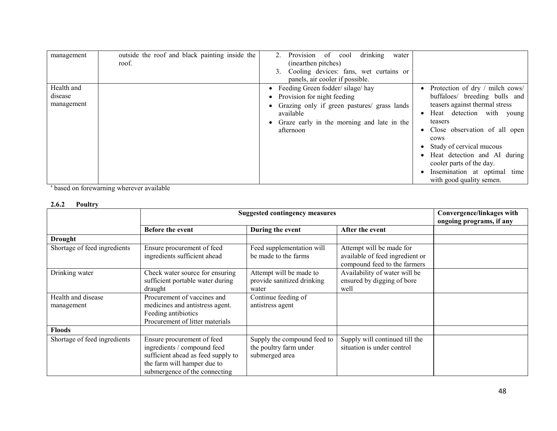| management | outside the roof and black painting inside the | drinking<br>Provision<br>of cool<br>$2^{+}$<br>water |                                 |
|------------|------------------------------------------------|------------------------------------------------------|---------------------------------|
|            | roof.                                          | (inearthen pitches)                                  |                                 |
|            |                                                | Cooling devices: fans, wet curtains or               |                                 |
|            |                                                | panels, air cooler if possible.                      |                                 |
| Health and |                                                | • Feeding Green fodder/silage/hay                    | Protection of dry / milch cows/ |
| disease    |                                                | • Provision for night feeding                        | buffaloes/ breeding bulls and   |
| management |                                                | • Grazing only if green pastures/ grass lands        | teasers against thermal stress  |
|            |                                                | available                                            | Heat detection with young       |
|            |                                                | Graze early in the morning and late in the           | teasers                         |
|            |                                                | afternoon                                            | • Close observation of all open |
|            |                                                |                                                      | cows                            |
|            |                                                |                                                      | • Study of cervical mucous      |
|            |                                                |                                                      | • Heat detection and AI during  |
|            |                                                |                                                      | cooler parts of the day.        |
|            |                                                |                                                      | Insemination at optimal time    |
|            |                                                |                                                      | with good quality semen.        |

s based on forewarning wherever available

# 2.6.2 Poultry

|                                  | <b>Suggested contingency measures</b>                                                                                                                           |                                                                         | Convergence/linkages with<br>ongoing programs, if any                                       |  |
|----------------------------------|-----------------------------------------------------------------------------------------------------------------------------------------------------------------|-------------------------------------------------------------------------|---------------------------------------------------------------------------------------------|--|
|                                  | <b>Before the event</b>                                                                                                                                         | During the event                                                        | After the event                                                                             |  |
| <b>Drought</b>                   |                                                                                                                                                                 |                                                                         |                                                                                             |  |
| Shortage of feed ingredients     | Ensure procurement of feed<br>ingredients sufficient ahead                                                                                                      | Feed supplementation will<br>be made to the farms                       | Attempt will be made for<br>available of feed ingredient or<br>compound feed to the farmers |  |
| Drinking water                   | Check water source for ensuring<br>sufficient portable water during<br>draught                                                                                  | Attempt will be made to<br>provide sanitized drinking<br>water          | Availability of water will be<br>ensured by digging of bore<br>well                         |  |
| Health and disease<br>management | Procurement of vaccines and<br>medicines and antistress agent.<br>Feeding antibiotics<br>Procurement of litter materials                                        | Continue feeding of<br>antistress agent                                 |                                                                                             |  |
| <b>Floods</b>                    |                                                                                                                                                                 |                                                                         |                                                                                             |  |
| Shortage of feed ingredients     | Ensure procurement of feed<br>ingredients / compound feed<br>sufficient ahead as feed supply to<br>the farm will hamper due to<br>submergence of the connecting | Supply the compound feed to<br>the poultry farm under<br>submerged area | Supply will continued till the<br>situation is under control                                |  |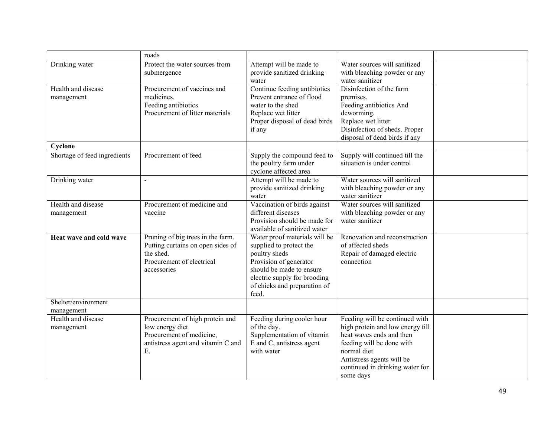|                                   | roads                                                                                                                           |                                                                                                                                                                                                          |                                                                                                                                                                                                                         |  |
|-----------------------------------|---------------------------------------------------------------------------------------------------------------------------------|----------------------------------------------------------------------------------------------------------------------------------------------------------------------------------------------------------|-------------------------------------------------------------------------------------------------------------------------------------------------------------------------------------------------------------------------|--|
| Drinking water                    | Protect the water sources from<br>submergence                                                                                   | Attempt will be made to<br>provide sanitized drinking<br>water                                                                                                                                           | Water sources will sanitized<br>with bleaching powder or any<br>water sanitizer                                                                                                                                         |  |
| Health and disease<br>management  | Procurement of vaccines and<br>medicines.<br>Feeding antibiotics<br>Procurement of litter materials                             | Continue feeding antibiotics<br>Prevent entrance of flood<br>water to the shed<br>Replace wet litter<br>Proper disposal of dead birds<br>if any                                                          | Disinfection of the farm<br>premises.<br>Feeding antibiotics And<br>deworming.<br>Replace wet litter<br>Disinfection of sheds. Proper<br>disposal of dead birds if any                                                  |  |
| Cyclone                           |                                                                                                                                 |                                                                                                                                                                                                          |                                                                                                                                                                                                                         |  |
| Shortage of feed ingredients      | Procurement of feed                                                                                                             | Supply the compound feed to<br>the poultry farm under<br>cyclone affected area                                                                                                                           | Supply will continued till the<br>situation is under control                                                                                                                                                            |  |
| Drinking water                    | $\overline{a}$                                                                                                                  | Attempt will be made to<br>provide sanitized drinking<br>water                                                                                                                                           | Water sources will sanitized<br>with bleaching powder or any<br>water sanitizer                                                                                                                                         |  |
| Health and disease<br>management  | Procurement of medicine and<br>vaccine                                                                                          | Vaccination of birds against<br>different diseases<br>Provision should be made for<br>available of sanitized water                                                                                       | Water sources will sanitized<br>with bleaching powder or any<br>water sanitizer                                                                                                                                         |  |
| Heat wave and cold wave           | Pruning of big trees in the farm.<br>Putting curtains on open sides of<br>the shed.<br>Procurement of electrical<br>accessories | Water proof materials will be<br>supplied to protect the<br>poultry sheds<br>Provision of generator<br>should be made to ensure<br>electric supply for brooding<br>of chicks and preparation of<br>feed. | Renovation and reconstruction<br>of affected sheds<br>Repair of damaged electric<br>connection                                                                                                                          |  |
| Shelter/environment<br>management |                                                                                                                                 |                                                                                                                                                                                                          |                                                                                                                                                                                                                         |  |
| Health and disease<br>management  | Procurement of high protein and<br>low energy diet<br>Procurement of medicine,<br>antistress agent and vitamin C and<br>Ε.      | Feeding during cooler hour<br>of the day.<br>Supplementation of vitamin<br>E and C, antistress agent<br>with water                                                                                       | Feeding will be continued with<br>high protein and low energy till<br>heat waves ends and then<br>feeding will be done with<br>normal diet<br>Antistress agents will be<br>continued in drinking water for<br>some days |  |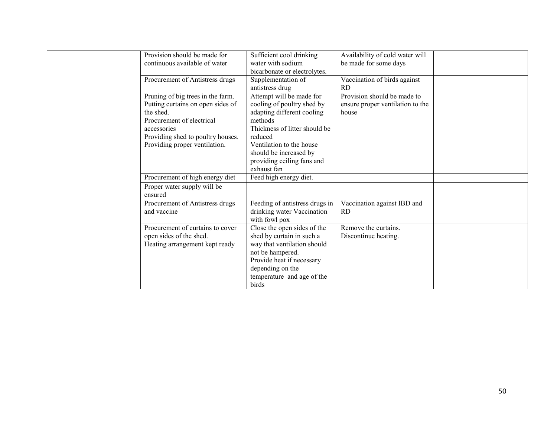| Provision should be made for<br>continuous available of water                                                                                                                                         | Sufficient cool drinking<br>water with sodium<br>bicarbonate or electrolytes.                                                                                                                                                                  | Availability of cold water will<br>be made for some days                 |  |
|-------------------------------------------------------------------------------------------------------------------------------------------------------------------------------------------------------|------------------------------------------------------------------------------------------------------------------------------------------------------------------------------------------------------------------------------------------------|--------------------------------------------------------------------------|--|
| Procurement of Antistress drugs                                                                                                                                                                       | Supplementation of<br>antistress drug                                                                                                                                                                                                          | Vaccination of birds against<br><b>RD</b>                                |  |
| Pruning of big trees in the farm.<br>Putting curtains on open sides of<br>the shed.<br>Procurement of electrical<br>accessories<br>Providing shed to poultry houses.<br>Providing proper ventilation. | Attempt will be made for<br>cooling of poultry shed by<br>adapting different cooling<br>methods<br>Thickness of litter should be<br>reduced<br>Ventilation to the house<br>should be increased by<br>providing ceiling fans and<br>exhaust fan | Provision should be made to<br>ensure proper ventilation to the<br>house |  |
| Procurement of high energy diet                                                                                                                                                                       | Feed high energy diet.                                                                                                                                                                                                                         |                                                                          |  |
| Proper water supply will be<br>ensured                                                                                                                                                                |                                                                                                                                                                                                                                                |                                                                          |  |
| Procurement of Antistress drugs<br>and vaccine                                                                                                                                                        | Feeding of antistress drugs in<br>drinking water Vaccination<br>with fowl pox                                                                                                                                                                  | Vaccination against IBD and<br><b>RD</b>                                 |  |
| Procurement of curtains to cover<br>open sides of the shed.<br>Heating arrangement kept ready                                                                                                         | Close the open sides of the<br>shed by curtain in such a<br>way that ventilation should<br>not be hampered.<br>Provide heat if necessary<br>depending on the<br>temperature and age of the<br>birds                                            | Remove the curtains.<br>Discontinue heating.                             |  |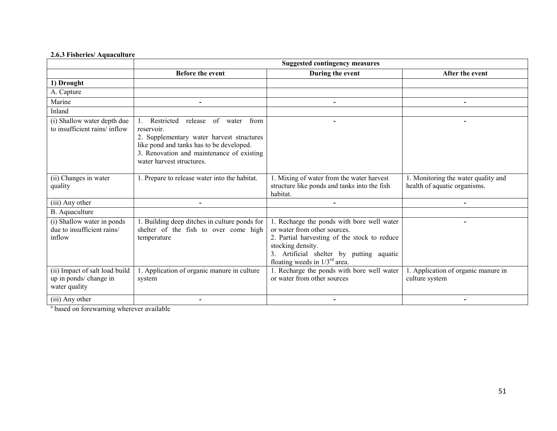# 2.6.3 Fisheries/ Aquaculture

|                                                                           | <b>Suggested contingency measures</b>                                                                                                                                                                                                             |                                                                                                                                                                                                                                   |                                                                    |  |  |  |
|---------------------------------------------------------------------------|---------------------------------------------------------------------------------------------------------------------------------------------------------------------------------------------------------------------------------------------------|-----------------------------------------------------------------------------------------------------------------------------------------------------------------------------------------------------------------------------------|--------------------------------------------------------------------|--|--|--|
|                                                                           | Before the event                                                                                                                                                                                                                                  | During the event                                                                                                                                                                                                                  | After the event                                                    |  |  |  |
| 1) Drought                                                                |                                                                                                                                                                                                                                                   |                                                                                                                                                                                                                                   |                                                                    |  |  |  |
| A. Capture                                                                |                                                                                                                                                                                                                                                   |                                                                                                                                                                                                                                   |                                                                    |  |  |  |
| Marine                                                                    |                                                                                                                                                                                                                                                   | $\overline{\phantom{0}}$                                                                                                                                                                                                          | $\overline{\phantom{0}}$                                           |  |  |  |
| Inland                                                                    |                                                                                                                                                                                                                                                   |                                                                                                                                                                                                                                   |                                                                    |  |  |  |
| (i) Shallow water depth due<br>to insufficient rains/inflow               | Restricted<br>$\overline{\text{of}}$<br>from<br>release<br>water<br>reservoir.<br>2. Supplementary water harvest structures<br>like pond and tanks has to be developed.<br>3. Renovation and maintenance of existing<br>water harvest structures. |                                                                                                                                                                                                                                   |                                                                    |  |  |  |
| (ii) Changes in water<br>quality                                          | 1. Prepare to release water into the habitat.                                                                                                                                                                                                     | 1. Mixing of water from the water harvest<br>structure like ponds and tanks into the fish<br>habitat.                                                                                                                             | . Monitoring the water quality and<br>health of aquatic organisms. |  |  |  |
| (iii) Any other                                                           |                                                                                                                                                                                                                                                   |                                                                                                                                                                                                                                   |                                                                    |  |  |  |
| B. Aquaculture                                                            |                                                                                                                                                                                                                                                   |                                                                                                                                                                                                                                   |                                                                    |  |  |  |
| (i) Shallow water in ponds<br>due to insufficient rains/<br>inflow        | 1. Building deep ditches in culture ponds for<br>shelter of the fish to over come high<br>temperature                                                                                                                                             | 1. Recharge the ponds with bore well water<br>or water from other sources.<br>2. Partial harvesting of the stock to reduce<br>stocking density.<br>3. Artificial shelter by putting aquatic<br>floating weeds in $1/3^{rd}$ area. |                                                                    |  |  |  |
| (ii) Impact of salt load build<br>up in ponds/ change in<br>water quality | 1. Application of organic manure in culture<br>system                                                                                                                                                                                             | 1. Recharge the ponds with bore well water<br>or water from other sources                                                                                                                                                         | 1. Application of organic manure in<br>culture system              |  |  |  |
| (iii) Any other                                                           |                                                                                                                                                                                                                                                   |                                                                                                                                                                                                                                   |                                                                    |  |  |  |

<sup>a</sup> based on forewarning wherever available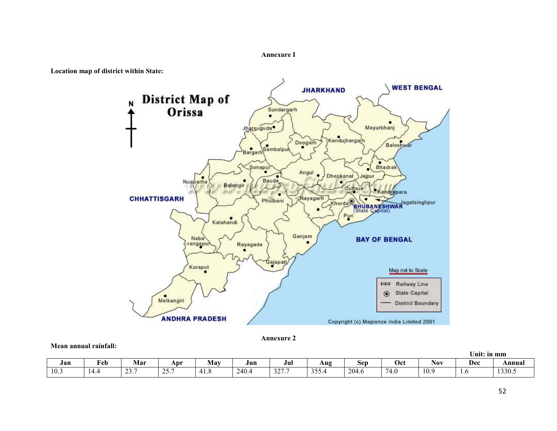#### Annexure I



Mean annual rainfall:





|      |      |        |                  |           |       |               |              |       |      |      | Unit: in mm                   |        |
|------|------|--------|------------------|-----------|-------|---------------|--------------|-------|------|------|-------------------------------|--------|
| Jan  | Feb  | Mar    | Apr              | May       | Jun   | Jul           | Aug          | Sep   | Oct  | Nov  | Dec                           | Annual |
| 10.3 | 14.4 | . ت سه | $25 -$<br>ا وت ک | 4<br>41.0 | 240.4 | 227.7<br>321. | 255<br>JJJ.T | 204.6 | 74.6 | 10.9 | $\mathbf{1} \cdot \mathbf{U}$ | 1330.5 |

52